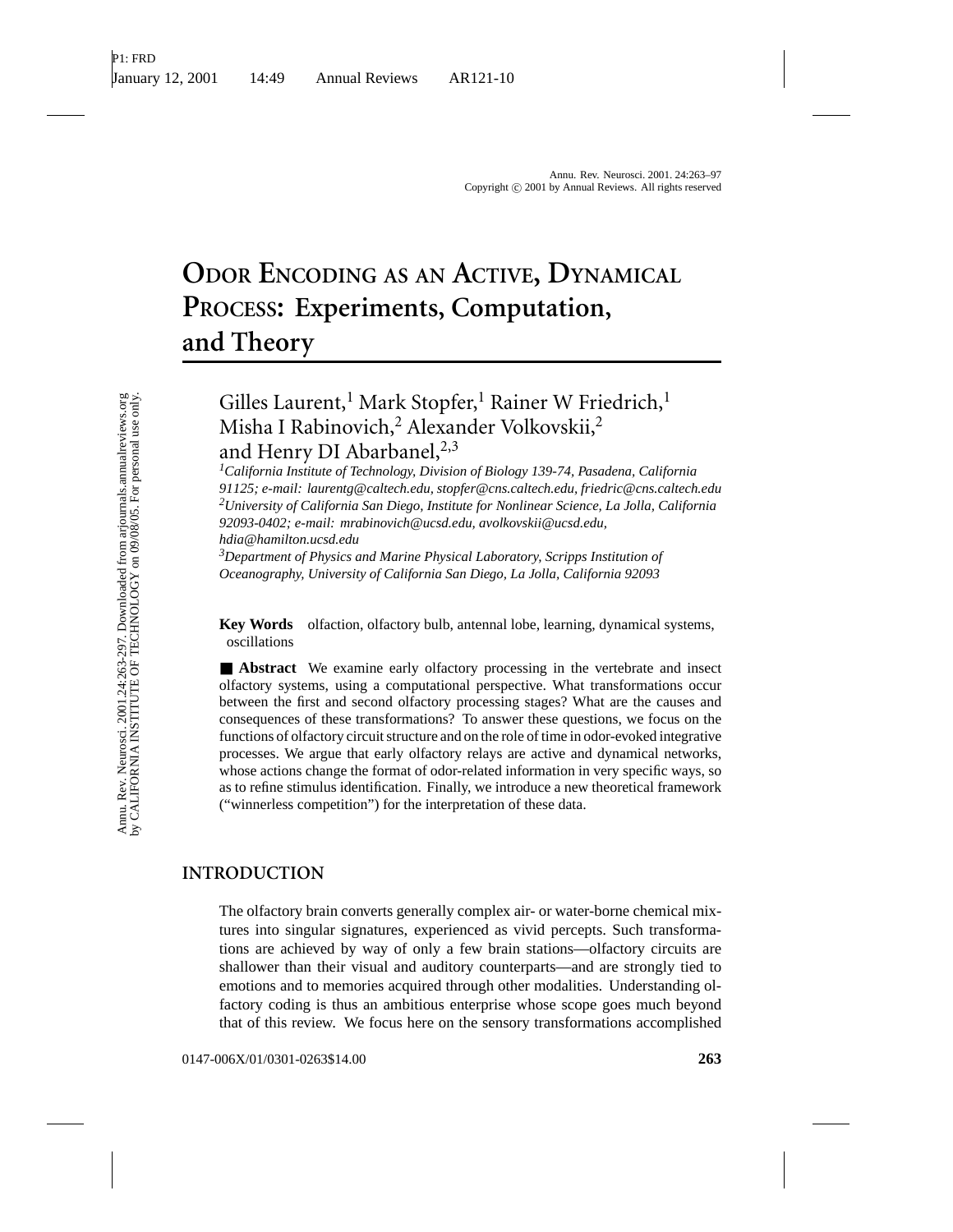# **ODOR ENCODING AS AN ACTIVE, DYNAMICAL PROCESS: Experiments, Computation, and Theory**

## Gilles Laurent,<sup>1</sup> Mark Stopfer,<sup>1</sup> Rainer W Friedrich,<sup>1</sup> Misha I Rabinovich,<sup>2</sup> Alexander Volkovskii,<sup>2</sup> and Henry DI Abarbanel,  $2,3$

*1California Institute of Technology, Division of Biology 139-74, Pasadena, California 91125; e-mail: laurentg@caltech.edu, stopfer@cns.caltech.edu, friedric@cns.caltech.edu 2University of California San Diego, Institute for Nonlinear Science, La Jolla, California 92093-0402; e-mail: mrabinovich@ucsd.edu, avolkovskii@ucsd.edu, hdia@hamilton.ucsd.edu*

*3Department of Physics and Marine Physical Laboratory, Scripps Institution of Oceanography, University of California San Diego, La Jolla, California 92093*

**Key Words** olfaction, olfactory bulb, antennal lobe, learning, dynamical systems, oscillations

■ **Abstract** We examine early olfactory processing in the vertebrate and insect olfactory systems, using a computational perspective. What transformations occur between the first and second olfactory processing stages? What are the causes and consequences of these transformations? To answer these questions, we focus on the functions of olfactory circuit structure and on the role of time in odor-evoked integrative processes. We argue that early olfactory relays are active and dynamical networks, whose actions change the format of odor-related information in very specific ways, so as to refine stimulus identification. Finally, we introduce a new theoretical framework ("winnerless competition") for the interpretation of these data.

#### **INTRODUCTION**

The olfactory brain converts generally complex air- or water-borne chemical mixtures into singular signatures, experienced as vivid percepts. Such transformations are achieved by way of only a few brain stations—olfactory circuits are shallower than their visual and auditory counterparts—and are strongly tied to emotions and to memories acquired through other modalities. Understanding olfactory coding is thus an ambitious enterprise whose scope goes much beyond that of this review. We focus here on the sensory transformations accomplished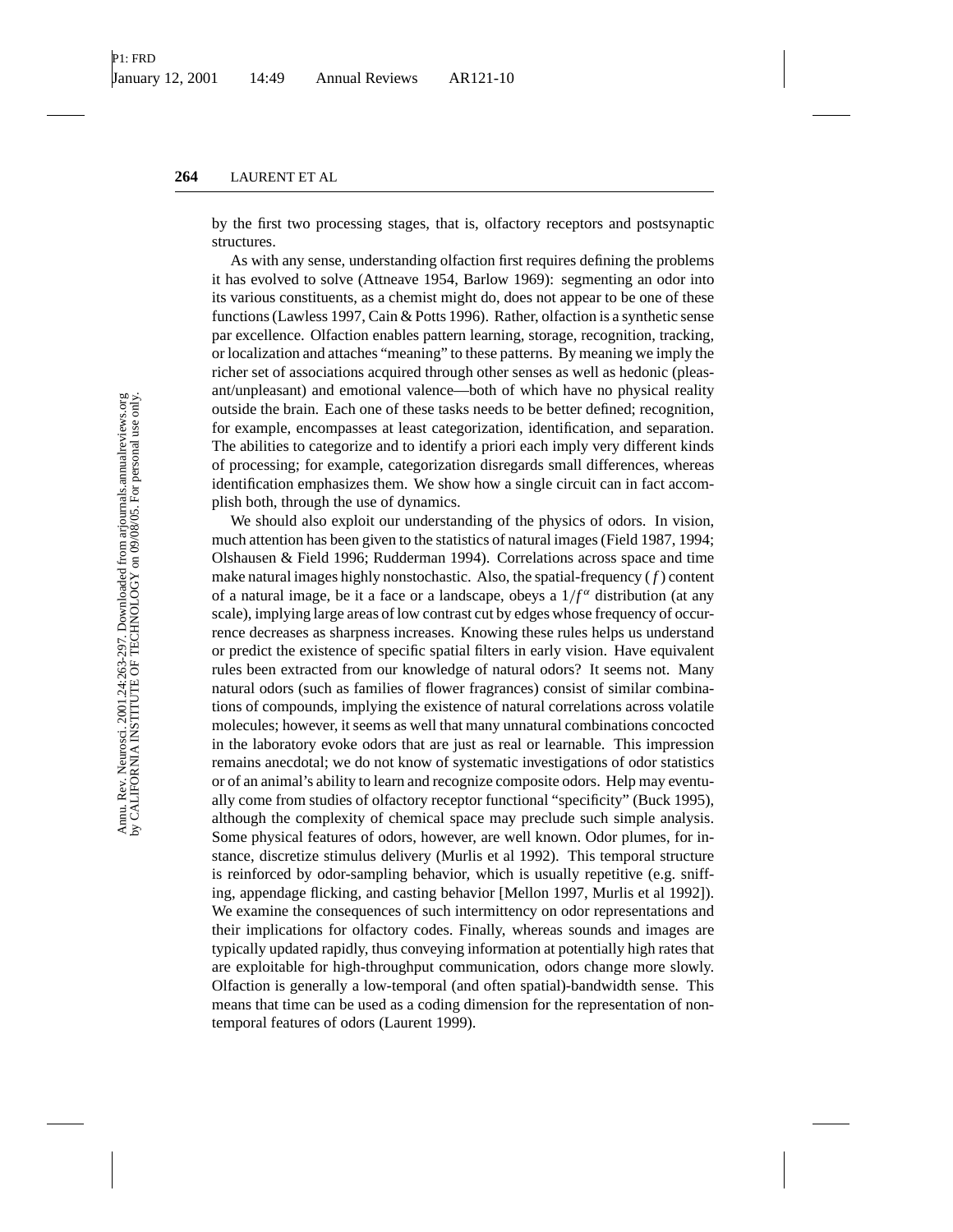by the first two processing stages, that is, olfactory receptors and postsynaptic structures.

As with any sense, understanding olfaction first requires defining the problems it has evolved to solve (Attneave 1954, Barlow 1969): segmenting an odor into its various constituents, as a chemist might do, does not appear to be one of these functions (Lawless 1997, Cain & Potts 1996). Rather, olfaction is a synthetic sense par excellence. Olfaction enables pattern learning, storage, recognition, tracking, or localization and attaches "meaning" to these patterns. By meaning we imply the richer set of associations acquired through other senses as well as hedonic (pleasant/unpleasant) and emotional valence—both of which have no physical reality outside the brain. Each one of these tasks needs to be better defined; recognition, for example, encompasses at least categorization, identification, and separation. The abilities to categorize and to identify a priori each imply very different kinds of processing; for example, categorization disregards small differences, whereas identification emphasizes them. We show how a single circuit can in fact accomplish both, through the use of dynamics.

We should also exploit our understanding of the physics of odors. In vision, much attention has been given to the statistics of natural images (Field 1987, 1994; Olshausen & Field 1996; Rudderman 1994). Correlations across space and time make natural images highly nonstochastic. Also, the spatial-frequency ( *f* ) content of a natural image, be it a face or a landscape, obeys a  $1/f^{\alpha}$  distribution (at any scale), implying large areas of low contrast cut by edges whose frequency of occurrence decreases as sharpness increases. Knowing these rules helps us understand or predict the existence of specific spatial filters in early vision. Have equivalent rules been extracted from our knowledge of natural odors? It seems not. Many natural odors (such as families of flower fragrances) consist of similar combinations of compounds, implying the existence of natural correlations across volatile molecules; however, it seems as well that many unnatural combinations concocted in the laboratory evoke odors that are just as real or learnable. This impression remains anecdotal; we do not know of systematic investigations of odor statistics or of an animal's ability to learn and recognize composite odors. Help may eventually come from studies of olfactory receptor functional "specificity" (Buck 1995), although the complexity of chemical space may preclude such simple analysis. Some physical features of odors, however, are well known. Odor plumes, for instance, discretize stimulus delivery (Murlis et al 1992). This temporal structure is reinforced by odor-sampling behavior, which is usually repetitive (e.g. sniffing, appendage flicking, and casting behavior [Mellon 1997, Murlis et al 1992]). We examine the consequences of such intermittency on odor representations and their implications for olfactory codes. Finally, whereas sounds and images are typically updated rapidly, thus conveying information at potentially high rates that are exploitable for high-throughput communication, odors change more slowly. Olfaction is generally a low-temporal (and often spatial)-bandwidth sense. This means that time can be used as a coding dimension for the representation of nontemporal features of odors (Laurent 1999).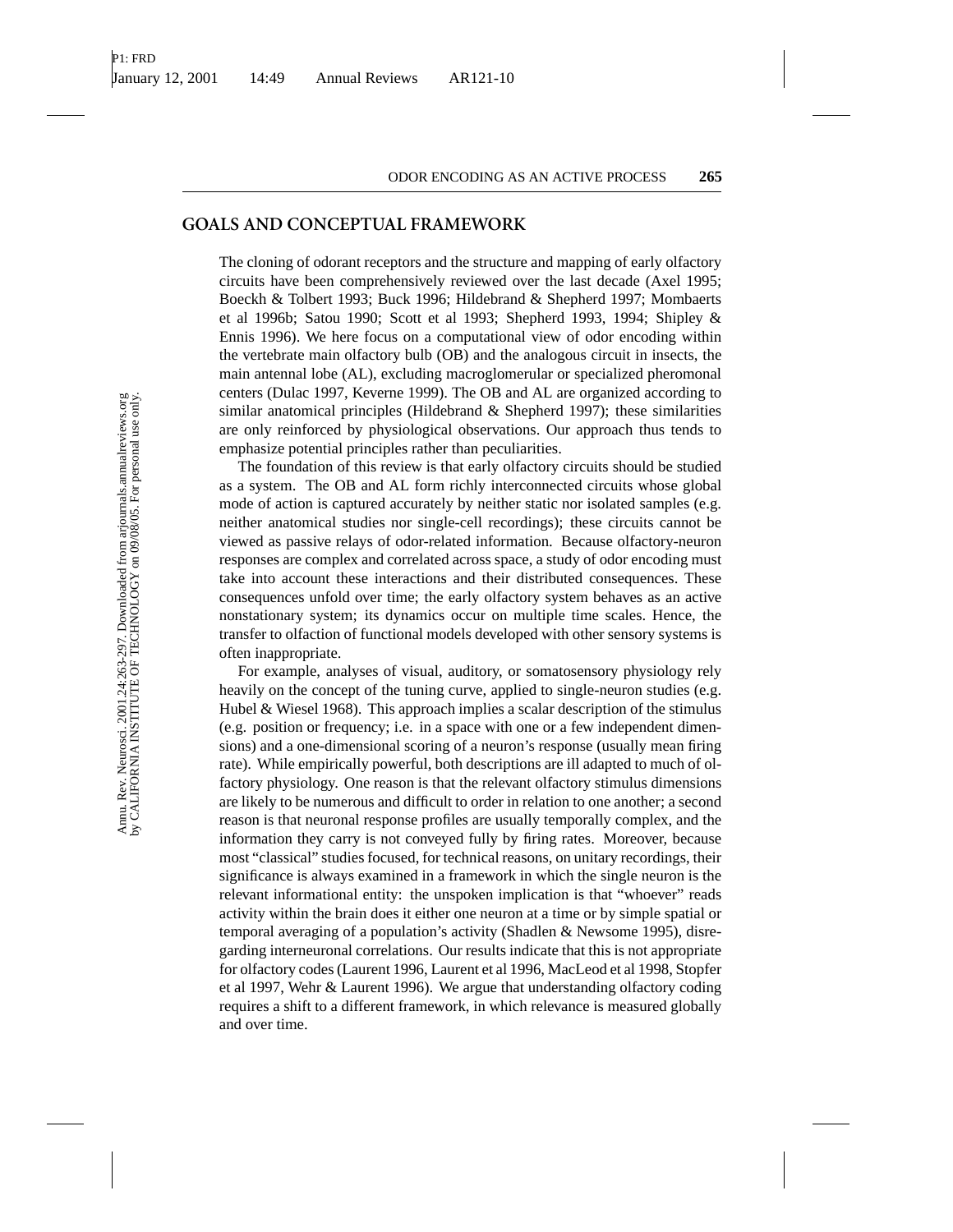#### **GOALS AND CONCEPTUAL FRAMEWORK**

The cloning of odorant receptors and the structure and mapping of early olfactory circuits have been comprehensively reviewed over the last decade (Axel 1995; Boeckh & Tolbert 1993; Buck 1996; Hildebrand & Shepherd 1997; Mombaerts et al 1996b; Satou 1990; Scott et al 1993; Shepherd 1993, 1994; Shipley & Ennis 1996). We here focus on a computational view of odor encoding within the vertebrate main olfactory bulb (OB) and the analogous circuit in insects, the main antennal lobe (AL), excluding macroglomerular or specialized pheromonal centers (Dulac 1997, Keverne 1999). The OB and AL are organized according to similar anatomical principles (Hildebrand  $\&$  Shepherd 1997); these similarities are only reinforced by physiological observations. Our approach thus tends to emphasize potential principles rather than peculiarities.

The foundation of this review is that early olfactory circuits should be studied as a system. The OB and AL form richly interconnected circuits whose global mode of action is captured accurately by neither static nor isolated samples (e.g. neither anatomical studies nor single-cell recordings); these circuits cannot be viewed as passive relays of odor-related information. Because olfactory-neuron responses are complex and correlated across space, a study of odor encoding must take into account these interactions and their distributed consequences. These consequences unfold over time; the early olfactory system behaves as an active nonstationary system; its dynamics occur on multiple time scales. Hence, the transfer to olfaction of functional models developed with other sensory systems is often inappropriate.

For example, analyses of visual, auditory, or somatosensory physiology rely heavily on the concept of the tuning curve, applied to single-neuron studies (e.g. Hubel & Wiesel 1968). This approach implies a scalar description of the stimulus (e.g. position or frequency; i.e. in a space with one or a few independent dimensions) and a one-dimensional scoring of a neuron's response (usually mean firing rate). While empirically powerful, both descriptions are ill adapted to much of olfactory physiology. One reason is that the relevant olfactory stimulus dimensions are likely to be numerous and difficult to order in relation to one another; a second reason is that neuronal response profiles are usually temporally complex, and the information they carry is not conveyed fully by firing rates. Moreover, because most "classical" studies focused, for technical reasons, on unitary recordings, their significance is always examined in a framework in which the single neuron is the relevant informational entity: the unspoken implication is that "whoever" reads activity within the brain does it either one neuron at a time or by simple spatial or temporal averaging of a population's activity (Shadlen & Newsome 1995), disregarding interneuronal correlations. Our results indicate that this is not appropriate for olfactory codes (Laurent 1996, Laurent et al 1996, MacLeod et al 1998, Stopfer et al 1997, Wehr & Laurent 1996). We argue that understanding olfactory coding requires a shift to a different framework, in which relevance is measured globally and over time.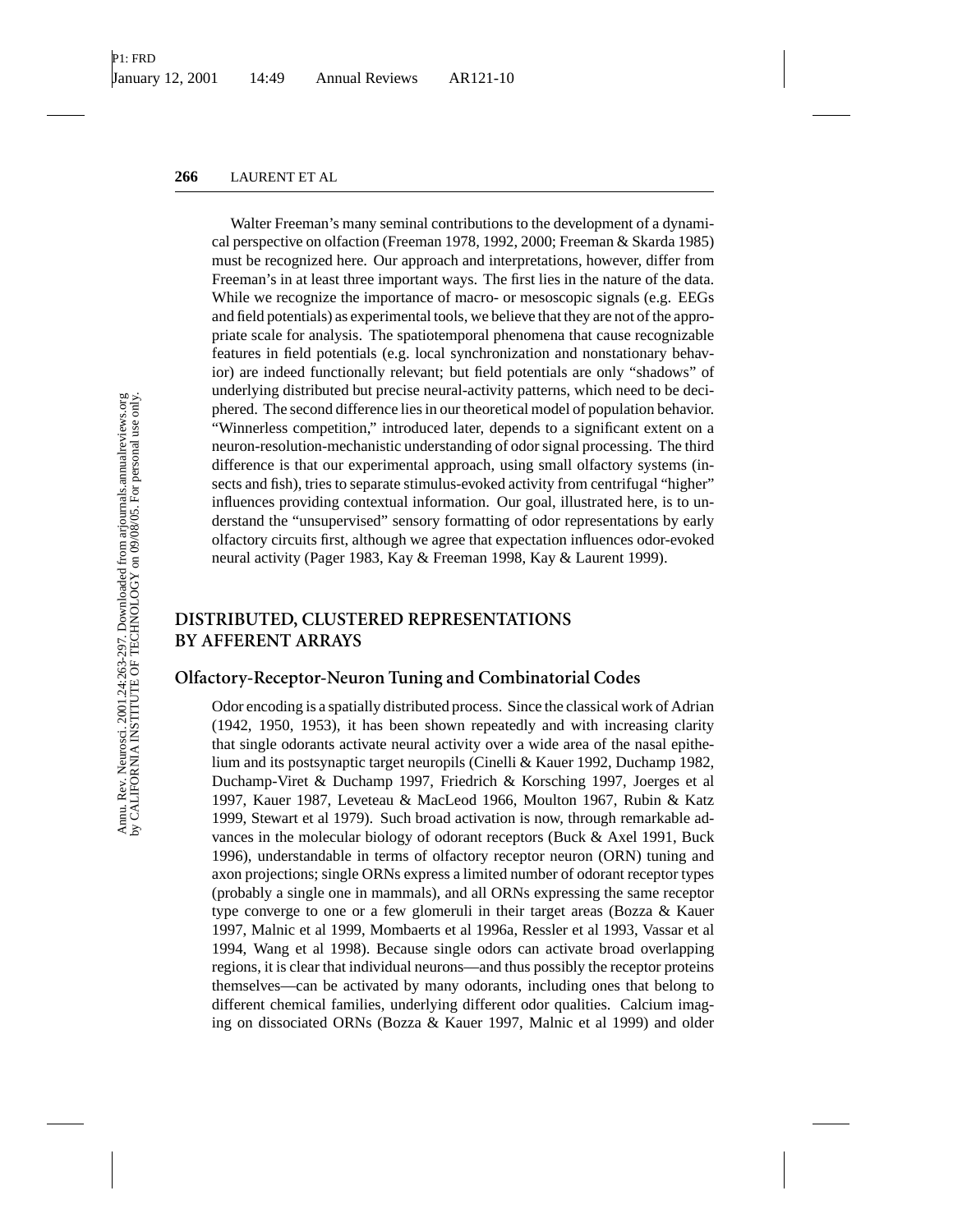Walter Freeman's many seminal contributions to the development of a dynamical perspective on olfaction (Freeman 1978, 1992, 2000; Freeman & Skarda 1985) must be recognized here. Our approach and interpretations, however, differ from Freeman's in at least three important ways. The first lies in the nature of the data. While we recognize the importance of macro- or mesoscopic signals (e.g. EEGs and field potentials) as experimental tools, we believe that they are not of the appropriate scale for analysis. The spatiotemporal phenomena that cause recognizable features in field potentials (e.g. local synchronization and nonstationary behavior) are indeed functionally relevant; but field potentials are only "shadows" of underlying distributed but precise neural-activity patterns, which need to be deciphered. The second difference lies in our theoretical model of population behavior. "Winnerless competition," introduced later, depends to a significant extent on a neuron-resolution-mechanistic understanding of odor signal processing. The third difference is that our experimental approach, using small olfactory systems (insects and fish), tries to separate stimulus-evoked activity from centrifugal "higher" influences providing contextual information. Our goal, illustrated here, is to understand the "unsupervised" sensory formatting of odor representations by early olfactory circuits first, although we agree that expectation influences odor-evoked neural activity (Pager 1983, Kay & Freeman 1998, Kay & Laurent 1999).

### **DISTRIBUTED, CLUSTERED REPRESENTATIONS BY AFFERENT ARRAYS**

#### **Olfactory-Receptor-Neuron Tuning and Combinatorial Codes**

Odor encoding is a spatially distributed process. Since the classical work of Adrian (1942, 1950, 1953), it has been shown repeatedly and with increasing clarity that single odorants activate neural activity over a wide area of the nasal epithelium and its postsynaptic target neuropils (Cinelli & Kauer 1992, Duchamp 1982, Duchamp-Viret & Duchamp 1997, Friedrich & Korsching 1997, Joerges et al 1997, Kauer 1987, Leveteau & MacLeod 1966, Moulton 1967, Rubin & Katz 1999, Stewart et al 1979). Such broad activation is now, through remarkable advances in the molecular biology of odorant receptors (Buck & Axel 1991, Buck 1996), understandable in terms of olfactory receptor neuron (ORN) tuning and axon projections; single ORNs express a limited number of odorant receptor types (probably a single one in mammals), and all ORNs expressing the same receptor type converge to one or a few glomeruli in their target areas (Bozza & Kauer 1997, Malnic et al 1999, Mombaerts et al 1996a, Ressler et al 1993, Vassar et al 1994, Wang et al 1998). Because single odors can activate broad overlapping regions, it is clear that individual neurons—and thus possibly the receptor proteins themselves—can be activated by many odorants, including ones that belong to different chemical families, underlying different odor qualities. Calcium imaging on dissociated ORNs (Bozza & Kauer 1997, Malnic et al 1999) and older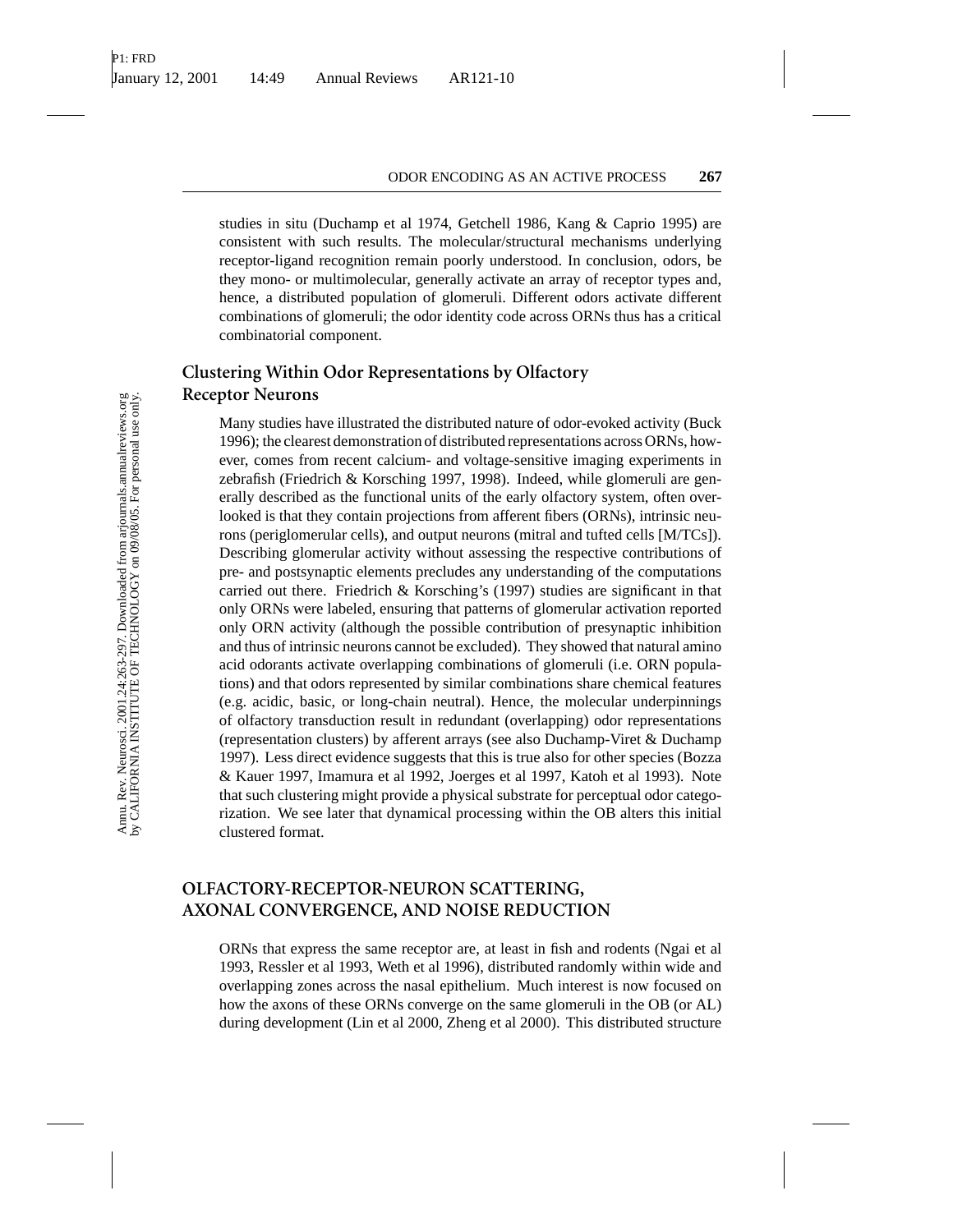studies in situ (Duchamp et al 1974, Getchell 1986, Kang & Caprio 1995) are consistent with such results. The molecular/structural mechanisms underlying receptor-ligand recognition remain poorly understood. In conclusion, odors, be they mono- or multimolecular, generally activate an array of receptor types and, hence, a distributed population of glomeruli. Different odors activate different combinations of glomeruli; the odor identity code across ORNs thus has a critical combinatorial component.

### **Clustering Within Odor Representations by Olfactory Receptor Neurons**

Many studies have illustrated the distributed nature of odor-evoked activity (Buck 1996); the clearest demonstration of distributed representations across ORNs, however, comes from recent calcium- and voltage-sensitive imaging experiments in zebrafish (Friedrich & Korsching 1997, 1998). Indeed, while glomeruli are generally described as the functional units of the early olfactory system, often overlooked is that they contain projections from afferent fibers (ORNs), intrinsic neurons (periglomerular cells), and output neurons (mitral and tufted cells [M/TCs]). Describing glomerular activity without assessing the respective contributions of pre- and postsynaptic elements precludes any understanding of the computations carried out there. Friedrich & Korsching's (1997) studies are significant in that only ORNs were labeled, ensuring that patterns of glomerular activation reported only ORN activity (although the possible contribution of presynaptic inhibition and thus of intrinsic neurons cannot be excluded). They showed that natural amino acid odorants activate overlapping combinations of glomeruli (i.e. ORN populations) and that odors represented by similar combinations share chemical features (e.g. acidic, basic, or long-chain neutral). Hence, the molecular underpinnings of olfactory transduction result in redundant (overlapping) odor representations (representation clusters) by afferent arrays (see also Duchamp-Viret & Duchamp 1997). Less direct evidence suggests that this is true also for other species (Bozza & Kauer 1997, Imamura et al 1992, Joerges et al 1997, Katoh et al 1993). Note that such clustering might provide a physical substrate for perceptual odor categorization. We see later that dynamical processing within the OB alters this initial clustered format.

### **OLFACTORY-RECEPTOR-NEURON SCATTERING, AXONAL CONVERGENCE, AND NOISE REDUCTION**

ORNs that express the same receptor are, at least in fish and rodents (Ngai et al 1993, Ressler et al 1993, Weth et al 1996), distributed randomly within wide and overlapping zones across the nasal epithelium. Much interest is now focused on how the axons of these ORNs converge on the same glomeruli in the OB (or AL) during development (Lin et al 2000, Zheng et al 2000). This distributed structure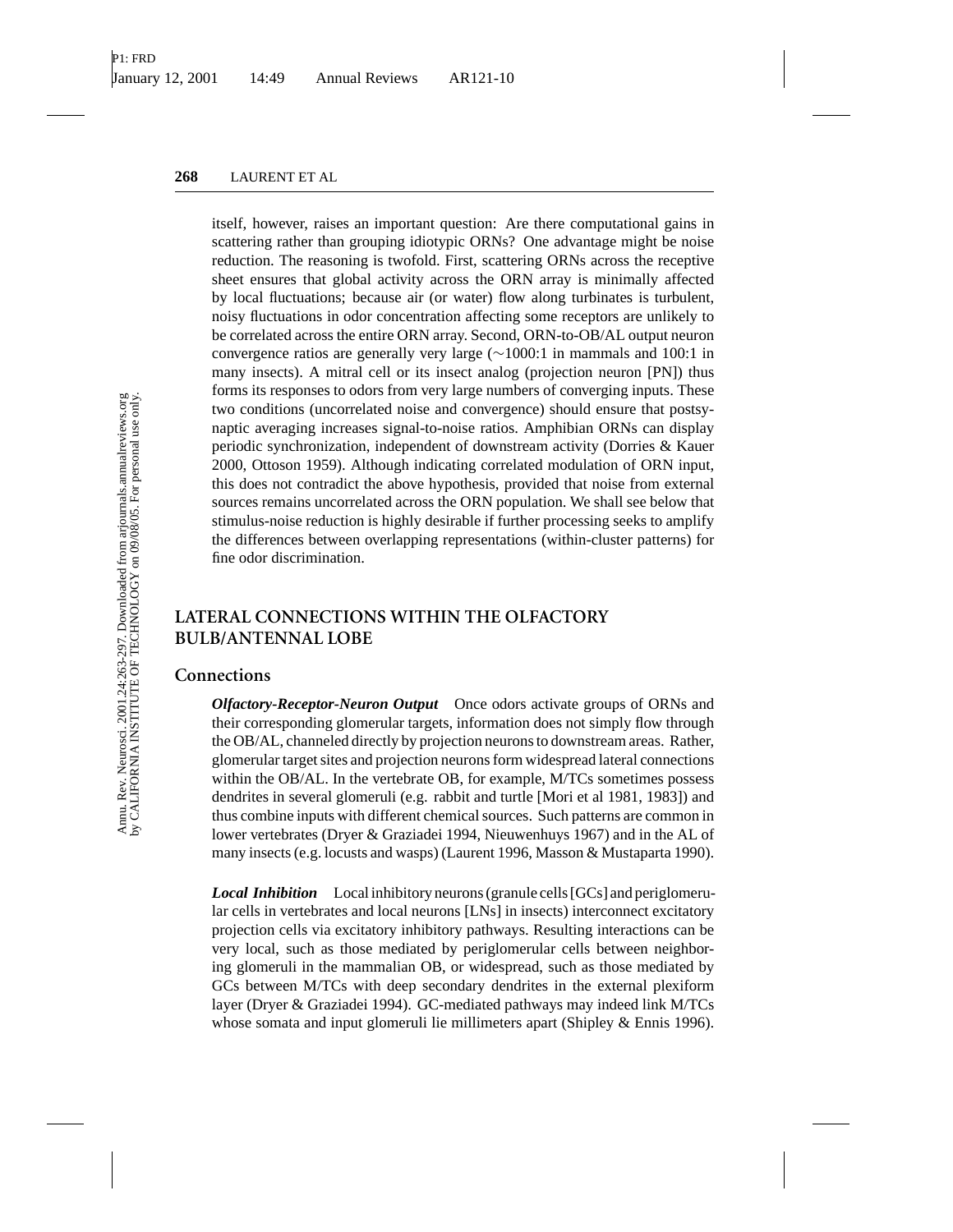itself, however, raises an important question: Are there computational gains in scattering rather than grouping idiotypic ORNs? One advantage might be noise reduction. The reasoning is twofold. First, scattering ORNs across the receptive sheet ensures that global activity across the ORN array is minimally affected by local fluctuations; because air (or water) flow along turbinates is turbulent, noisy fluctuations in odor concentration affecting some receptors are unlikely to be correlated across the entire ORN array. Second, ORN-to-OB/AL output neuron convergence ratios are generally very large (∼1000:1 in mammals and 100:1 in many insects). A mitral cell or its insect analog (projection neuron [PN]) thus forms its responses to odors from very large numbers of converging inputs. These two conditions (uncorrelated noise and convergence) should ensure that postsynaptic averaging increases signal-to-noise ratios. Amphibian ORNs can display periodic synchronization, independent of downstream activity (Dorries & Kauer 2000, Ottoson 1959). Although indicating correlated modulation of ORN input, this does not contradict the above hypothesis, provided that noise from external sources remains uncorrelated across the ORN population. We shall see below that stimulus-noise reduction is highly desirable if further processing seeks to amplify the differences between overlapping representations (within-cluster patterns) for fine odor discrimination.

### **LATERAL CONNECTIONS WITHIN THE OLFACTORY BULB/ANTENNAL LOBE**

#### **Connections**

*Olfactory-Receptor-Neuron Output* Once odors activate groups of ORNs and their corresponding glomerular targets, information does not simply flow through the OB/AL, channeled directly by projection neurons to downstream areas. Rather, glomerular target sites and projection neurons form widespread lateral connections within the OB/AL. In the vertebrate OB, for example, M/TCs sometimes possess dendrites in several glomeruli (e.g. rabbit and turtle [Mori et al 1981, 1983]) and thus combine inputs with different chemical sources. Such patterns are common in lower vertebrates (Dryer & Graziadei 1994, Nieuwenhuys 1967) and in the AL of many insects (e.g. locusts and wasps) (Laurent 1996, Masson & Mustaparta 1990).

*Local Inhibition* Local inhibitory neurons (granule cells [GCs] and periglomerular cells in vertebrates and local neurons [LNs] in insects) interconnect excitatory projection cells via excitatory inhibitory pathways. Resulting interactions can be very local, such as those mediated by periglomerular cells between neighboring glomeruli in the mammalian OB, or widespread, such as those mediated by GCs between M/TCs with deep secondary dendrites in the external plexiform layer (Dryer & Graziadei 1994). GC-mediated pathways may indeed link M/TCs whose somata and input glomeruli lie millimeters apart (Shipley & Ennis 1996).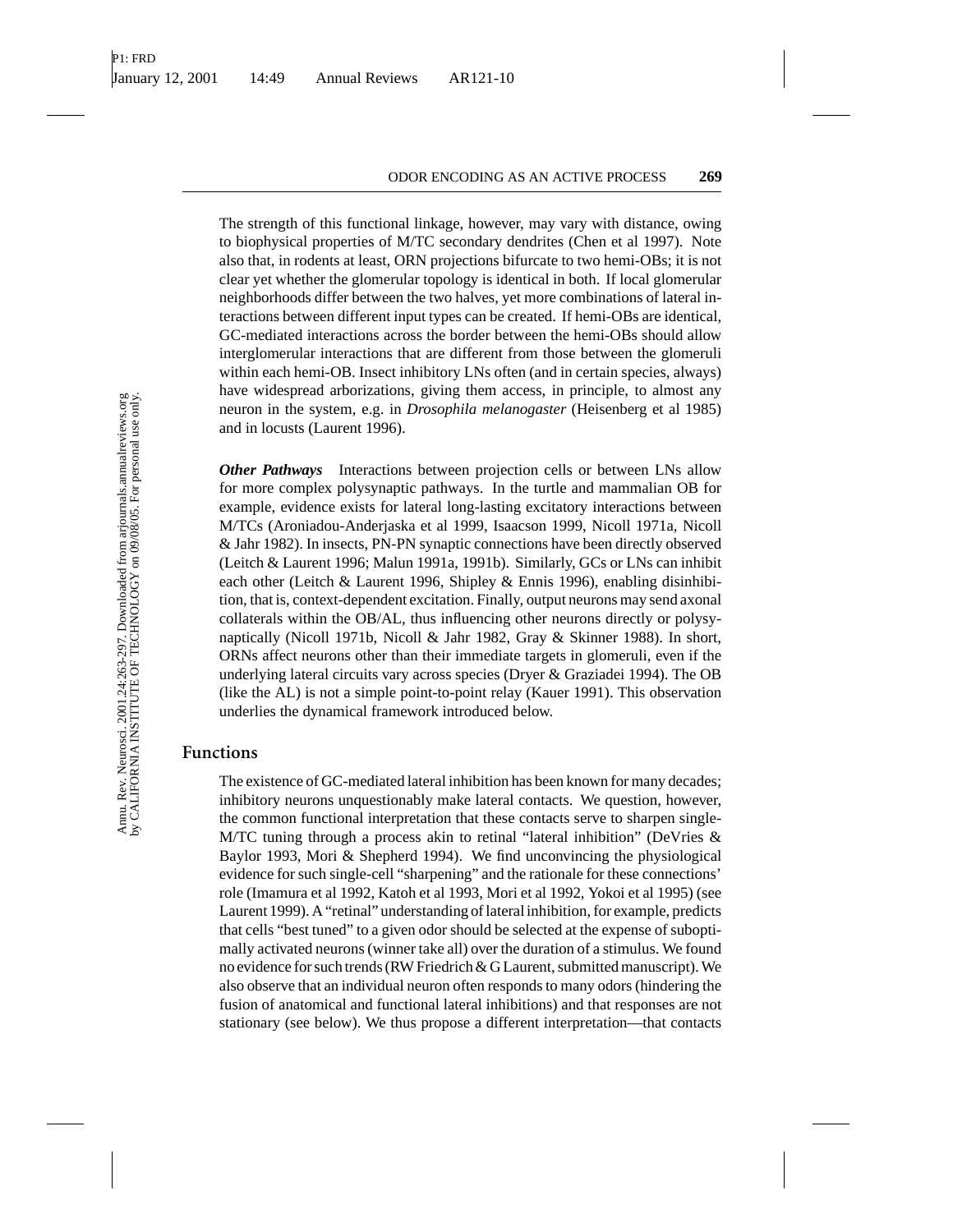The strength of this functional linkage, however, may vary with distance, owing to biophysical properties of M/TC secondary dendrites (Chen et al 1997). Note also that, in rodents at least, ORN projections bifurcate to two hemi-OBs; it is not clear yet whether the glomerular topology is identical in both. If local glomerular neighborhoods differ between the two halves, yet more combinations of lateral interactions between different input types can be created. If hemi-OBs are identical, GC-mediated interactions across the border between the hemi-OBs should allow interglomerular interactions that are different from those between the glomeruli within each hemi-OB. Insect inhibitory LNs often (and in certain species, always) have widespread arborizations, giving them access, in principle, to almost any neuron in the system, e.g. in *Drosophila melanogaster* (Heisenberg et al 1985) and in locusts (Laurent 1996).

*Other Pathways* Interactions between projection cells or between LNs allow for more complex polysynaptic pathways. In the turtle and mammalian OB for example, evidence exists for lateral long-lasting excitatory interactions between M/TCs (Aroniadou-Anderjaska et al 1999, Isaacson 1999, Nicoll 1971a, Nicoll & Jahr 1982). In insects, PN-PN synaptic connections have been directly observed (Leitch & Laurent 1996; Malun 1991a, 1991b). Similarly, GCs or LNs can inhibit each other (Leitch & Laurent 1996, Shipley & Ennis 1996), enabling disinhibition, that is, context-dependent excitation. Finally, output neurons may send axonal collaterals within the OB/AL, thus influencing other neurons directly or polysynaptically (Nicoll 1971b, Nicoll & Jahr 1982, Gray & Skinner 1988). In short, ORNs affect neurons other than their immediate targets in glomeruli, even if the underlying lateral circuits vary across species (Dryer & Graziadei 1994). The OB (like the AL) is not a simple point-to-point relay (Kauer 1991). This observation underlies the dynamical framework introduced below.

#### **Functions**

The existence of GC-mediated lateral inhibition has been known for many decades; inhibitory neurons unquestionably make lateral contacts. We question, however, the common functional interpretation that these contacts serve to sharpen single-M/TC tuning through a process akin to retinal "lateral inhibition" (DeVries & Baylor 1993, Mori & Shepherd 1994). We find unconvincing the physiological evidence for such single-cell "sharpening" and the rationale for these connections' role (Imamura et al 1992, Katoh et al 1993, Mori et al 1992, Yokoi et al 1995) (see Laurent 1999). A "retinal" understanding of lateral inhibition, for example, predicts that cells "best tuned" to a given odor should be selected at the expense of suboptimally activated neurons (winner take all) over the duration of a stimulus. We found no evidence for such trends (RW Friedrich & G Laurent, submitted manuscript). We also observe that an individual neuron often responds to many odors (hindering the fusion of anatomical and functional lateral inhibitions) and that responses are not stationary (see below). We thus propose a different interpretation—that contacts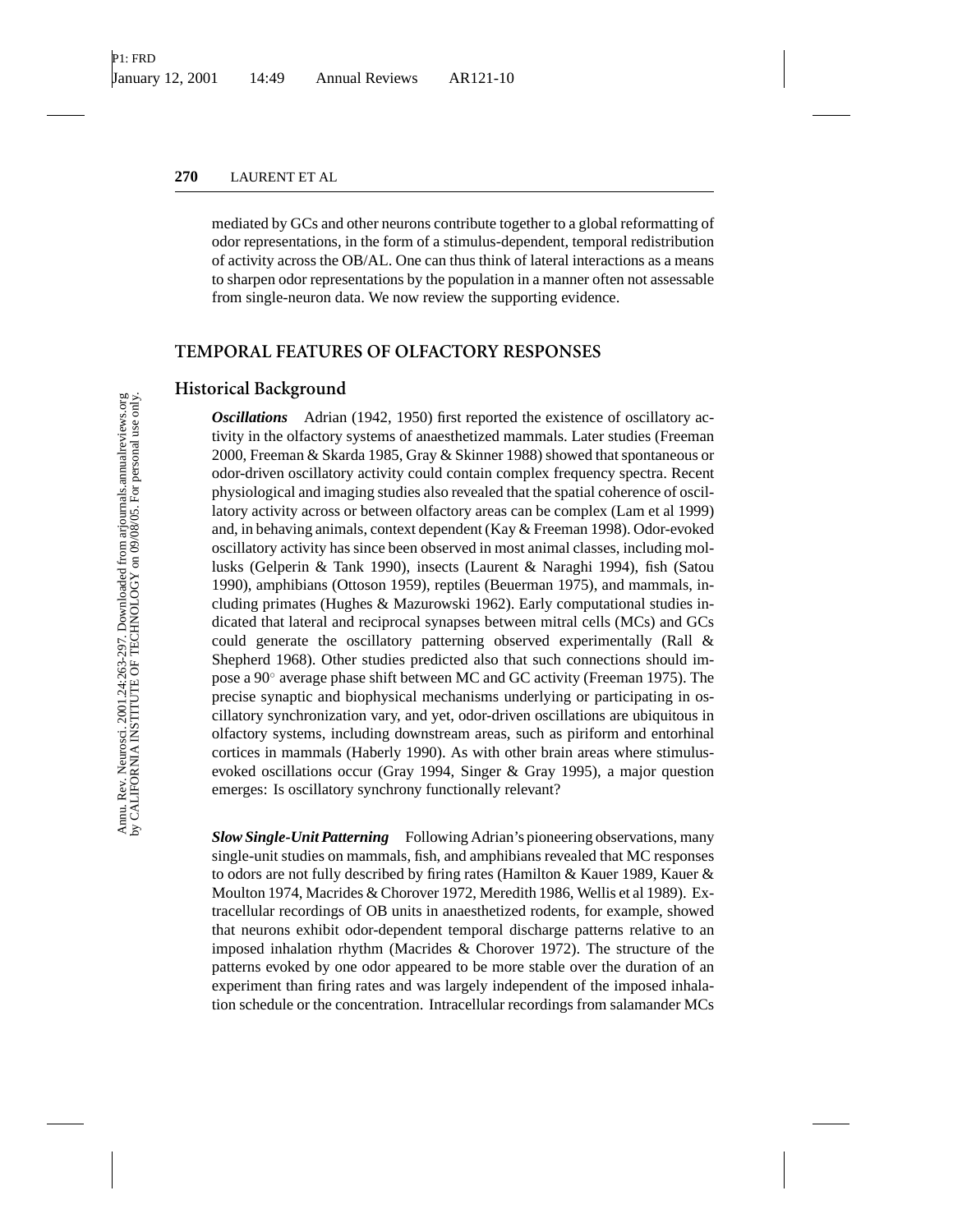mediated by GCs and other neurons contribute together to a global reformatting of odor representations, in the form of a stimulus-dependent, temporal redistribution of activity across the OB/AL. One can thus think of lateral interactions as a means to sharpen odor representations by the population in a manner often not assessable from single-neuron data. We now review the supporting evidence.

#### **TEMPORAL FEATURES OF OLFACTORY RESPONSES**

#### **Historical Background**

*Oscillations* Adrian (1942, 1950) first reported the existence of oscillatory activity in the olfactory systems of anaesthetized mammals. Later studies (Freeman 2000, Freeman & Skarda 1985, Gray & Skinner 1988) showed that spontaneous or odor-driven oscillatory activity could contain complex frequency spectra. Recent physiological and imaging studies also revealed that the spatial coherence of oscillatory activity across or between olfactory areas can be complex (Lam et al 1999) and, in behaving animals, context dependent (Kay & Freeman 1998). Odor-evoked oscillatory activity has since been observed in most animal classes, including mollusks (Gelperin & Tank 1990), insects (Laurent & Naraghi 1994), fish (Satou 1990), amphibians (Ottoson 1959), reptiles (Beuerman 1975), and mammals, including primates (Hughes & Mazurowski 1962). Early computational studies indicated that lateral and reciprocal synapses between mitral cells (MCs) and GCs could generate the oscillatory patterning observed experimentally (Rall & Shepherd 1968). Other studies predicted also that such connections should impose a 90◦ average phase shift between MC and GC activity (Freeman 1975). The precise synaptic and biophysical mechanisms underlying or participating in oscillatory synchronization vary, and yet, odor-driven oscillations are ubiquitous in olfactory systems, including downstream areas, such as piriform and entorhinal cortices in mammals (Haberly 1990). As with other brain areas where stimulusevoked oscillations occur (Gray 1994, Singer & Gray 1995), a major question emerges: Is oscillatory synchrony functionally relevant?

*Slow Single-Unit Patterning* Following Adrian's pioneering observations, many single-unit studies on mammals, fish, and amphibians revealed that MC responses to odors are not fully described by firing rates (Hamilton & Kauer 1989, Kauer & Moulton 1974, Macrides & Chorover 1972, Meredith 1986, Wellis et al 1989). Extracellular recordings of OB units in anaesthetized rodents, for example, showed that neurons exhibit odor-dependent temporal discharge patterns relative to an imposed inhalation rhythm (Macrides & Chorover 1972). The structure of the patterns evoked by one odor appeared to be more stable over the duration of an experiment than firing rates and was largely independent of the imposed inhalation schedule or the concentration. Intracellular recordings from salamander MCs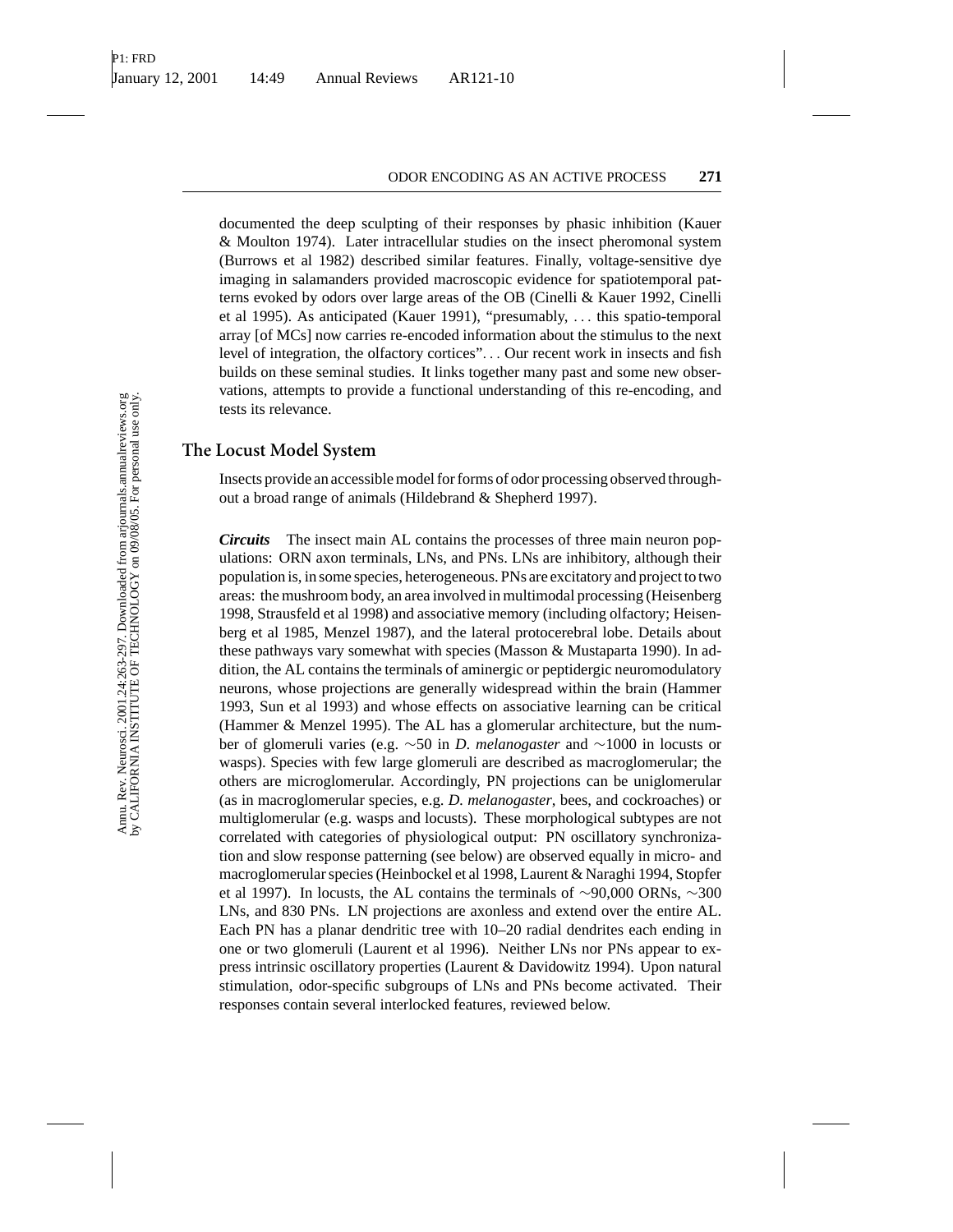documented the deep sculpting of their responses by phasic inhibition (Kauer & Moulton 1974). Later intracellular studies on the insect pheromonal system (Burrows et al 1982) described similar features. Finally, voltage-sensitive dye imaging in salamanders provided macroscopic evidence for spatiotemporal patterns evoked by odors over large areas of the OB (Cinelli & Kauer 1992, Cinelli et al 1995). As anticipated (Kauer 1991), "presumably, ... this spatio-temporal array [of MCs] now carries re-encoded information about the stimulus to the next level of integration, the olfactory cortices"... Our recent work in insects and fish builds on these seminal studies. It links together many past and some new observations, attempts to provide a functional understanding of this re-encoding, and tests its relevance.

#### **The Locust Model System**

Insects provide an accessible model for forms of odor processing observed throughout a broad range of animals (Hildebrand & Shepherd 1997).

*Circuits* The insect main AL contains the processes of three main neuron populations: ORN axon terminals, LNs, and PNs. LNs are inhibitory, although their population is, in some species, heterogeneous. PNs are excitatory and project to two areas: the mushroom body, an area involved in multimodal processing (Heisenberg 1998, Strausfeld et al 1998) and associative memory (including olfactory; Heisenberg et al 1985, Menzel 1987), and the lateral protocerebral lobe. Details about these pathways vary somewhat with species (Masson & Mustaparta 1990). In addition, the AL contains the terminals of aminergic or peptidergic neuromodulatory neurons, whose projections are generally widespread within the brain (Hammer 1993, Sun et al 1993) and whose effects on associative learning can be critical (Hammer & Menzel 1995). The AL has a glomerular architecture, but the number of glomeruli varies (e.g. ∼50 in *D*. *melanogaster* and ∼1000 in locusts or wasps). Species with few large glomeruli are described as macroglomerular; the others are microglomerular. Accordingly, PN projections can be uniglomerular (as in macroglomerular species, e.g. *D. melanogaster*, bees, and cockroaches) or multiglomerular (e.g. wasps and locusts). These morphological subtypes are not correlated with categories of physiological output: PN oscillatory synchronization and slow response patterning (see below) are observed equally in micro- and macroglomerular species (Heinbockel et al 1998, Laurent & Naraghi 1994, Stopfer et al 1997). In locusts, the AL contains the terminals of ∼90,000 ORNs, ∼300 LNs, and 830 PNs. LN projections are axonless and extend over the entire AL. Each PN has a planar dendritic tree with 10–20 radial dendrites each ending in one or two glomeruli (Laurent et al 1996). Neither LNs nor PNs appear to express intrinsic oscillatory properties (Laurent & Davidowitz 1994). Upon natural stimulation, odor-specific subgroups of LNs and PNs become activated. Their responses contain several interlocked features, reviewed below.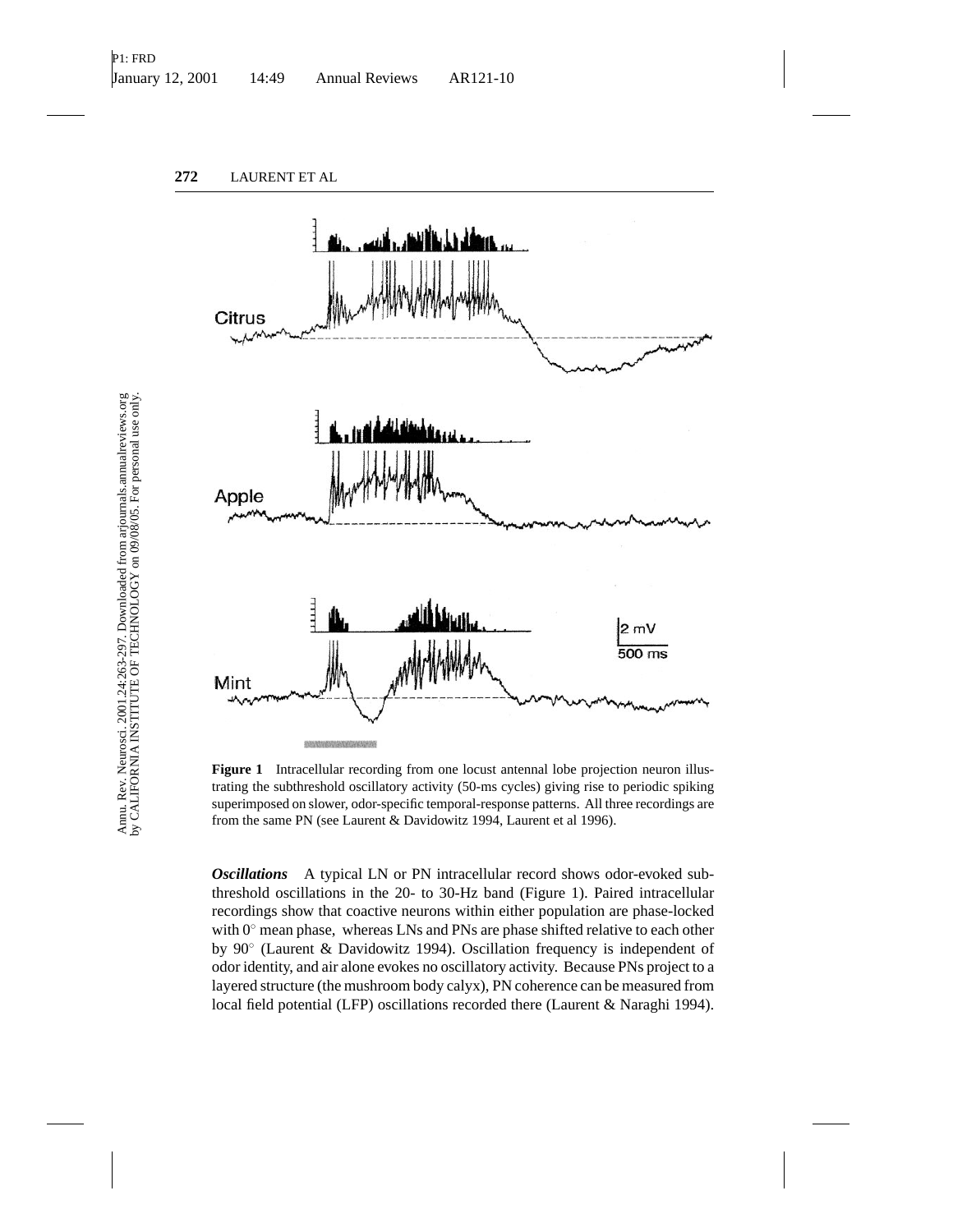

**Figure 1** Intracellular recording from one locust antennal lobe projection neuron illustrating the subthreshold oscillatory activity (50-ms cycles) giving rise to periodic spiking superimposed on slower, odor-specific temporal-response patterns. All three recordings are from the same PN (see Laurent & Davidowitz 1994, Laurent et al 1996).

*Oscillations* A typical LN or PN intracellular record shows odor-evoked subthreshold oscillations in the 20- to 30-Hz band (Figure 1). Paired intracellular recordings show that coactive neurons within either population are phase-locked with  $0^\circ$  mean phase, whereas LNs and PNs are phase shifted relative to each other by 90◦ (Laurent & Davidowitz 1994). Oscillation frequency is independent of odor identity, and air alone evokes no oscillatory activity. Because PNs project to a layered structure (the mushroom body calyx), PN coherence can be measured from local field potential (LFP) oscillations recorded there (Laurent & Naraghi 1994).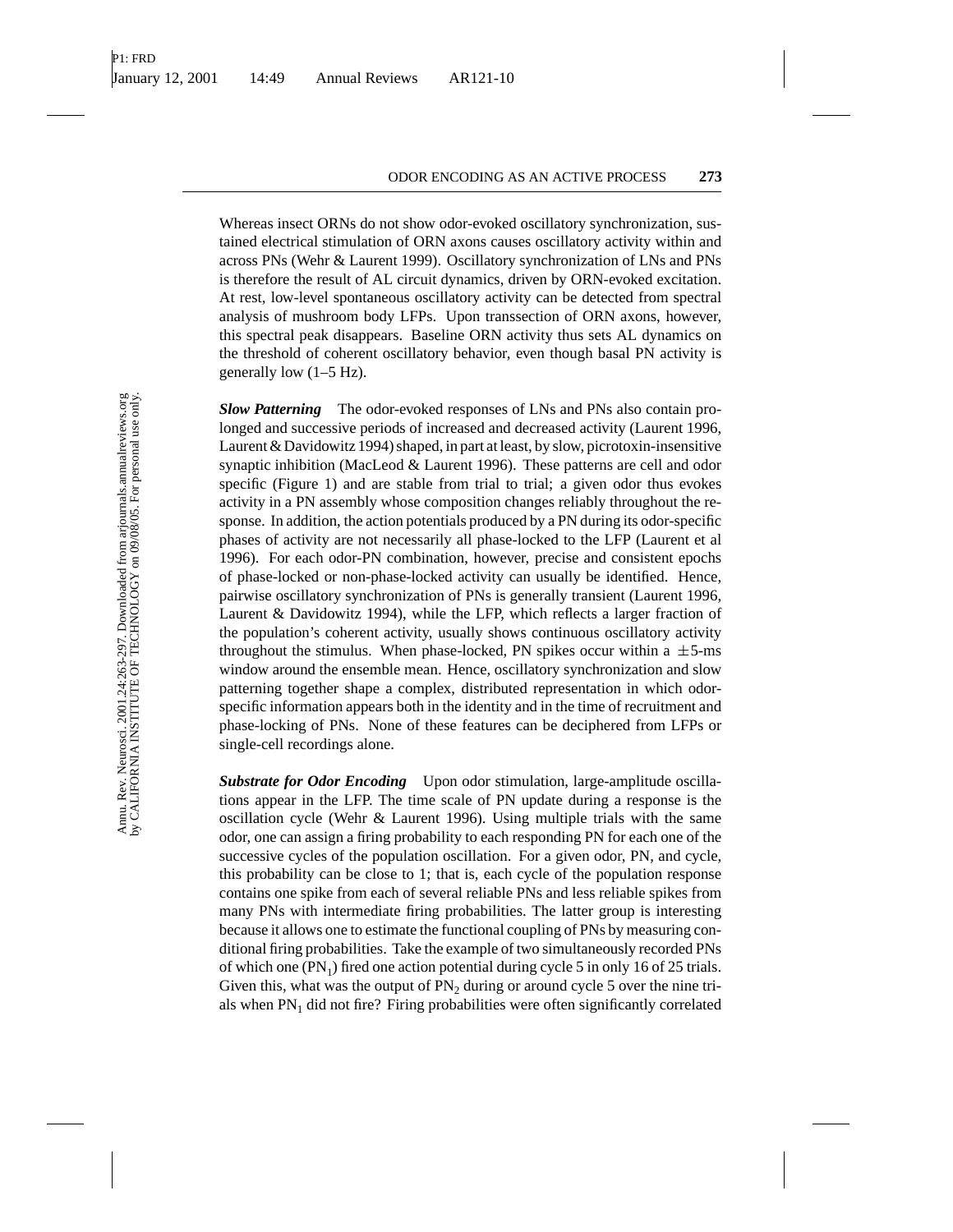Whereas insect ORNs do not show odor-evoked oscillatory synchronization, sustained electrical stimulation of ORN axons causes oscillatory activity within and across PNs (Wehr & Laurent 1999). Oscillatory synchronization of LNs and PNs is therefore the result of AL circuit dynamics, driven by ORN-evoked excitation. At rest, low-level spontaneous oscillatory activity can be detected from spectral analysis of mushroom body LFPs. Upon transsection of ORN axons, however, this spectral peak disappears. Baseline ORN activity thus sets AL dynamics on the threshold of coherent oscillatory behavior, even though basal PN activity is generally low (1–5 Hz).

*Slow Patterning* The odor-evoked responses of LNs and PNs also contain prolonged and successive periods of increased and decreased activity (Laurent 1996, Laurent & Davidowitz 1994) shaped, in part at least, by slow, picrotoxin-insensitive synaptic inhibition (MacLeod & Laurent 1996). These patterns are cell and odor specific (Figure 1) and are stable from trial to trial; a given odor thus evokes activity in a PN assembly whose composition changes reliably throughout the response. In addition, the action potentials produced by a PN during its odor-specific phases of activity are not necessarily all phase-locked to the LFP (Laurent et al 1996). For each odor-PN combination, however, precise and consistent epochs of phase-locked or non-phase-locked activity can usually be identified. Hence, pairwise oscillatory synchronization of PNs is generally transient (Laurent 1996, Laurent & Davidowitz 1994), while the LFP, which reflects a larger fraction of the population's coherent activity, usually shows continuous oscillatory activity throughout the stimulus. When phase-locked, PN spikes occur within a  $\pm$  5-ms window around the ensemble mean. Hence, oscillatory synchronization and slow patterning together shape a complex, distributed representation in which odorspecific information appears both in the identity and in the time of recruitment and phase-locking of PNs. None of these features can be deciphered from LFPs or single-cell recordings alone.

**Substrate for Odor Encoding** Upon odor stimulation, large-amplitude oscillations appear in the LFP. The time scale of PN update during a response is the oscillation cycle (Wehr & Laurent 1996). Using multiple trials with the same odor, one can assign a firing probability to each responding PN for each one of the successive cycles of the population oscillation. For a given odor, PN, and cycle, this probability can be close to 1; that is, each cycle of the population response contains one spike from each of several reliable PNs and less reliable spikes from many PNs with intermediate firing probabilities. The latter group is interesting because it allows one to estimate the functional coupling of PNs by measuring conditional firing probabilities. Take the example of two simultaneously recorded PNs of which one  $(PN_1)$  fired one action potential during cycle 5 in only 16 of 25 trials. Given this, what was the output of  $PN_2$  during or around cycle 5 over the nine trials when  $PN_1$  did not fire? Firing probabilities were often significantly correlated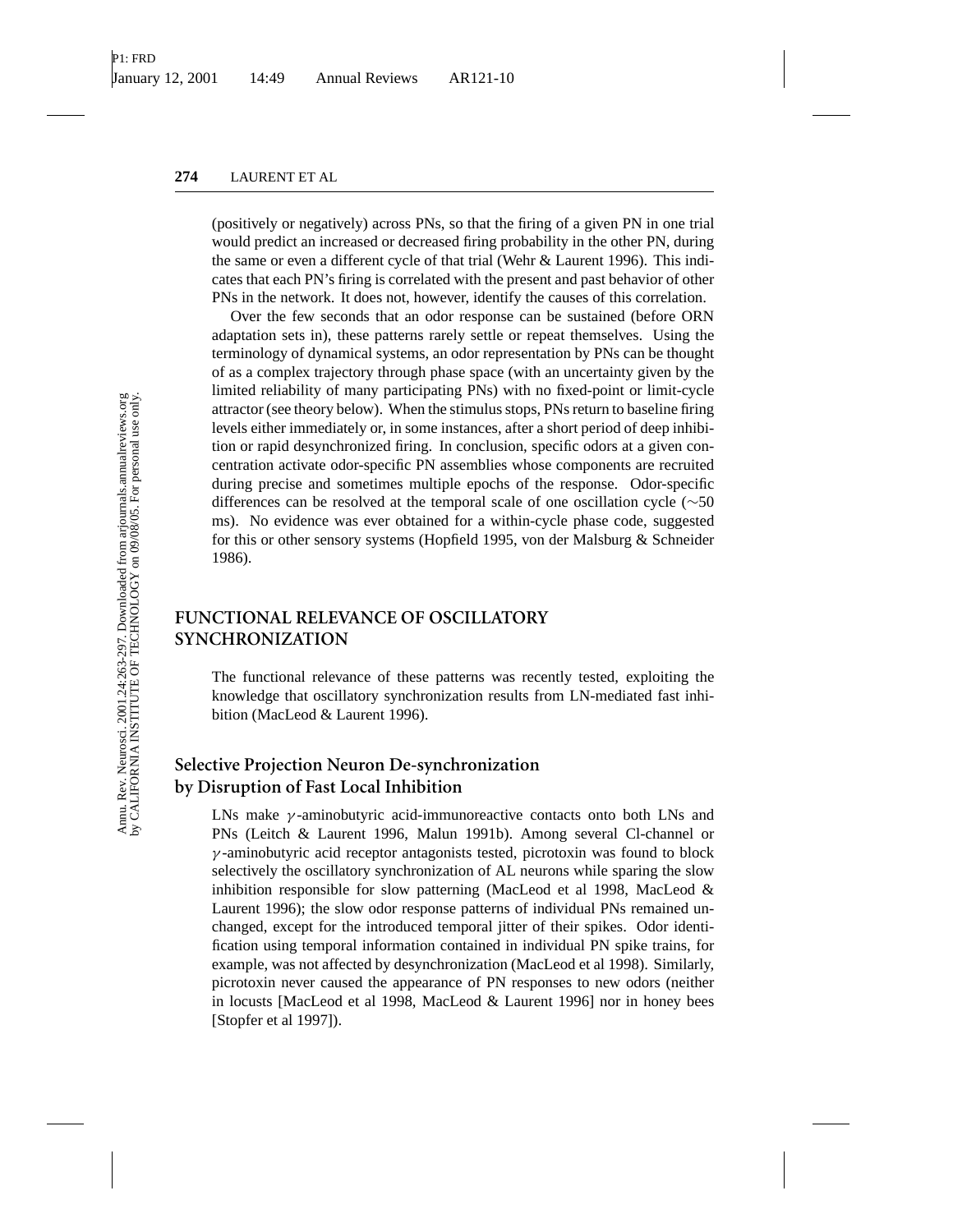(positively or negatively) across PNs, so that the firing of a given PN in one trial would predict an increased or decreased firing probability in the other PN, during the same or even a different cycle of that trial (Wehr & Laurent 1996). This indicates that each PN's firing is correlated with the present and past behavior of other PNs in the network. It does not, however, identify the causes of this correlation.

Over the few seconds that an odor response can be sustained (before ORN adaptation sets in), these patterns rarely settle or repeat themselves. Using the terminology of dynamical systems, an odor representation by PNs can be thought of as a complex trajectory through phase space (with an uncertainty given by the limited reliability of many participating PNs) with no fixed-point or limit-cycle attractor (see theory below). When the stimulus stops, PNs return to baseline firing levels either immediately or, in some instances, after a short period of deep inhibition or rapid desynchronized firing. In conclusion, specific odors at a given concentration activate odor-specific PN assemblies whose components are recruited during precise and sometimes multiple epochs of the response. Odor-specific differences can be resolved at the temporal scale of one oscillation cycle (∼50 ms). No evidence was ever obtained for a within-cycle phase code, suggested for this or other sensory systems (Hopfield 1995, von der Malsburg & Schneider 1986).

### **FUNCTIONAL RELEVANCE OF OSCILLATORY SYNCHRONIZATION**

The functional relevance of these patterns was recently tested, exploiting the knowledge that oscillatory synchronization results from LN-mediated fast inhibition (MacLeod & Laurent 1996).

### **Selective Projection Neuron De-synchronization by Disruption of Fast Local Inhibition**

LNs make  $\gamma$ -aminobutyric acid-immunoreactive contacts onto both LNs and PNs (Leitch & Laurent 1996, Malun 1991b). Among several Cl-channel or  $\gamma$ -aminobutyric acid receptor antagonists tested, picrotoxin was found to block selectively the oscillatory synchronization of AL neurons while sparing the slow inhibition responsible for slow patterning (MacLeod et al 1998, MacLeod & Laurent 1996); the slow odor response patterns of individual PNs remained unchanged, except for the introduced temporal jitter of their spikes. Odor identification using temporal information contained in individual PN spike trains, for example, was not affected by desynchronization (MacLeod et al 1998). Similarly, picrotoxin never caused the appearance of PN responses to new odors (neither in locusts [MacLeod et al 1998, MacLeod & Laurent 1996] nor in honey bees [Stopfer et al 1997]).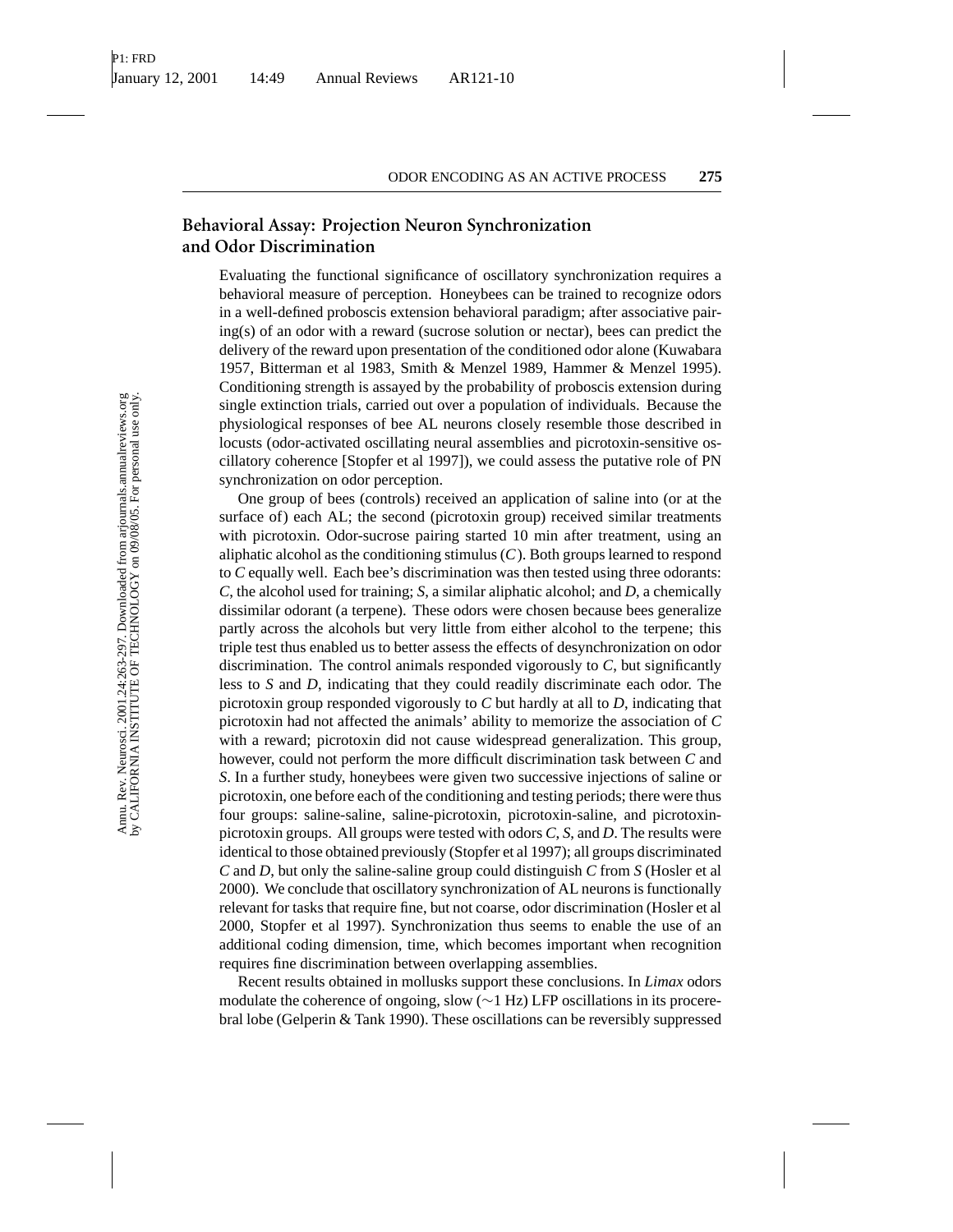### **Behavioral Assay: Projection Neuron Synchronization and Odor Discrimination**

Evaluating the functional significance of oscillatory synchronization requires a behavioral measure of perception. Honeybees can be trained to recognize odors in a well-defined proboscis extension behavioral paradigm; after associative pairing(s) of an odor with a reward (sucrose solution or nectar), bees can predict the delivery of the reward upon presentation of the conditioned odor alone (Kuwabara 1957, Bitterman et al 1983, Smith & Menzel 1989, Hammer & Menzel 1995). Conditioning strength is assayed by the probability of proboscis extension during single extinction trials, carried out over a population of individuals. Because the physiological responses of bee AL neurons closely resemble those described in locusts (odor-activated oscillating neural assemblies and picrotoxin-sensitive oscillatory coherence [Stopfer et al 1997]), we could assess the putative role of PN synchronization on odor perception.

One group of bees (controls) received an application of saline into (or at the surface of) each AL; the second (picrotoxin group) received similar treatments with picrotoxin. Odor-sucrose pairing started 10 min after treatment, using an aliphatic alcohol as the conditioning stimulus (*C*). Both groups learned to respond to *C* equally well. Each bee's discrimination was then tested using three odorants: *C*, the alcohol used for training; *S*, a similar aliphatic alcohol; and *D*, a chemically dissimilar odorant (a terpene). These odors were chosen because bees generalize partly across the alcohols but very little from either alcohol to the terpene; this triple test thus enabled us to better assess the effects of desynchronization on odor discrimination. The control animals responded vigorously to *C*, but significantly less to *S* and *D*, indicating that they could readily discriminate each odor. The picrotoxin group responded vigorously to *C* but hardly at all to *D*, indicating that picrotoxin had not affected the animals' ability to memorize the association of *C* with a reward; picrotoxin did not cause widespread generalization. This group, however, could not perform the more difficult discrimination task between *C* and *S*. In a further study, honeybees were given two successive injections of saline or picrotoxin, one before each of the conditioning and testing periods; there were thus four groups: saline-saline, saline-picrotoxin, picrotoxin-saline, and picrotoxinpicrotoxin groups. All groups were tested with odors *C*, *S*, and *D*. The results were identical to those obtained previously (Stopfer et al 1997); all groups discriminated *C* and *D*, but only the saline-saline group could distinguish *C* from *S* (Hosler et al 2000). We conclude that oscillatory synchronization of AL neurons is functionally relevant for tasks that require fine, but not coarse, odor discrimination (Hosler et al 2000, Stopfer et al 1997). Synchronization thus seems to enable the use of an additional coding dimension, time, which becomes important when recognition requires fine discrimination between overlapping assemblies.

Recent results obtained in mollusks support these conclusions. In *Limax* odors modulate the coherence of ongoing, slow (∼1 Hz) LFP oscillations in its procerebral lobe (Gelperin & Tank 1990). These oscillations can be reversibly suppressed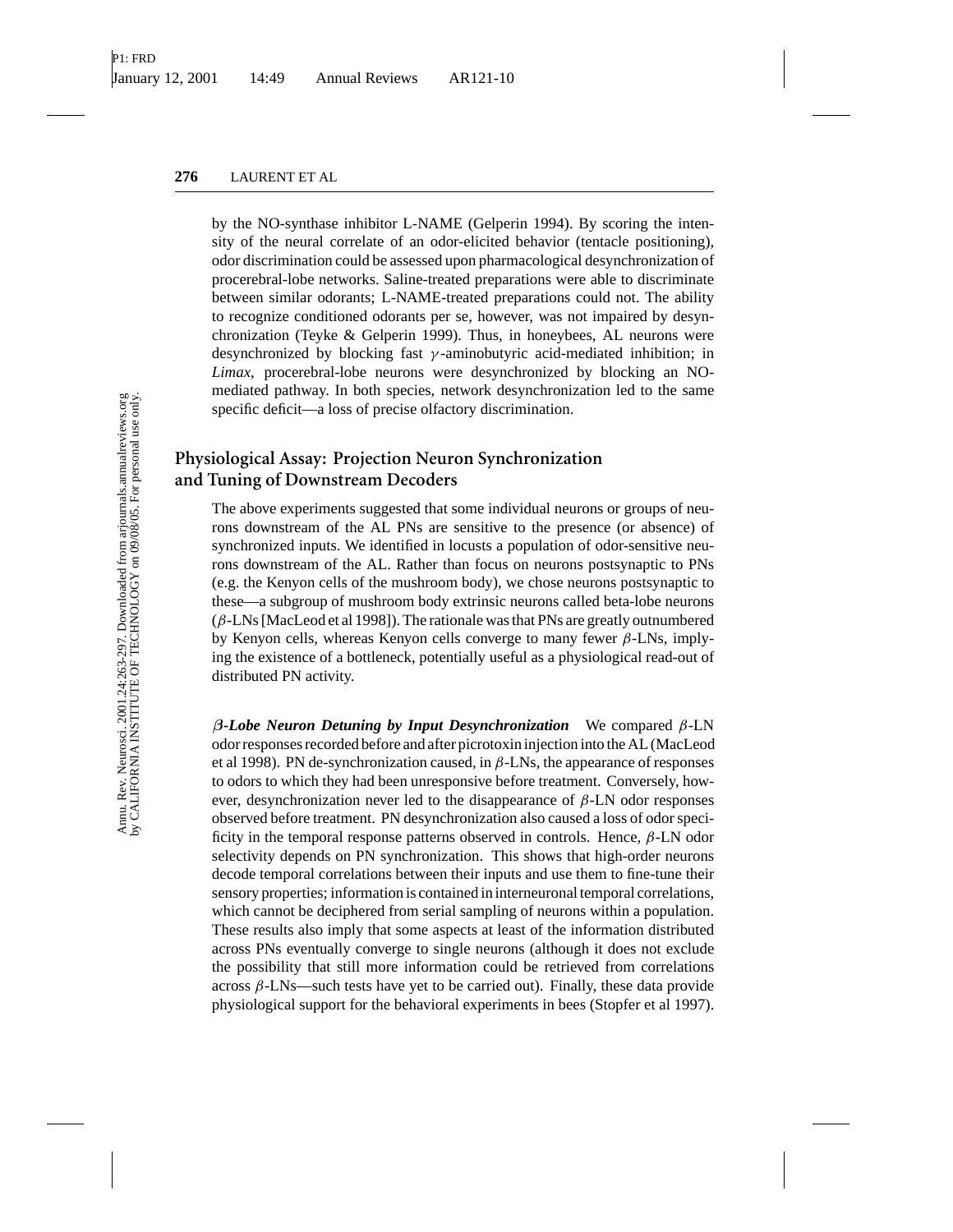by the NO-synthase inhibitor L-NAME (Gelperin 1994). By scoring the intensity of the neural correlate of an odor-elicited behavior (tentacle positioning), odor discrimination could be assessed upon pharmacological desynchronization of procerebral-lobe networks. Saline-treated preparations were able to discriminate between similar odorants; L-NAME-treated preparations could not. The ability to recognize conditioned odorants per se, however, was not impaired by desynchronization (Teyke & Gelperin 1999). Thus, in honeybees, AL neurons were desynchronized by blocking fast  $\gamma$ -aminobutyric acid-mediated inhibition; in *Limax*, procerebral-lobe neurons were desynchronized by blocking an NOmediated pathway. In both species, network desynchronization led to the same specific deficit—a loss of precise olfactory discrimination.

### **Physiological Assay: Projection Neuron Synchronization and Tuning of Downstream Decoders**

The above experiments suggested that some individual neurons or groups of neurons downstream of the AL PNs are sensitive to the presence (or absence) of synchronized inputs. We identified in locusts a population of odor-sensitive neurons downstream of the AL. Rather than focus on neurons postsynaptic to PNs (e.g. the Kenyon cells of the mushroom body), we chose neurons postsynaptic to these—a subgroup of mushroom body extrinsic neurons called beta-lobe neurons  $(\beta$ -LNs [MacLeod et al 1998]). The rationale was that PNs are greatly outnumbered by Kenyon cells, whereas Kenyon cells converge to many fewer  $\beta$ -LNs, implying the existence of a bottleneck, potentially useful as a physiological read-out of distributed PN activity.

*β-Lobe Neuron Detuning by Input Desynchronization* We compared β-LN odor responses recorded before and after picrotoxin injection into the AL (MacLeod et al 1998). PN de-synchronization caused, in  $\beta$ -LNs, the appearance of responses to odors to which they had been unresponsive before treatment. Conversely, however, desynchronization never led to the disappearance of  $\beta$ -LN odor responses observed before treatment. PN desynchronization also caused a loss of odor specificity in the temporal response patterns observed in controls. Hence,  $\beta$ -LN odor selectivity depends on PN synchronization. This shows that high-order neurons decode temporal correlations between their inputs and use them to fine-tune their sensory properties; information is contained in interneuronal temporal correlations, which cannot be deciphered from serial sampling of neurons within a population. These results also imply that some aspects at least of the information distributed across PNs eventually converge to single neurons (although it does not exclude the possibility that still more information could be retrieved from correlations across β-LNs—such tests have yet to be carried out). Finally, these data provide physiological support for the behavioral experiments in bees (Stopfer et al 1997).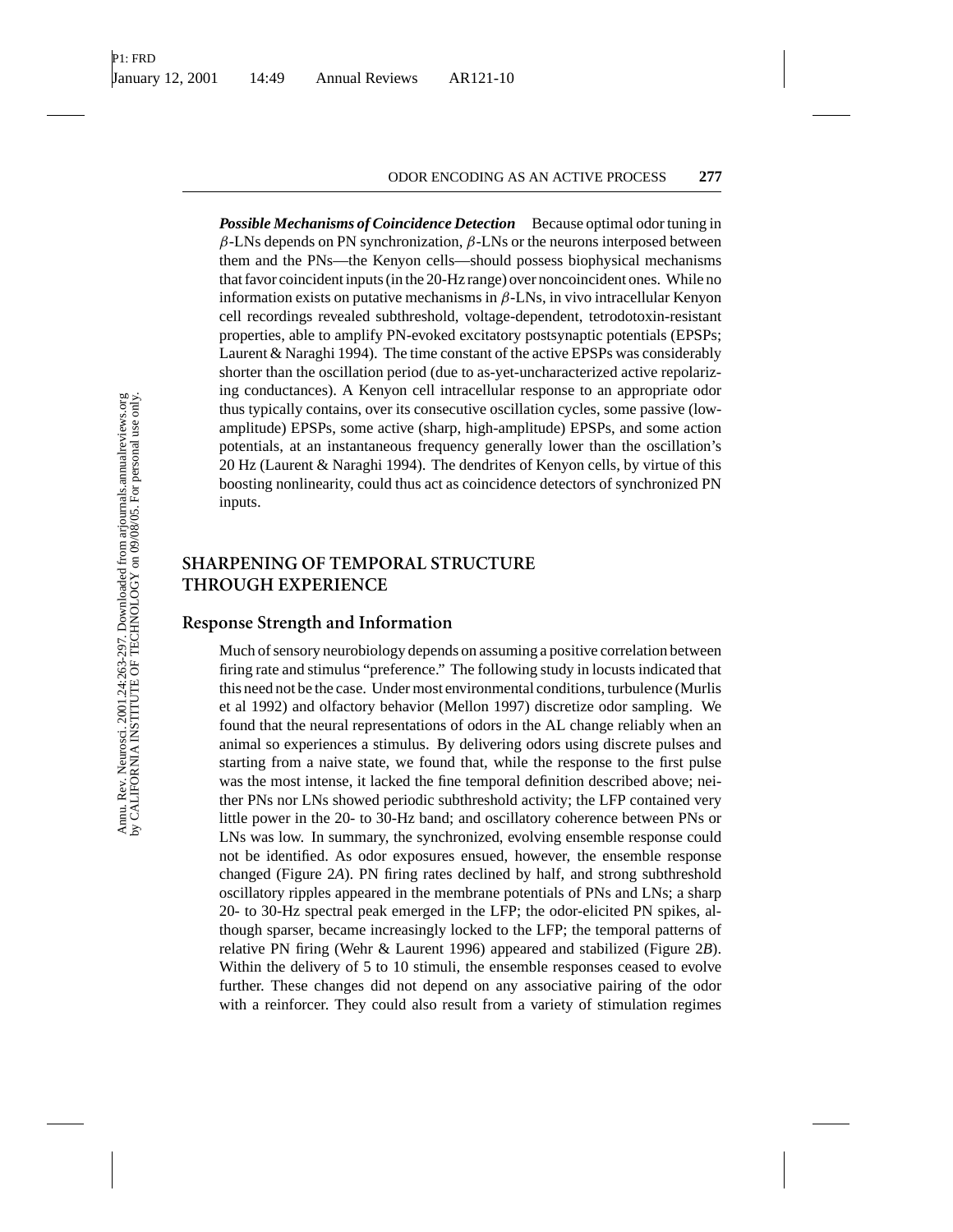*Possible Mechanisms of Coincidence Detection* Because optimal odor tuning in  $β$ -LNs depends on PN synchronization,  $β$ -LNs or the neurons interposed between them and the PNs—the Kenyon cells—should possess biophysical mechanisms that favor coincident inputs (in the 20-Hz range) over noncoincident ones. While no information exists on putative mechanisms in  $\beta$ -LNs, in vivo intracellular Kenyon cell recordings revealed subthreshold, voltage-dependent, tetrodotoxin-resistant properties, able to amplify PN-evoked excitatory postsynaptic potentials (EPSPs; Laurent & Naraghi 1994). The time constant of the active EPSPs was considerably shorter than the oscillation period (due to as-yet-uncharacterized active repolarizing conductances). A Kenyon cell intracellular response to an appropriate odor thus typically contains, over its consecutive oscillation cycles, some passive (lowamplitude) EPSPs, some active (sharp, high-amplitude) EPSPs, and some action potentials, at an instantaneous frequency generally lower than the oscillation's 20 Hz (Laurent & Naraghi 1994). The dendrites of Kenyon cells, by virtue of this boosting nonlinearity, could thus act as coincidence detectors of synchronized PN inputs.

### **SHARPENING OF TEMPORAL STRUCTURE THROUGH EXPERIENCE**

#### **Response Strength and Information**

Much of sensory neurobiology depends on assuming a positive correlation between firing rate and stimulus "preference." The following study in locusts indicated that this need not be the case. Under most environmental conditions, turbulence (Murlis et al 1992) and olfactory behavior (Mellon 1997) discretize odor sampling. We found that the neural representations of odors in the AL change reliably when an animal so experiences a stimulus. By delivering odors using discrete pulses and starting from a naive state, we found that, while the response to the first pulse was the most intense, it lacked the fine temporal definition described above; neither PNs nor LNs showed periodic subthreshold activity; the LFP contained very little power in the 20- to 30-Hz band; and oscillatory coherence between PNs or LNs was low. In summary, the synchronized, evolving ensemble response could not be identified. As odor exposures ensued, however, the ensemble response changed (Figure 2*A*). PN firing rates declined by half, and strong subthreshold oscillatory ripples appeared in the membrane potentials of PNs and LNs; a sharp 20- to 30-Hz spectral peak emerged in the LFP; the odor-elicited PN spikes, although sparser, became increasingly locked to the LFP; the temporal patterns of relative PN firing (Wehr & Laurent 1996) appeared and stabilized (Figure 2*B*). Within the delivery of 5 to 10 stimuli, the ensemble responses ceased to evolve further. These changes did not depend on any associative pairing of the odor with a reinforcer. They could also result from a variety of stimulation regimes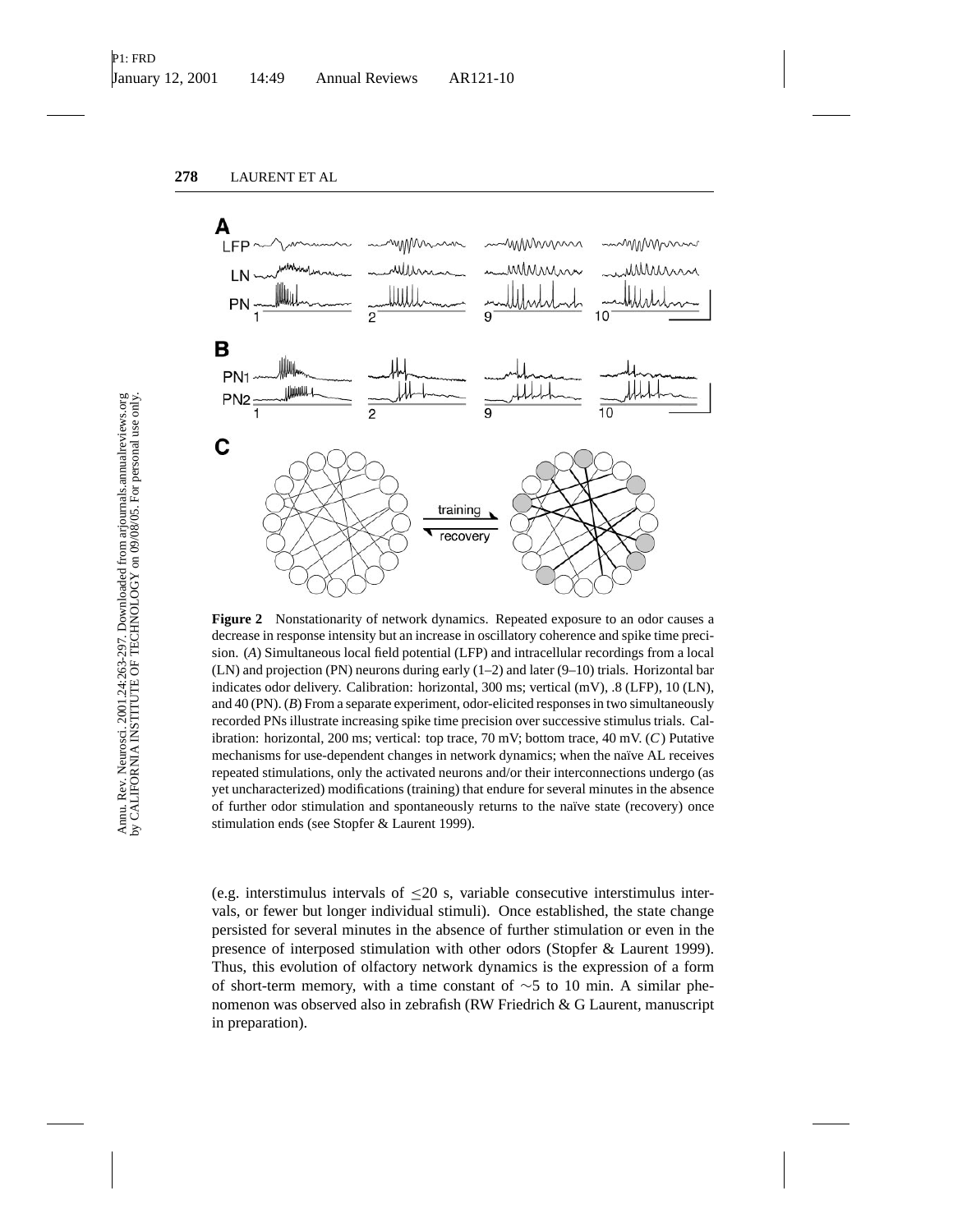

**Figure 2** Nonstationarity of network dynamics. Repeated exposure to an odor causes a decrease in response intensity but an increase in oscillatory coherence and spike time precision. (*A*) Simultaneous local field potential (LFP) and intracellular recordings from a local (LN) and projection (PN) neurons during early (1–2) and later (9–10) trials. Horizontal bar indicates odor delivery. Calibration: horizontal, 300 ms; vertical (mV), .8 (LFP), 10 (LN), and 40 (PN). (*B*) From a separate experiment, odor-elicited responses in two simultaneously recorded PNs illustrate increasing spike time precision over successive stimulus trials. Calibration: horizontal, 200 ms; vertical: top trace, 70 mV; bottom trace, 40 mV. (*C*) Putative mechanisms for use-dependent changes in network dynamics; when the naïve AL receives repeated stimulations, only the activated neurons and/or their interconnections undergo (as yet uncharacterized) modifications (training) that endure for several minutes in the absence of further odor stimulation and spontaneously returns to the naïve state (recovery) once stimulation ends (see Stopfer & Laurent 1999).

(e.g. interstimulus intervals of  $\leq 20$  s, variable consecutive interstimulus intervals, or fewer but longer individual stimuli). Once established, the state change persisted for several minutes in the absence of further stimulation or even in the presence of interposed stimulation with other odors (Stopfer & Laurent 1999). Thus, this evolution of olfactory network dynamics is the expression of a form of short-term memory, with a time constant of  $\sim$ 5 to 10 min. A similar phenomenon was observed also in zebrafish (RW Friedrich & G Laurent, manuscript in preparation).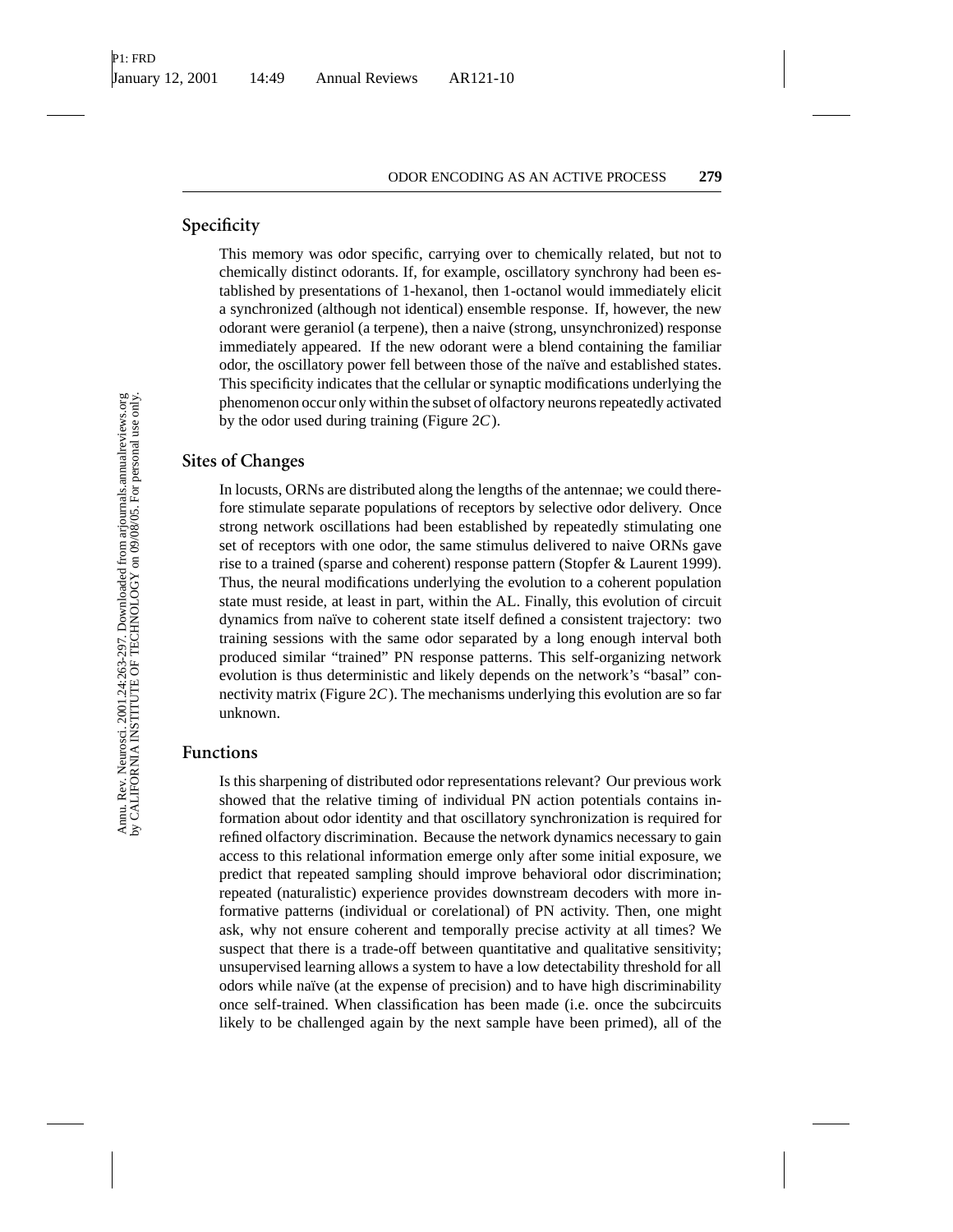#### **Specificity**

This memory was odor specific, carrying over to chemically related, but not to chemically distinct odorants. If, for example, oscillatory synchrony had been established by presentations of 1-hexanol, then 1-octanol would immediately elicit a synchronized (although not identical) ensemble response. If, however, the new odorant were geraniol (a terpene), then a naive (strong, unsynchronized) response immediately appeared. If the new odorant were a blend containing the familiar odor, the oscillatory power fell between those of the na¨ıve and established states. This specificity indicates that the cellular or synaptic modifications underlying the phenomenon occur only within the subset of olfactory neurons repeatedly activated by the odor used during training (Figure 2*C*).

#### **Sites of Changes**

In locusts, ORNs are distributed along the lengths of the antennae; we could therefore stimulate separate populations of receptors by selective odor delivery. Once strong network oscillations had been established by repeatedly stimulating one set of receptors with one odor, the same stimulus delivered to naive ORNs gave rise to a trained (sparse and coherent) response pattern (Stopfer & Laurent 1999). Thus, the neural modifications underlying the evolution to a coherent population state must reside, at least in part, within the AL. Finally, this evolution of circuit dynamics from naïve to coherent state itself defined a consistent trajectory: two training sessions with the same odor separated by a long enough interval both produced similar "trained" PN response patterns. This self-organizing network evolution is thus deterministic and likely depends on the network's "basal" connectivity matrix (Figure 2*C*). The mechanisms underlying this evolution are so far unknown.

#### **Functions**

Is this sharpening of distributed odor representations relevant? Our previous work showed that the relative timing of individual PN action potentials contains information about odor identity and that oscillatory synchronization is required for refined olfactory discrimination. Because the network dynamics necessary to gain access to this relational information emerge only after some initial exposure, we predict that repeated sampling should improve behavioral odor discrimination; repeated (naturalistic) experience provides downstream decoders with more informative patterns (individual or corelational) of PN activity. Then, one might ask, why not ensure coherent and temporally precise activity at all times? We suspect that there is a trade-off between quantitative and qualitative sensitivity; unsupervised learning allows a system to have a low detectability threshold for all odors while naïve (at the expense of precision) and to have high discriminability once self-trained. When classification has been made (i.e. once the subcircuits likely to be challenged again by the next sample have been primed), all of the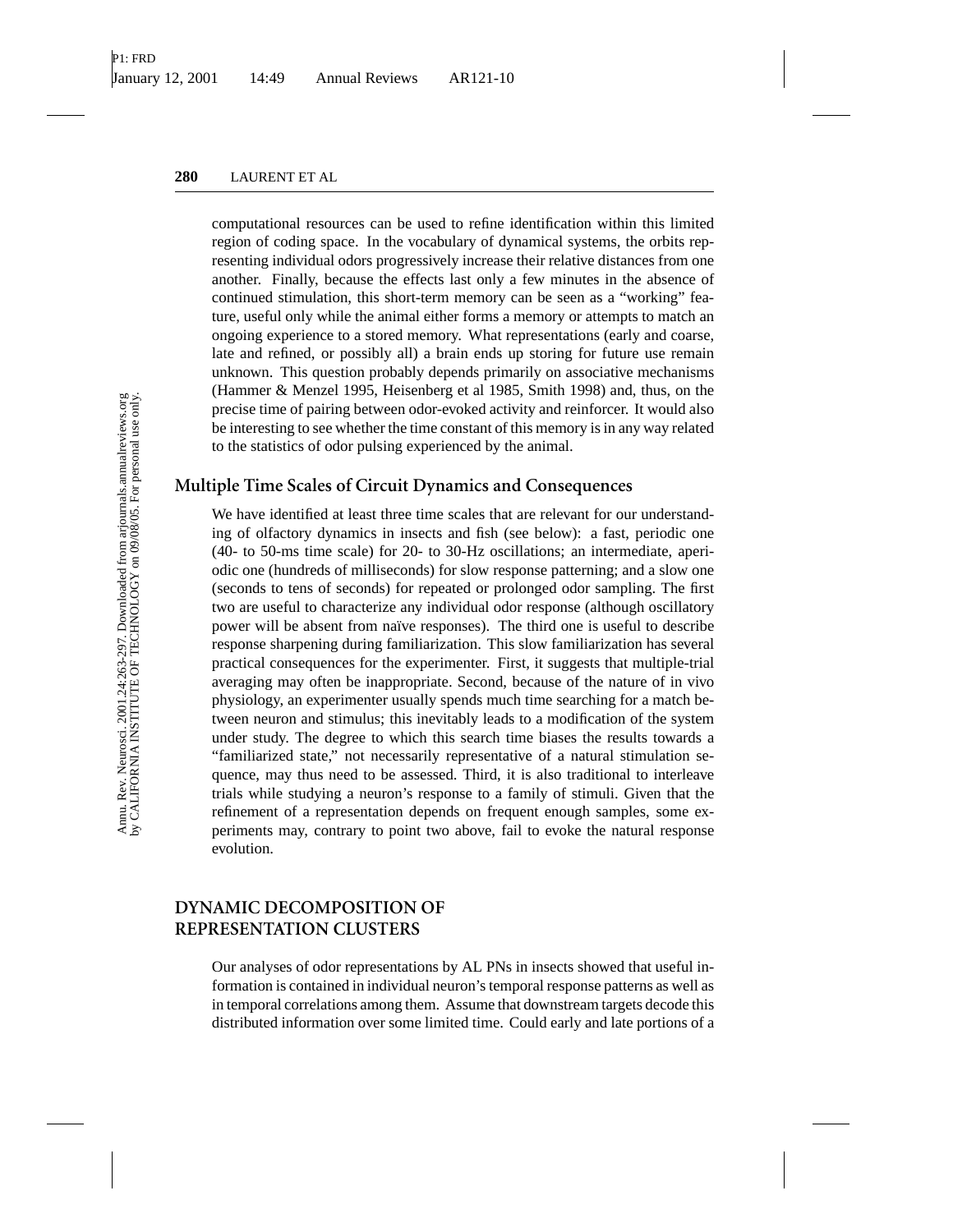computational resources can be used to refine identification within this limited region of coding space. In the vocabulary of dynamical systems, the orbits representing individual odors progressively increase their relative distances from one another. Finally, because the effects last only a few minutes in the absence of continued stimulation, this short-term memory can be seen as a "working" feature, useful only while the animal either forms a memory or attempts to match an ongoing experience to a stored memory. What representations (early and coarse, late and refined, or possibly all) a brain ends up storing for future use remain unknown. This question probably depends primarily on associative mechanisms (Hammer & Menzel 1995, Heisenberg et al 1985, Smith 1998) and, thus, on the precise time of pairing between odor-evoked activity and reinforcer. It would also be interesting to see whether the time constant of this memory is in any way related to the statistics of odor pulsing experienced by the animal.

### **Multiple Time Scales of Circuit Dynamics and Consequences**

We have identified at least three time scales that are relevant for our understanding of olfactory dynamics in insects and fish (see below): a fast, periodic one (40- to 50-ms time scale) for 20- to 30-Hz oscillations; an intermediate, aperiodic one (hundreds of milliseconds) for slow response patterning; and a slow one (seconds to tens of seconds) for repeated or prolonged odor sampling. The first two are useful to characterize any individual odor response (although oscillatory power will be absent from naïve responses). The third one is useful to describe response sharpening during familiarization. This slow familiarization has several practical consequences for the experimenter. First, it suggests that multiple-trial averaging may often be inappropriate. Second, because of the nature of in vivo physiology, an experimenter usually spends much time searching for a match between neuron and stimulus; this inevitably leads to a modification of the system under study. The degree to which this search time biases the results towards a "familiarized state," not necessarily representative of a natural stimulation sequence, may thus need to be assessed. Third, it is also traditional to interleave trials while studying a neuron's response to a family of stimuli. Given that the refinement of a representation depends on frequent enough samples, some experiments may, contrary to point two above, fail to evoke the natural response evolution.

### **DYNAMIC DECOMPOSITION OF REPRESENTATION CLUSTERS**

Our analyses of odor representations by AL PNs in insects showed that useful information is contained in individual neuron's temporal response patterns as well as in temporal correlations among them. Assume that downstream targets decode this distributed information over some limited time. Could early and late portions of a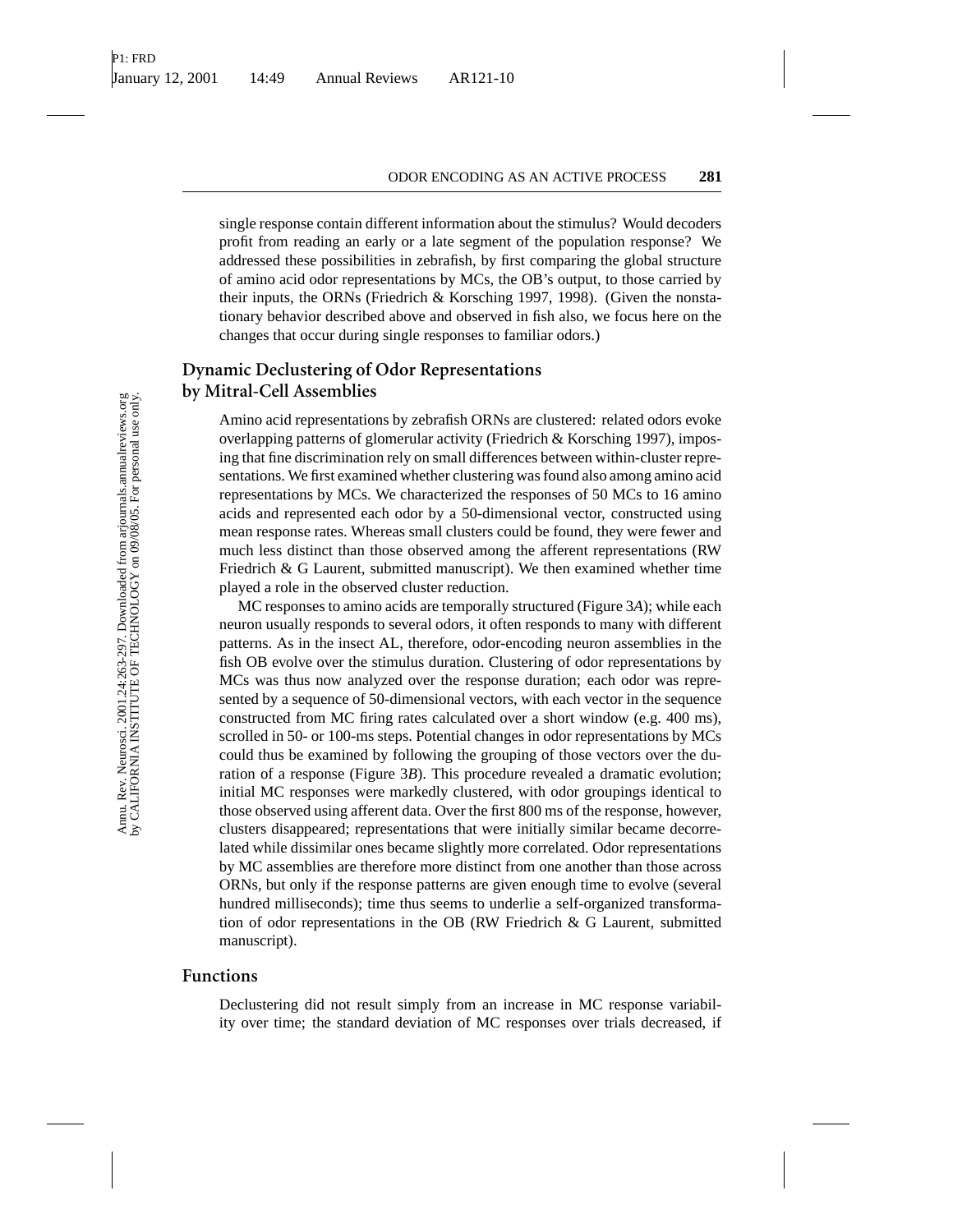single response contain different information about the stimulus? Would decoders profit from reading an early or a late segment of the population response? We addressed these possibilities in zebrafish, by first comparing the global structure of amino acid odor representations by MCs, the OB's output, to those carried by their inputs, the ORNs (Friedrich & Korsching 1997, 1998). (Given the nonstationary behavior described above and observed in fish also, we focus here on the changes that occur during single responses to familiar odors.)

### **Dynamic Declustering of Odor Representations by Mitral-Cell Assemblies**

Amino acid representations by zebrafish ORNs are clustered: related odors evoke overlapping patterns of glomerular activity (Friedrich & Korsching 1997), imposing that fine discrimination rely on small differences between within-cluster representations. We first examined whether clustering was found also among amino acid representations by MCs. We characterized the responses of 50 MCs to 16 amino acids and represented each odor by a 50-dimensional vector, constructed using mean response rates. Whereas small clusters could be found, they were fewer and much less distinct than those observed among the afferent representations (RW Friedrich & G Laurent, submitted manuscript). We then examined whether time played a role in the observed cluster reduction.

MC responses to amino acids are temporally structured (Figure 3*A*); while each neuron usually responds to several odors, it often responds to many with different patterns. As in the insect AL, therefore, odor-encoding neuron assemblies in the fish OB evolve over the stimulus duration. Clustering of odor representations by MCs was thus now analyzed over the response duration; each odor was represented by a sequence of 50-dimensional vectors, with each vector in the sequence constructed from MC firing rates calculated over a short window (e.g. 400 ms), scrolled in 50- or 100-ms steps. Potential changes in odor representations by MCs could thus be examined by following the grouping of those vectors over the duration of a response (Figure 3*B*). This procedure revealed a dramatic evolution; initial MC responses were markedly clustered, with odor groupings identical to those observed using afferent data. Over the first 800 ms of the response, however, clusters disappeared; representations that were initially similar became decorrelated while dissimilar ones became slightly more correlated. Odor representations by MC assemblies are therefore more distinct from one another than those across ORNs, but only if the response patterns are given enough time to evolve (several hundred milliseconds); time thus seems to underlie a self-organized transformation of odor representations in the OB (RW Friedrich & G Laurent, submitted manuscript).

#### **Functions**

Declustering did not result simply from an increase in MC response variability over time; the standard deviation of MC responses over trials decreased, if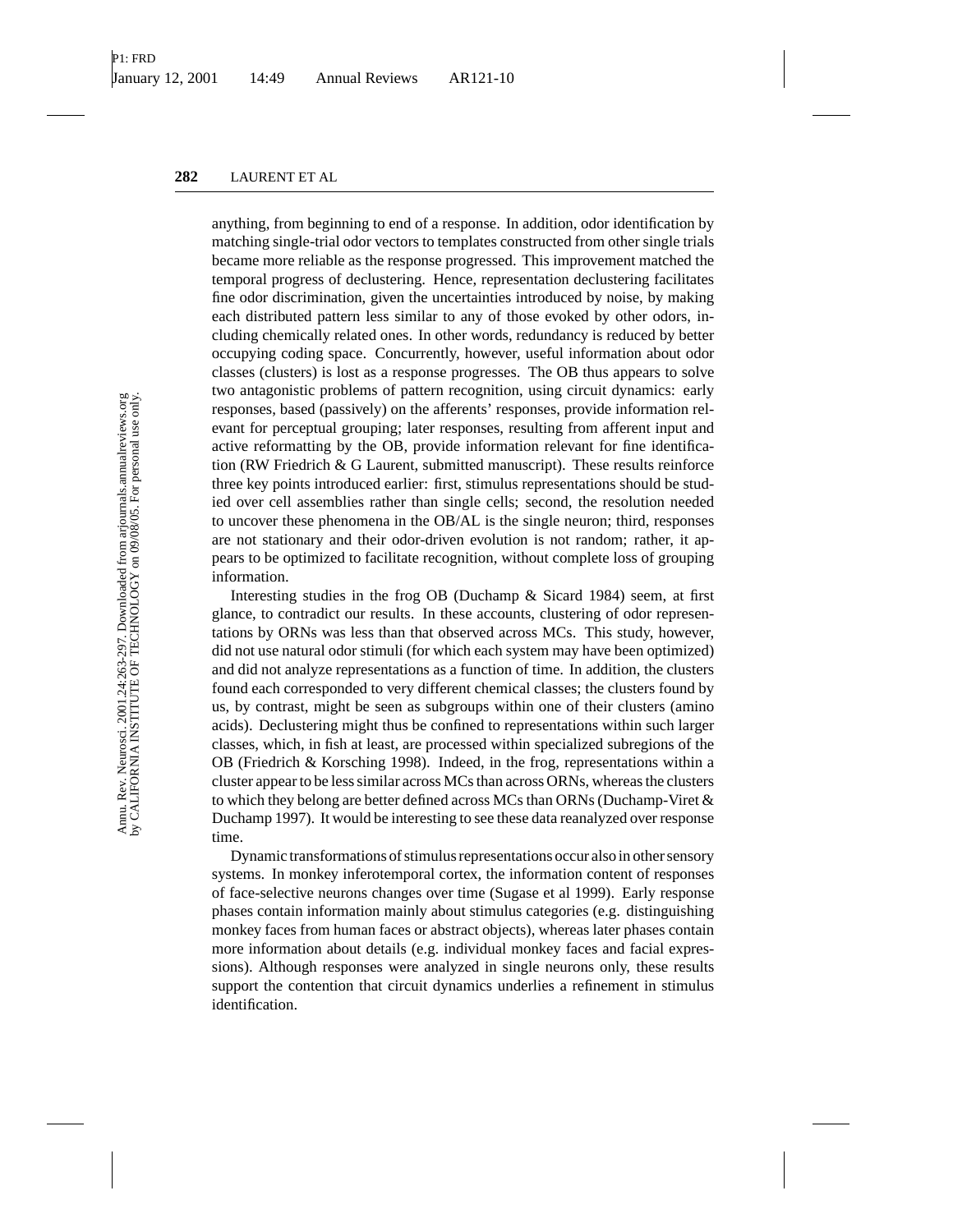anything, from beginning to end of a response. In addition, odor identification by matching single-trial odor vectors to templates constructed from other single trials became more reliable as the response progressed. This improvement matched the temporal progress of declustering. Hence, representation declustering facilitates fine odor discrimination, given the uncertainties introduced by noise, by making each distributed pattern less similar to any of those evoked by other odors, including chemically related ones. In other words, redundancy is reduced by better occupying coding space. Concurrently, however, useful information about odor classes (clusters) is lost as a response progresses. The OB thus appears to solve two antagonistic problems of pattern recognition, using circuit dynamics: early responses, based (passively) on the afferents' responses, provide information relevant for perceptual grouping; later responses, resulting from afferent input and active reformatting by the OB, provide information relevant for fine identification (RW Friedrich & G Laurent, submitted manuscript). These results reinforce three key points introduced earlier: first, stimulus representations should be studied over cell assemblies rather than single cells; second, the resolution needed to uncover these phenomena in the OB/AL is the single neuron; third, responses are not stationary and their odor-driven evolution is not random; rather, it appears to be optimized to facilitate recognition, without complete loss of grouping information.

Interesting studies in the frog OB (Duchamp & Sicard 1984) seem, at first glance, to contradict our results. In these accounts, clustering of odor representations by ORNs was less than that observed across MCs. This study, however, did not use natural odor stimuli (for which each system may have been optimized) and did not analyze representations as a function of time. In addition, the clusters found each corresponded to very different chemical classes; the clusters found by us, by contrast, might be seen as subgroups within one of their clusters (amino acids). Declustering might thus be confined to representations within such larger classes, which, in fish at least, are processed within specialized subregions of the OB (Friedrich & Korsching 1998). Indeed, in the frog, representations within a cluster appear to be less similar across MCs than across ORNs, whereas the clusters to which they belong are better defined across MCs than ORNs (Duchamp-Viret & Duchamp 1997). It would be interesting to see these data reanalyzed over response time.

Dynamic transformations of stimulus representations occur also in other sensory systems. In monkey inferotemporal cortex, the information content of responses of face-selective neurons changes over time (Sugase et al 1999). Early response phases contain information mainly about stimulus categories (e.g. distinguishing monkey faces from human faces or abstract objects), whereas later phases contain more information about details (e.g. individual monkey faces and facial expressions). Although responses were analyzed in single neurons only, these results support the contention that circuit dynamics underlies a refinement in stimulus identification.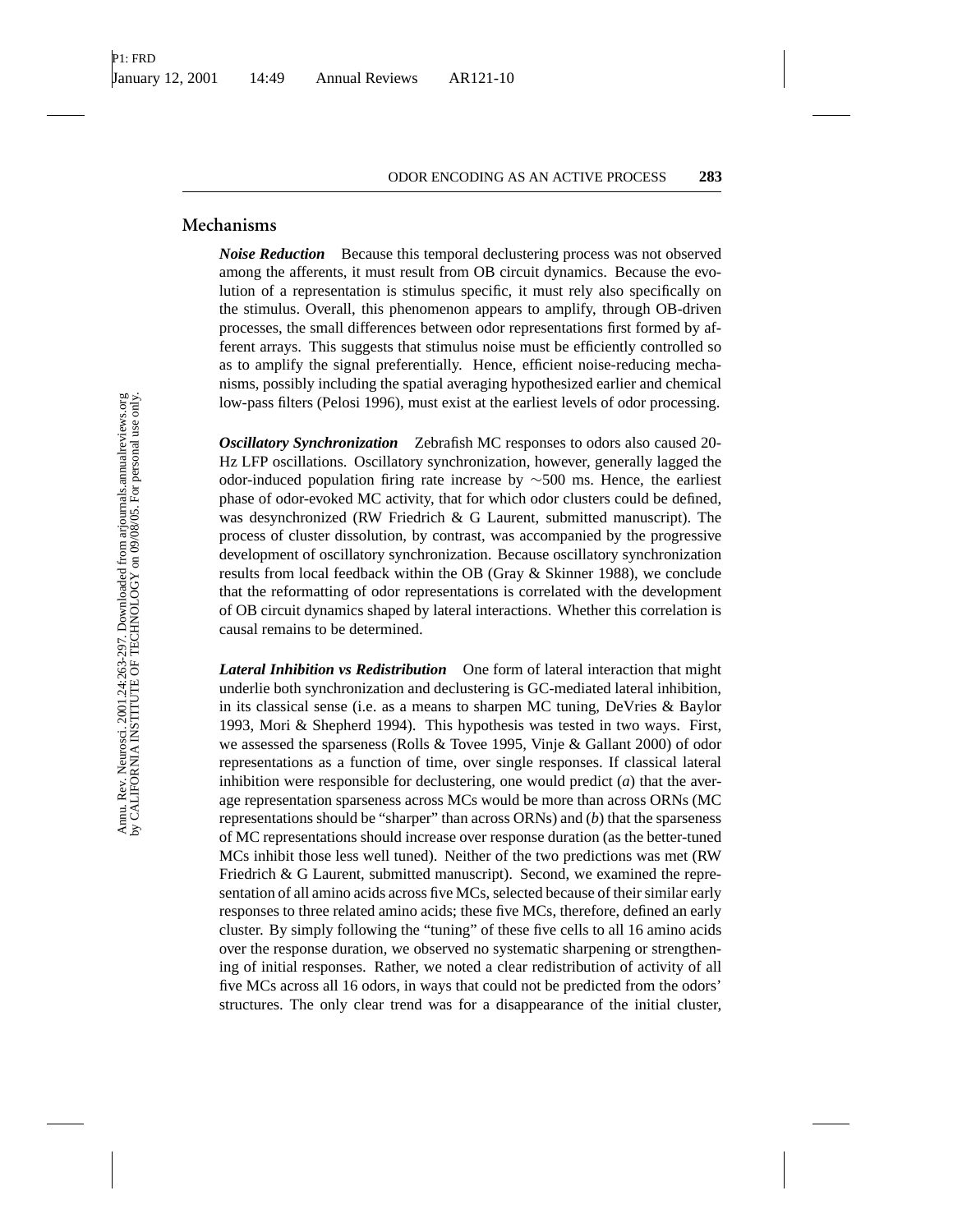#### **Mechanisms**

*Noise Reduction* Because this temporal declustering process was not observed among the afferents, it must result from OB circuit dynamics. Because the evolution of a representation is stimulus specific, it must rely also specifically on the stimulus. Overall, this phenomenon appears to amplify, through OB-driven processes, the small differences between odor representations first formed by afferent arrays. This suggests that stimulus noise must be efficiently controlled so as to amplify the signal preferentially. Hence, efficient noise-reducing mechanisms, possibly including the spatial averaging hypothesized earlier and chemical low-pass filters (Pelosi 1996), must exist at the earliest levels of odor processing.

*Oscillatory Synchronization* Zebrafish MC responses to odors also caused 20- Hz LFP oscillations. Oscillatory synchronization, however, generally lagged the odor-induced population firing rate increase by ∼500 ms. Hence, the earliest phase of odor-evoked MC activity, that for which odor clusters could be defined, was desynchronized (RW Friedrich & G Laurent, submitted manuscript). The process of cluster dissolution, by contrast, was accompanied by the progressive development of oscillatory synchronization. Because oscillatory synchronization results from local feedback within the OB (Gray & Skinner 1988), we conclude that the reformatting of odor representations is correlated with the development of OB circuit dynamics shaped by lateral interactions. Whether this correlation is causal remains to be determined.

*Lateral Inhibition vs Redistribution* One form of lateral interaction that might underlie both synchronization and declustering is GC-mediated lateral inhibition, in its classical sense (i.e. as a means to sharpen MC tuning, DeVries & Baylor 1993, Mori & Shepherd 1994). This hypothesis was tested in two ways. First, we assessed the sparseness (Rolls & Tovee 1995, Vinje & Gallant 2000) of odor representations as a function of time, over single responses. If classical lateral inhibition were responsible for declustering, one would predict (*a*) that the average representation sparseness across MCs would be more than across ORNs (MC representations should be "sharper" than across ORNs) and (*b*) that the sparseness of MC representations should increase over response duration (as the better-tuned MCs inhibit those less well tuned). Neither of the two predictions was met (RW Friedrich & G Laurent, submitted manuscript). Second, we examined the representation of all amino acids across five MCs, selected because of their similar early responses to three related amino acids; these five MCs, therefore, defined an early cluster. By simply following the "tuning" of these five cells to all 16 amino acids over the response duration, we observed no systematic sharpening or strengthening of initial responses. Rather, we noted a clear redistribution of activity of all five MCs across all 16 odors, in ways that could not be predicted from the odors' structures. The only clear trend was for a disappearance of the initial cluster,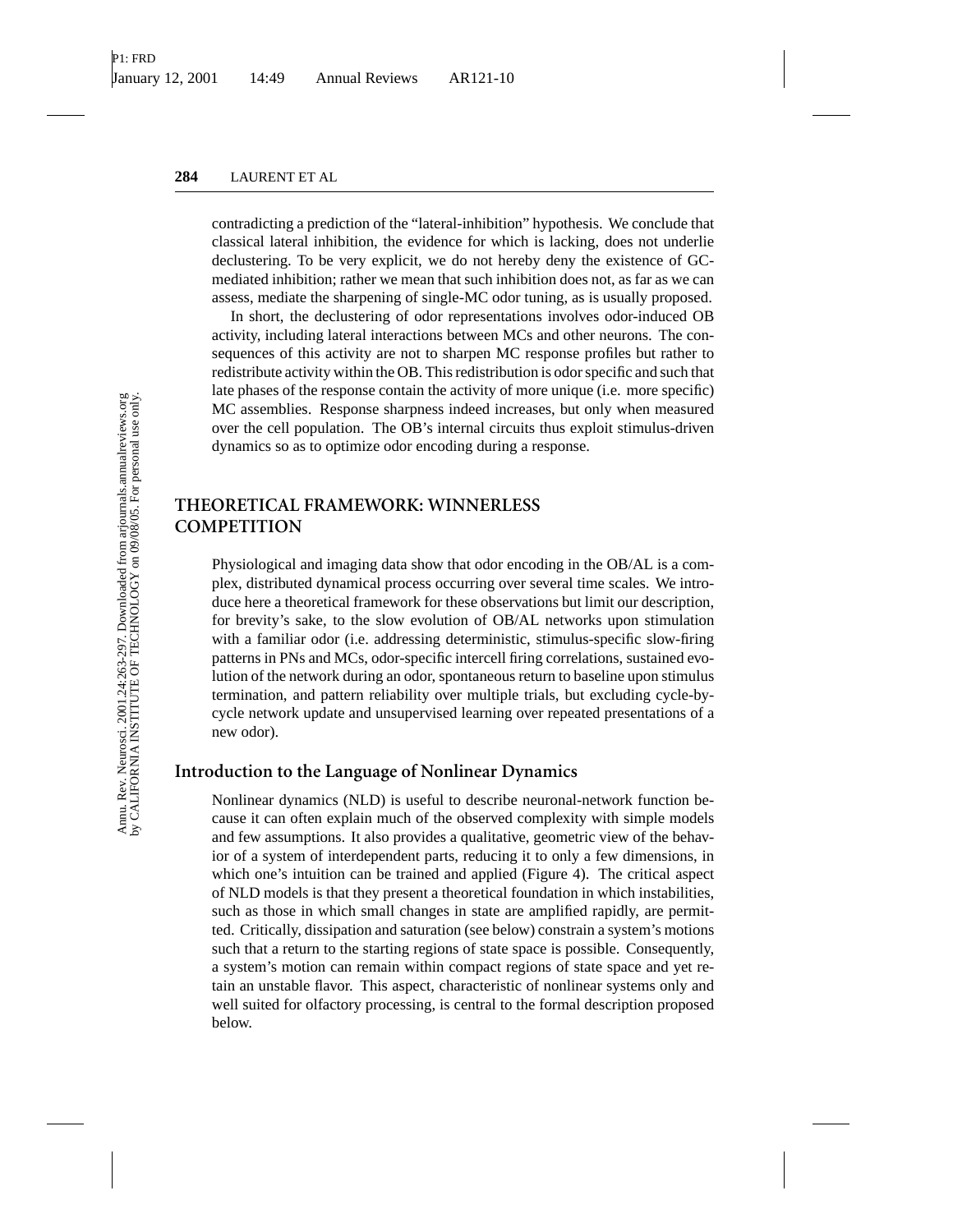contradicting a prediction of the "lateral-inhibition" hypothesis. We conclude that classical lateral inhibition, the evidence for which is lacking, does not underlie declustering. To be very explicit, we do not hereby deny the existence of GCmediated inhibition; rather we mean that such inhibition does not, as far as we can assess, mediate the sharpening of single-MC odor tuning, as is usually proposed.

In short, the declustering of odor representations involves odor-induced OB activity, including lateral interactions between MCs and other neurons. The consequences of this activity are not to sharpen MC response profiles but rather to redistribute activity within the OB. This redistribution is odor specific and such that late phases of the response contain the activity of more unique (i.e. more specific) MC assemblies. Response sharpness indeed increases, but only when measured over the cell population. The OB's internal circuits thus exploit stimulus-driven dynamics so as to optimize odor encoding during a response.

### **THEORETICAL FRAMEWORK: WINNERLESS COMPETITION**

Physiological and imaging data show that odor encoding in the OB/AL is a complex, distributed dynamical process occurring over several time scales. We introduce here a theoretical framework for these observations but limit our description, for brevity's sake, to the slow evolution of OB/AL networks upon stimulation with a familiar odor (i.e. addressing deterministic, stimulus-specific slow-firing patterns in PNs and MCs, odor-specific intercell firing correlations, sustained evolution of the network during an odor, spontaneous return to baseline upon stimulus termination, and pattern reliability over multiple trials, but excluding cycle-bycycle network update and unsupervised learning over repeated presentations of a new odor).

### **Introduction to the Language of Nonlinear Dynamics**

Nonlinear dynamics (NLD) is useful to describe neuronal-network function because it can often explain much of the observed complexity with simple models and few assumptions. It also provides a qualitative, geometric view of the behavior of a system of interdependent parts, reducing it to only a few dimensions, in which one's intuition can be trained and applied (Figure 4). The critical aspect of NLD models is that they present a theoretical foundation in which instabilities, such as those in which small changes in state are amplified rapidly, are permitted. Critically, dissipation and saturation (see below) constrain a system's motions such that a return to the starting regions of state space is possible. Consequently, a system's motion can remain within compact regions of state space and yet retain an unstable flavor. This aspect, characteristic of nonlinear systems only and well suited for olfactory processing, is central to the formal description proposed below.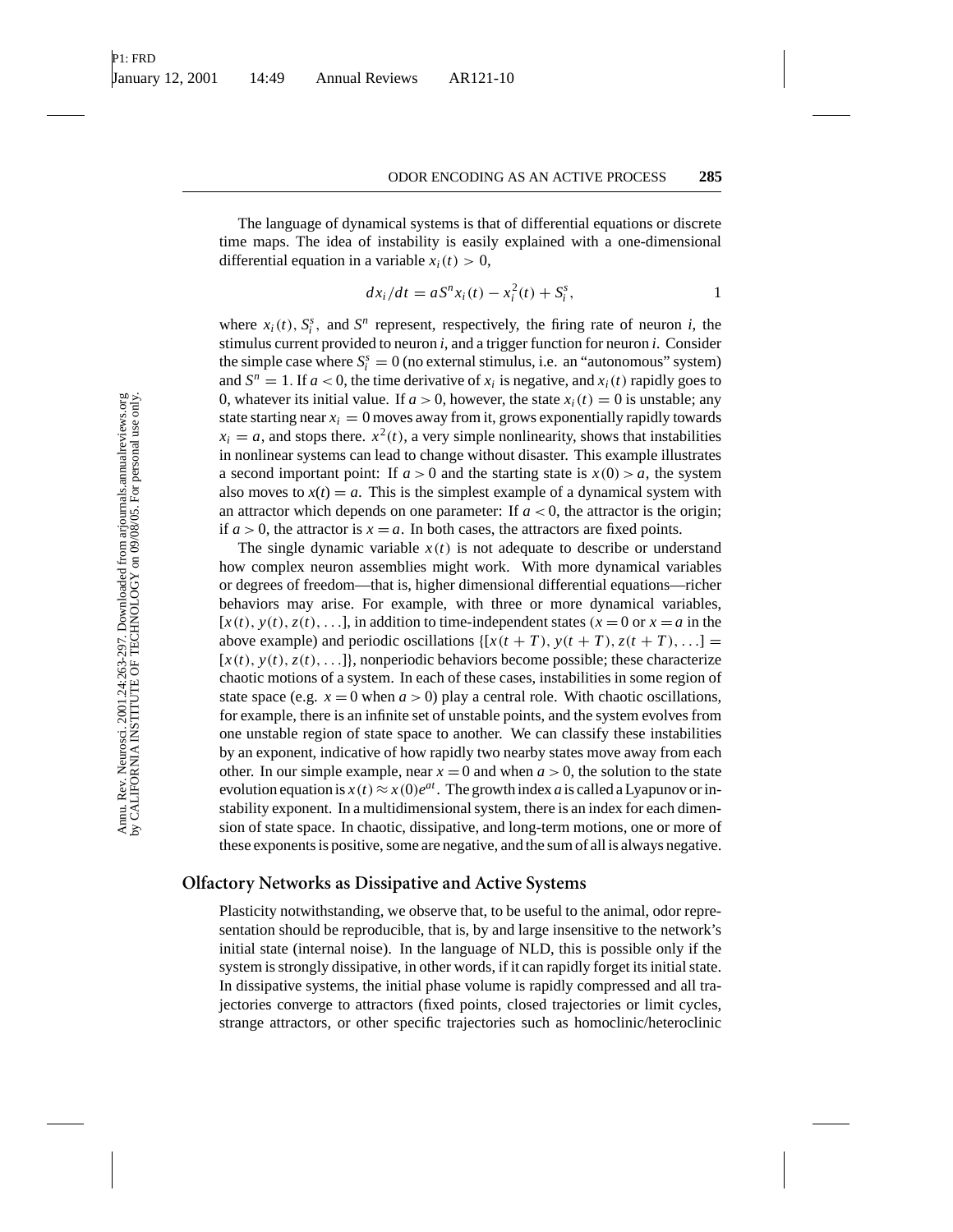The language of dynamical systems is that of differential equations or discrete time maps. The idea of instability is easily explained with a one-dimensional differential equation in a variable  $x_i(t) > 0$ ,

$$
dx_i/dt = aS^n x_i(t) - x_i^2(t) + S_i^s,
$$

where  $x_i(t)$ ,  $S_i^s$ , and  $S^n$  represent, respectively, the firing rate of neuron *i*, the stimulus current provided to neuron *i*, and a trigger function for neuron *i*. Consider the simple case where  $S_i^s = 0$  (no external stimulus, i.e. an "autonomous" system) and  $S^n = 1$ . If  $a < 0$ , the time derivative of  $x_i$  is negative, and  $x_i(t)$  rapidly goes to 0, whatever its initial value. If  $a > 0$ , however, the state  $x_i(t) = 0$  is unstable; any state starting near  $x_i = 0$  moves away from it, grows exponentially rapidly towards  $x_i = a$ , and stops there.  $x^2(t)$ , a very simple nonlinearity, shows that instabilities in nonlinear systems can lead to change without disaster. This example illustrates a second important point: If  $a > 0$  and the starting state is  $x(0) > a$ , the system also moves to  $x(t) = a$ . This is the simplest example of a dynamical system with an attractor which depends on one parameter: If  $a < 0$ , the attractor is the origin; if  $a > 0$ , the attractor is  $x = a$ . In both cases, the attractors are fixed points.

The single dynamic variable  $x(t)$  is not adequate to describe or understand how complex neuron assemblies might work. With more dynamical variables or degrees of freedom—that is, higher dimensional differential equations—richer behaviors may arise. For example, with three or more dynamical variables,  $[x(t), y(t), z(t), \ldots]$ , in addition to time-independent states  $(x = 0 \text{ or } x = a \text{ in the})$ above example) and periodic oscillations  $\{[x(t+T), y(t+T), z(t+T), \ldots] =$  $[x(t), y(t), z(t), \ldots]$ , nonperiodic behaviors become possible; these characterize chaotic motions of a system. In each of these cases, instabilities in some region of state space (e.g.  $x = 0$  when  $a > 0$ ) play a central role. With chaotic oscillations, for example, there is an infinite set of unstable points, and the system evolves from one unstable region of state space to another. We can classify these instabilities by an exponent, indicative of how rapidly two nearby states move away from each other. In our simple example, near  $x = 0$  and when  $a > 0$ , the solution to the state evolution equation is  $x(t) \approx x(0)e^{at}$ . The growth index *a* is called a Lyapunov or instability exponent. In a multidimensional system, there is an index for each dimension of state space. In chaotic, dissipative, and long-term motions, one or more of these exponents is positive, some are negative, and the sum of all is always negative.

#### **Olfactory Networks as Dissipative and Active Systems**

Plasticity notwithstanding, we observe that, to be useful to the animal, odor representation should be reproducible, that is, by and large insensitive to the network's initial state (internal noise). In the language of NLD, this is possible only if the system is strongly dissipative, in other words, if it can rapidly forget its initial state. In dissipative systems, the initial phase volume is rapidly compressed and all trajectories converge to attractors (fixed points, closed trajectories or limit cycles, strange attractors, or other specific trajectories such as homoclinic/heteroclinic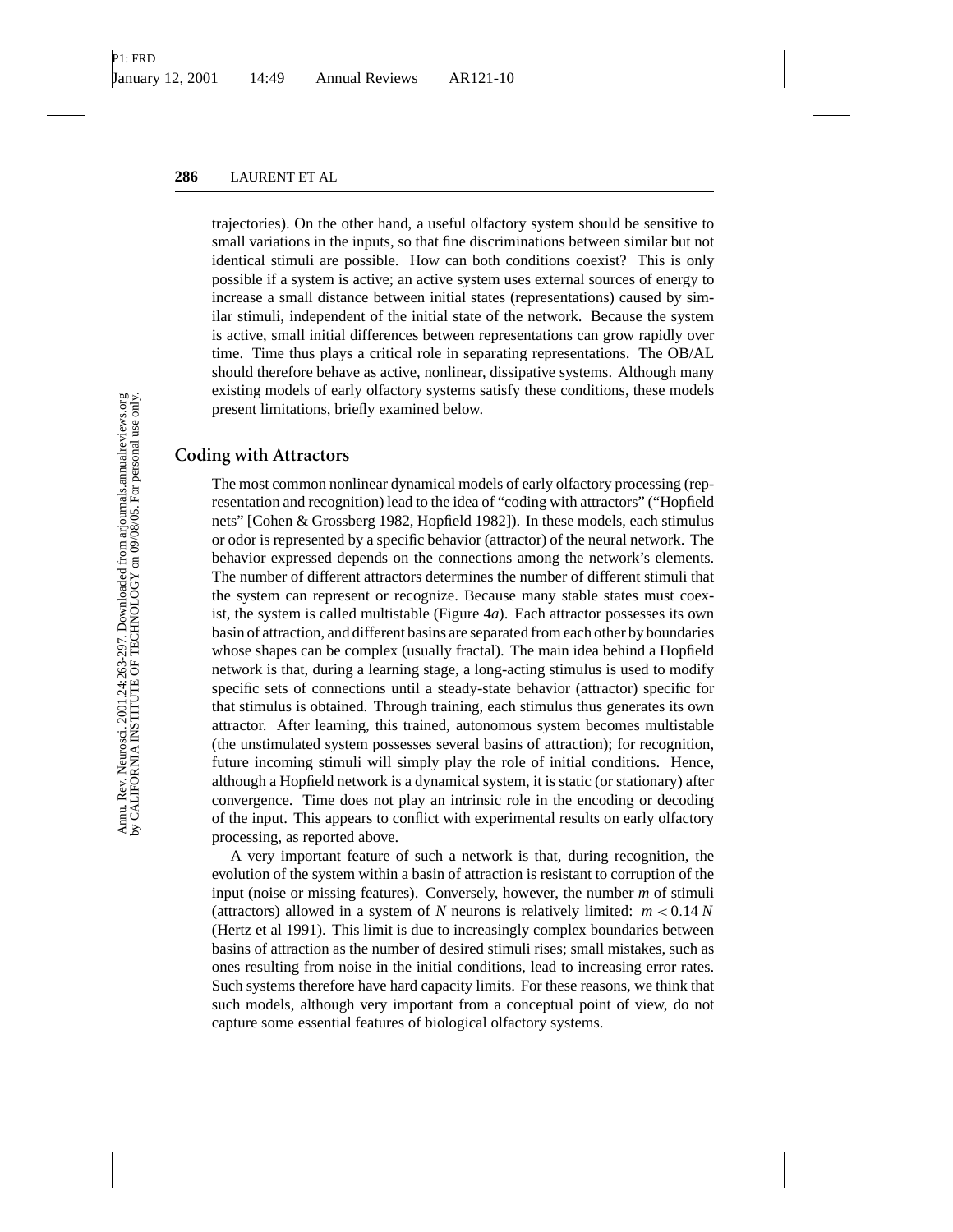trajectories). On the other hand, a useful olfactory system should be sensitive to small variations in the inputs, so that fine discriminations between similar but not identical stimuli are possible. How can both conditions coexist? This is only possible if a system is active; an active system uses external sources of energy to increase a small distance between initial states (representations) caused by similar stimuli, independent of the initial state of the network. Because the system is active, small initial differences between representations can grow rapidly over time. Time thus plays a critical role in separating representations. The OB/AL should therefore behave as active, nonlinear, dissipative systems. Although many existing models of early olfactory systems satisfy these conditions, these models present limitations, briefly examined below.

### **Coding with Attractors**

The most common nonlinear dynamical models of early olfactory processing (representation and recognition) lead to the idea of "coding with attractors" ("Hopfield nets" [Cohen & Grossberg 1982, Hopfield 1982]). In these models, each stimulus or odor is represented by a specific behavior (attractor) of the neural network. The behavior expressed depends on the connections among the network's elements. The number of different attractors determines the number of different stimuli that the system can represent or recognize. Because many stable states must coexist, the system is called multistable (Figure 4*a*). Each attractor possesses its own basin of attraction, and different basins are separated from each other by boundaries whose shapes can be complex (usually fractal). The main idea behind a Hopfield network is that, during a learning stage, a long-acting stimulus is used to modify specific sets of connections until a steady-state behavior (attractor) specific for that stimulus is obtained. Through training, each stimulus thus generates its own attractor. After learning, this trained, autonomous system becomes multistable (the unstimulated system possesses several basins of attraction); for recognition, future incoming stimuli will simply play the role of initial conditions. Hence, although a Hopfield network is a dynamical system, it is static (or stationary) after convergence. Time does not play an intrinsic role in the encoding or decoding of the input. This appears to conflict with experimental results on early olfactory processing, as reported above.

A very important feature of such a network is that, during recognition, the evolution of the system within a basin of attraction is resistant to corruption of the input (noise or missing features). Conversely, however, the number *m* of stimuli (attractors) allowed in a system of *N* neurons is relatively limited: *m* < 0.14 *N* (Hertz et al 1991). This limit is due to increasingly complex boundaries between basins of attraction as the number of desired stimuli rises; small mistakes, such as ones resulting from noise in the initial conditions, lead to increasing error rates. Such systems therefore have hard capacity limits. For these reasons, we think that such models, although very important from a conceptual point of view, do not capture some essential features of biological olfactory systems.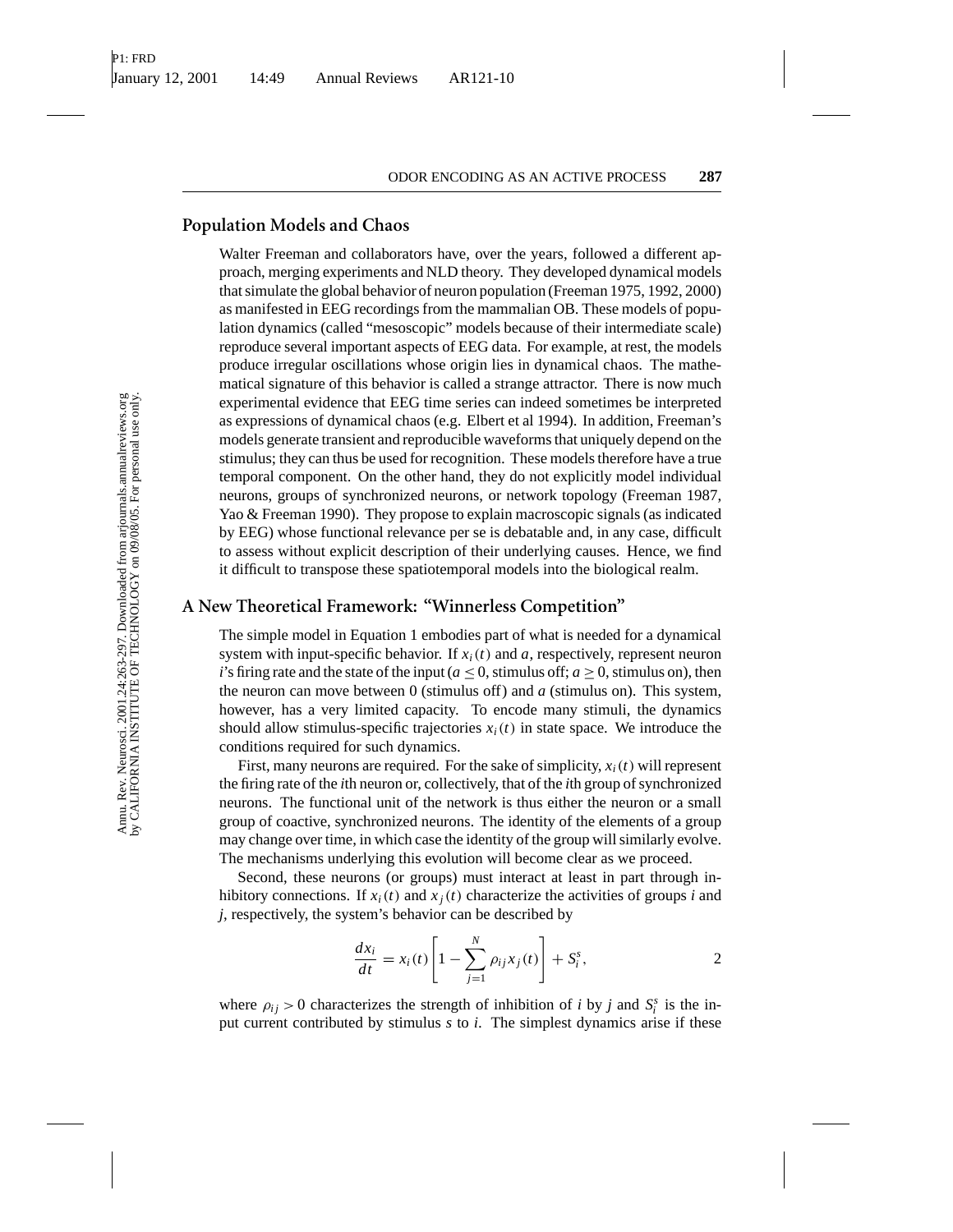### **Population Models and Chaos**

Walter Freeman and collaborators have, over the years, followed a different approach, merging experiments and NLD theory. They developed dynamical models that simulate the global behavior of neuron population (Freeman 1975, 1992, 2000) as manifested in EEG recordings from the mammalian OB. These models of population dynamics (called "mesoscopic" models because of their intermediate scale) reproduce several important aspects of EEG data. For example, at rest, the models produce irregular oscillations whose origin lies in dynamical chaos. The mathematical signature of this behavior is called a strange attractor. There is now much experimental evidence that EEG time series can indeed sometimes be interpreted as expressions of dynamical chaos (e.g. Elbert et al 1994). In addition, Freeman's models generate transient and reproducible waveforms that uniquely depend on the stimulus; they can thus be used for recognition. These models therefore have a true temporal component. On the other hand, they do not explicitly model individual neurons, groups of synchronized neurons, or network topology (Freeman 1987, Yao & Freeman 1990). They propose to explain macroscopic signals (as indicated by EEG) whose functional relevance per se is debatable and, in any case, difficult to assess without explicit description of their underlying causes. Hence, we find it difficult to transpose these spatiotemporal models into the biological realm.

### **A New Theoretical Framework: "Winnerless Competition"**

The simple model in Equation 1 embodies part of what is needed for a dynamical system with input-specific behavior. If  $x_i(t)$  and  $a$ , respectively, represent neuron *i*'s firing rate and the state of the input ( $a \le 0$ , stimulus off;  $a \ge 0$ , stimulus on), then the neuron can move between 0 (stimulus off) and *a* (stimulus on). This system, however, has a very limited capacity. To encode many stimuli, the dynamics should allow stimulus-specific trajectories  $x_i(t)$  in state space. We introduce the conditions required for such dynamics.

First, many neurons are required. For the sake of simplicity,  $x_i(t)$  will represent the firing rate of the *i*th neuron or, collectively, that of the *i*th group of synchronized neurons. The functional unit of the network is thus either the neuron or a small group of coactive, synchronized neurons. The identity of the elements of a group may change over time, in which case the identity of the group will similarly evolve. The mechanisms underlying this evolution will become clear as we proceed.

Second, these neurons (or groups) must interact at least in part through inhibitory connections. If  $x_i(t)$  and  $x_j(t)$  characterize the activities of groups *i* and *j*, respectively, the system's behavior can be described by

$$
\frac{dx_i}{dt} = x_i(t) \left[ 1 - \sum_{j=1}^N \rho_{ij} x_j(t) \right] + S_i^s,
$$

where  $\rho_{ij} > 0$  characterizes the strength of inhibition of *i* by *j* and  $S_i^s$  is the input current contributed by stimulus *s* to *i*. The simplest dynamics arise if these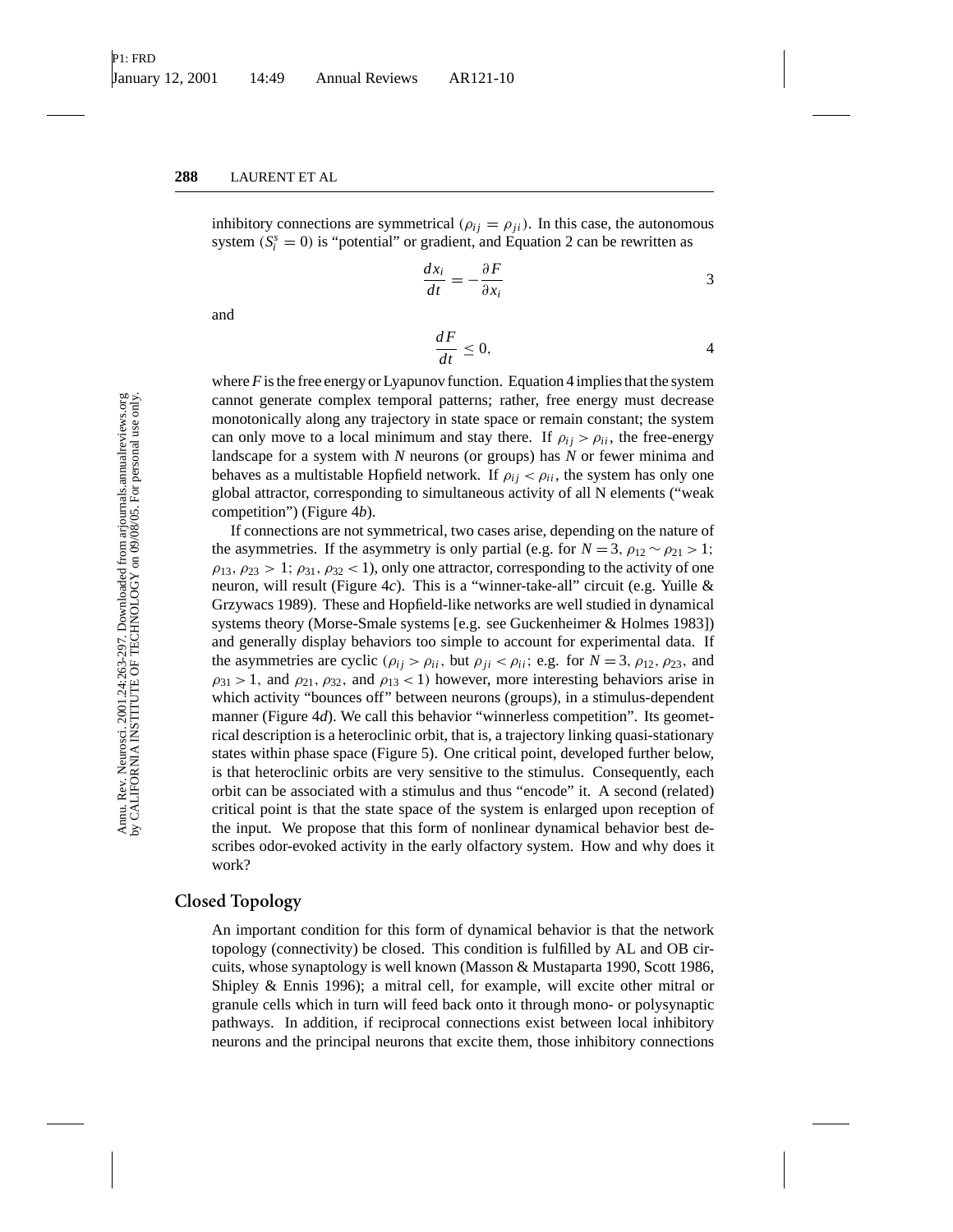inhibitory connections are symmetrical  $(\rho_{ij} = \rho_{ji})$ . In this case, the autonomous system  $(S_i^s = 0)$  is "potential" or gradient, and Equation 2 can be rewritten as

$$
\frac{dx_i}{dt} = -\frac{\partial F}{\partial x_i} \tag{3}
$$

and

$$
\frac{dF}{dt} \le 0, \tag{4}
$$

where  $F$  is the free energy or Lyapunov function. Equation 4 implies that the system cannot generate complex temporal patterns; rather, free energy must decrease monotonically along any trajectory in state space or remain constant; the system can only move to a local minimum and stay there. If  $\rho_{ii} > \rho_{ii}$ , the free-energy landscape for a system with *N* neurons (or groups) has *N* or fewer minima and behaves as a multistable Hopfield network. If  $\rho_{ij} < \rho_{ii}$ , the system has only one global attractor, corresponding to simultaneous activity of all N elements ("weak competition") (Figure 4*b*).

If connections are not symmetrical, two cases arise, depending on the nature of the asymmetries. If the asymmetry is only partial (e.g. for  $N = 3$ ,  $\rho_{12} \sim \rho_{21} > 1$ ;  $\rho_{13}, \rho_{23} > 1$ ;  $\rho_{31}, \rho_{32} < 1$ ), only one attractor, corresponding to the activity of one neuron, will result (Figure 4*c*). This is a "winner-take-all" circuit (e.g. Yuille & Grzywacs 1989). These and Hopfield-like networks are well studied in dynamical systems theory (Morse-Smale systems [e.g. see Guckenheimer & Holmes 1983]) and generally display behaviors too simple to account for experimental data. If the asymmetries are cyclic ( $\rho_{ij} > \rho_{ii}$ , but  $\rho_{ji} < \rho_{ii}$ ; e.g. for  $N = 3$ ,  $\rho_{12}$ ,  $\rho_{23}$ , and  $\rho_{31} > 1$ , and  $\rho_{21}$ ,  $\rho_{32}$ , and  $\rho_{13} < 1$ ) however, more interesting behaviors arise in which activity "bounces off" between neurons (groups), in a stimulus-dependent manner (Figure 4*d*). We call this behavior "winnerless competition". Its geometrical description is a heteroclinic orbit, that is, a trajectory linking quasi-stationary states within phase space (Figure 5). One critical point, developed further below, is that heteroclinic orbits are very sensitive to the stimulus. Consequently, each orbit can be associated with a stimulus and thus "encode" it. A second (related) critical point is that the state space of the system is enlarged upon reception of the input. We propose that this form of nonlinear dynamical behavior best describes odor-evoked activity in the early olfactory system. How and why does it work?

#### **Closed Topology**

An important condition for this form of dynamical behavior is that the network topology (connectivity) be closed. This condition is fulfilled by AL and OB circuits, whose synaptology is well known (Masson & Mustaparta 1990, Scott 1986, Shipley & Ennis 1996); a mitral cell, for example, will excite other mitral or granule cells which in turn will feed back onto it through mono- or polysynaptic pathways. In addition, if reciprocal connections exist between local inhibitory neurons and the principal neurons that excite them, those inhibitory connections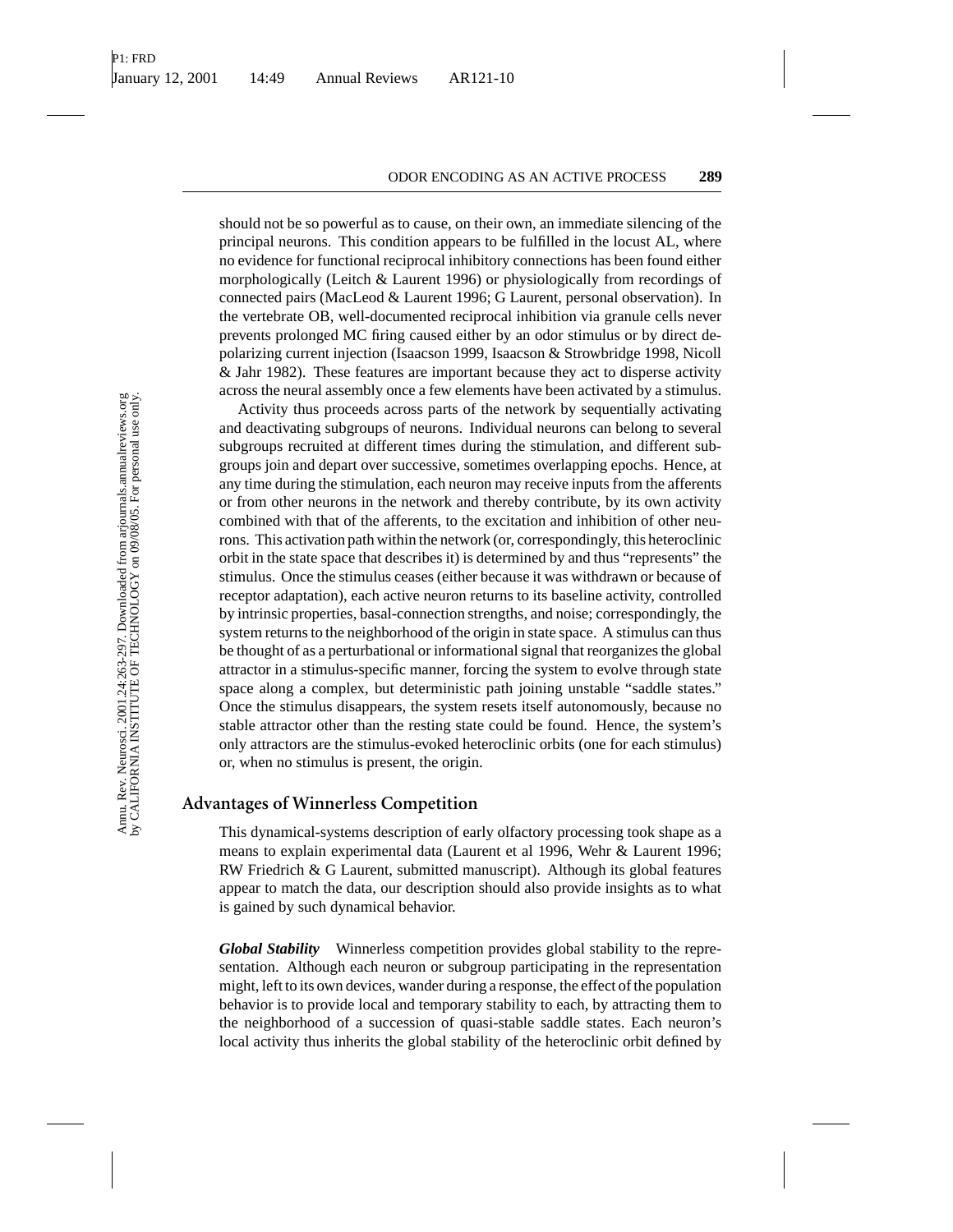should not be so powerful as to cause, on their own, an immediate silencing of the principal neurons. This condition appears to be fulfilled in the locust AL, where no evidence for functional reciprocal inhibitory connections has been found either morphologically (Leitch & Laurent 1996) or physiologically from recordings of connected pairs (MacLeod & Laurent 1996; G Laurent, personal observation). In the vertebrate OB, well-documented reciprocal inhibition via granule cells never prevents prolonged MC firing caused either by an odor stimulus or by direct depolarizing current injection (Isaacson 1999, Isaacson & Strowbridge 1998, Nicoll & Jahr 1982). These features are important because they act to disperse activity across the neural assembly once a few elements have been activated by a stimulus.

Activity thus proceeds across parts of the network by sequentially activating and deactivating subgroups of neurons. Individual neurons can belong to several subgroups recruited at different times during the stimulation, and different subgroups join and depart over successive, sometimes overlapping epochs. Hence, at any time during the stimulation, each neuron may receive inputs from the afferents or from other neurons in the network and thereby contribute, by its own activity combined with that of the afferents, to the excitation and inhibition of other neurons. This activation path within the network (or, correspondingly, this heteroclinic orbit in the state space that describes it) is determined by and thus "represents" the stimulus. Once the stimulus ceases (either because it was withdrawn or because of receptor adaptation), each active neuron returns to its baseline activity, controlled by intrinsic properties, basal-connection strengths, and noise; correspondingly, the system returns to the neighborhood of the origin in state space. A stimulus can thus be thought of as a perturbational or informational signal that reorganizes the global attractor in a stimulus-specific manner, forcing the system to evolve through state space along a complex, but deterministic path joining unstable "saddle states." Once the stimulus disappears, the system resets itself autonomously, because no stable attractor other than the resting state could be found. Hence, the system's only attractors are the stimulus-evoked heteroclinic orbits (one for each stimulus) or, when no stimulus is present, the origin.

#### **Advantages of Winnerless Competition**

This dynamical-systems description of early olfactory processing took shape as a means to explain experimental data (Laurent et al 1996, Wehr & Laurent 1996; RW Friedrich & G Laurent, submitted manuscript). Although its global features appear to match the data, our description should also provide insights as to what is gained by such dynamical behavior.

*Global Stability* Winnerless competition provides global stability to the representation. Although each neuron or subgroup participating in the representation might, left to its own devices, wander during a response, the effect of the population behavior is to provide local and temporary stability to each, by attracting them to the neighborhood of a succession of quasi-stable saddle states. Each neuron's local activity thus inherits the global stability of the heteroclinic orbit defined by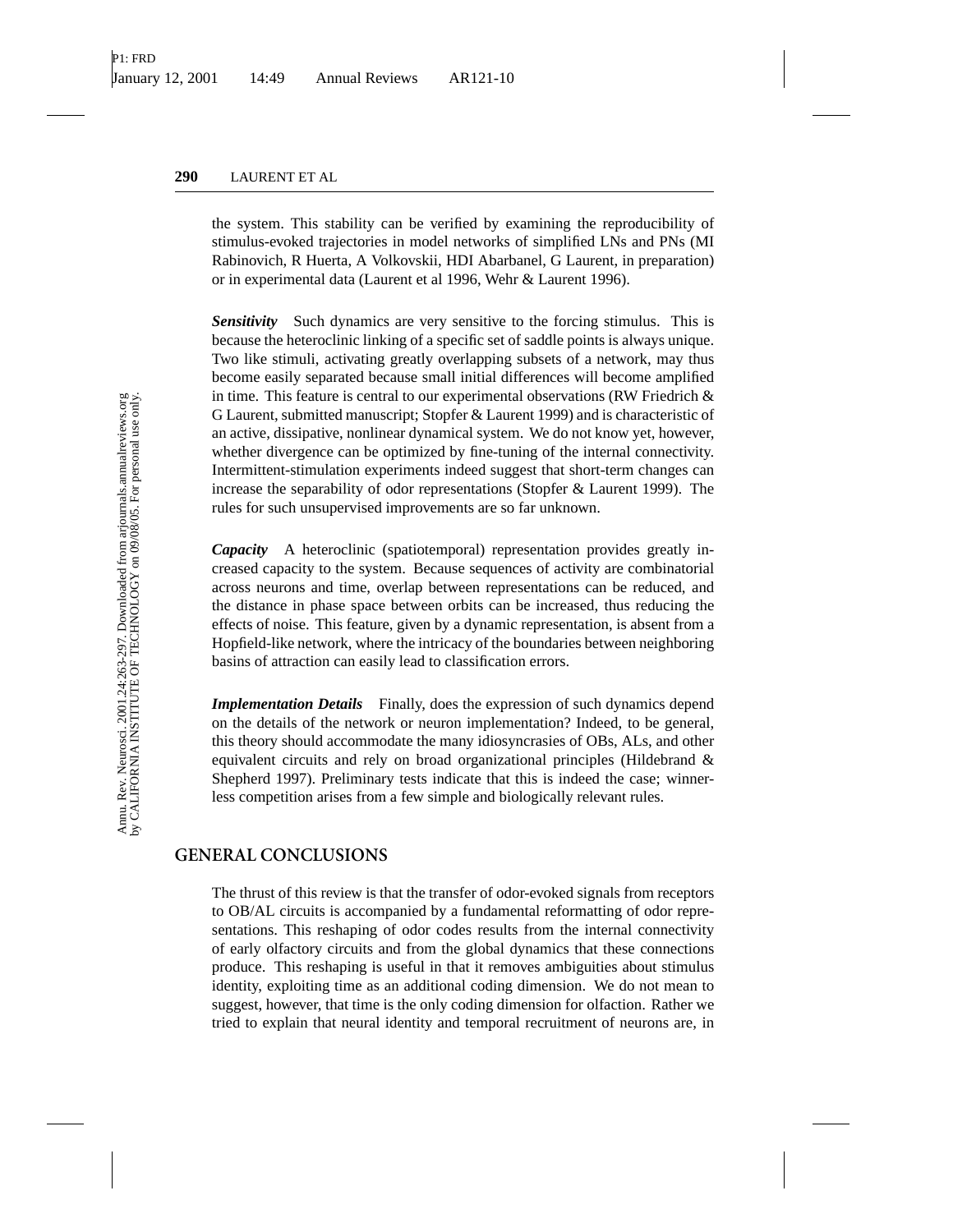the system. This stability can be verified by examining the reproducibility of stimulus-evoked trajectories in model networks of simplified LNs and PNs (MI Rabinovich, R Huerta, A Volkovskii, HDI Abarbanel, G Laurent, in preparation) or in experimental data (Laurent et al 1996, Wehr & Laurent 1996).

**Sensitivity** Such dynamics are very sensitive to the forcing stimulus. This is because the heteroclinic linking of a specific set of saddle points is always unique. Two like stimuli, activating greatly overlapping subsets of a network, may thus become easily separated because small initial differences will become amplified in time. This feature is central to our experimental observations (RW Friedrich & G Laurent, submitted manuscript; Stopfer & Laurent 1999) and is characteristic of an active, dissipative, nonlinear dynamical system. We do not know yet, however, whether divergence can be optimized by fine-tuning of the internal connectivity. Intermittent-stimulation experiments indeed suggest that short-term changes can increase the separability of odor representations (Stopfer & Laurent 1999). The rules for such unsupervised improvements are so far unknown.

*Capacity* A heteroclinic (spatiotemporal) representation provides greatly increased capacity to the system. Because sequences of activity are combinatorial across neurons and time, overlap between representations can be reduced, and the distance in phase space between orbits can be increased, thus reducing the effects of noise. This feature, given by a dynamic representation, is absent from a Hopfield-like network, where the intricacy of the boundaries between neighboring basins of attraction can easily lead to classification errors.

*Implementation Details* Finally, does the expression of such dynamics depend on the details of the network or neuron implementation? Indeed, to be general, this theory should accommodate the many idiosyncrasies of OBs, ALs, and other equivalent circuits and rely on broad organizational principles (Hildebrand & Shepherd 1997). Preliminary tests indicate that this is indeed the case; winnerless competition arises from a few simple and biologically relevant rules.

#### **GENERAL CONCLUSIONS**

The thrust of this review is that the transfer of odor-evoked signals from receptors to OB/AL circuits is accompanied by a fundamental reformatting of odor representations. This reshaping of odor codes results from the internal connectivity of early olfactory circuits and from the global dynamics that these connections produce. This reshaping is useful in that it removes ambiguities about stimulus identity, exploiting time as an additional coding dimension. We do not mean to suggest, however, that time is the only coding dimension for olfaction. Rather we tried to explain that neural identity and temporal recruitment of neurons are, in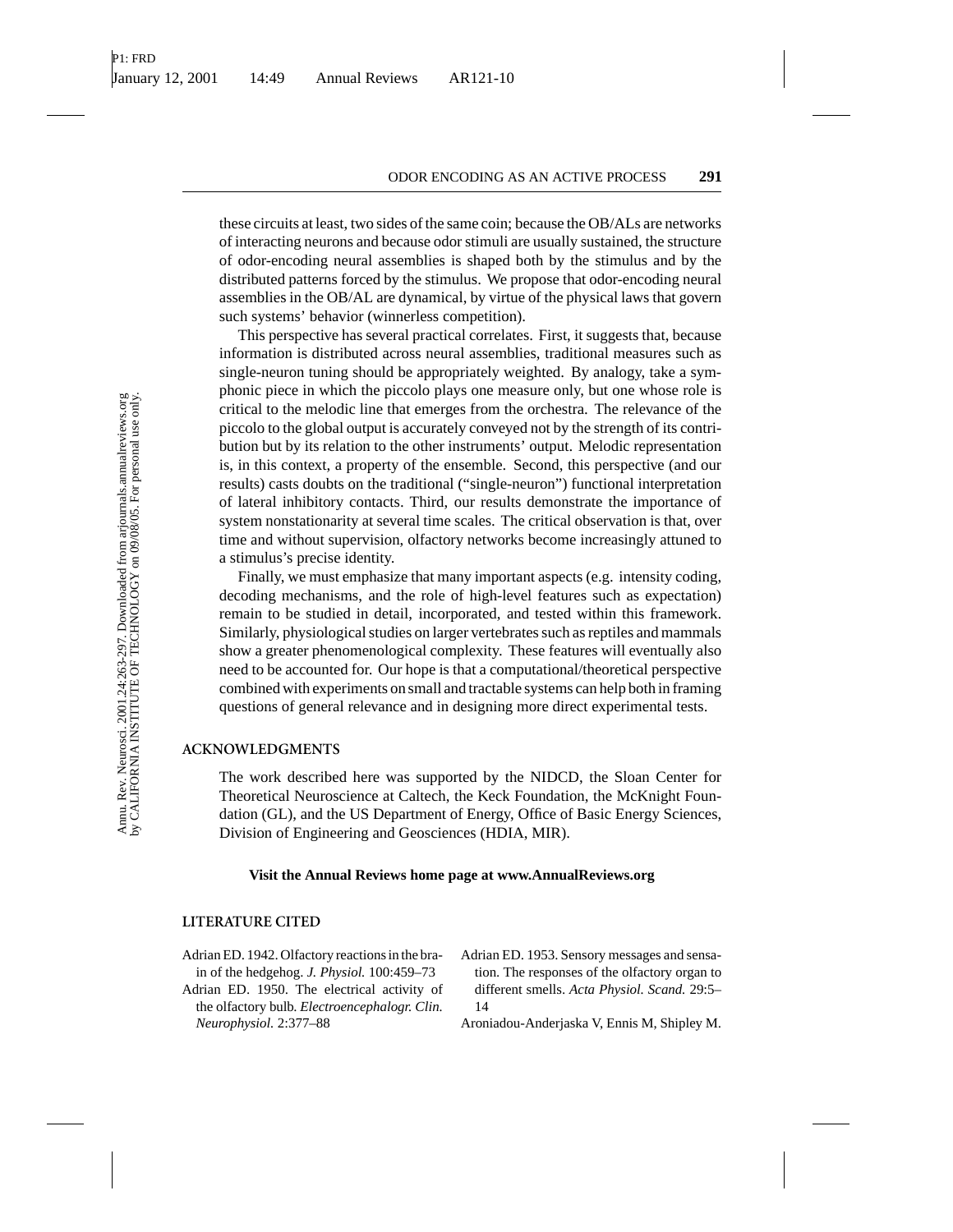these circuits at least, two sides of the same coin; because the OB/ALs are networks of interacting neurons and because odor stimuli are usually sustained, the structure of odor-encoding neural assemblies is shaped both by the stimulus and by the distributed patterns forced by the stimulus. We propose that odor-encoding neural assemblies in the OB/AL are dynamical, by virtue of the physical laws that govern such systems' behavior (winnerless competition).

This perspective has several practical correlates. First, it suggests that, because information is distributed across neural assemblies, traditional measures such as single-neuron tuning should be appropriately weighted. By analogy, take a symphonic piece in which the piccolo plays one measure only, but one whose role is critical to the melodic line that emerges from the orchestra. The relevance of the piccolo to the global output is accurately conveyed not by the strength of its contribution but by its relation to the other instruments' output. Melodic representation is, in this context, a property of the ensemble. Second, this perspective (and our results) casts doubts on the traditional ("single-neuron") functional interpretation of lateral inhibitory contacts. Third, our results demonstrate the importance of system nonstationarity at several time scales. The critical observation is that, over time and without supervision, olfactory networks become increasingly attuned to a stimulus's precise identity.

Finally, we must emphasize that many important aspects (e.g. intensity coding, decoding mechanisms, and the role of high-level features such as expectation) remain to be studied in detail, incorporated, and tested within this framework. Similarly, physiological studies on larger vertebrates such as reptiles and mammals show a greater phenomenological complexity. These features will eventually also need to be accounted for. Our hope is that a computational/theoretical perspective combined with experiments on small and tractable systems can help both in framing questions of general relevance and in designing more direct experimental tests.

#### **ACKNOWLEDGMENTS**

The work described here was supported by the NIDCD, the Sloan Center for Theoretical Neuroscience at Caltech, the Keck Foundation, the McKnight Foundation (GL), and the US Department of Energy, Office of Basic Energy Sciences, Division of Engineering and Geosciences (HDIA, MIR).

#### **Visit the Annual Reviews home page at www.AnnualReviews.org**

#### **LITERATURE CITED**

- Adrian ED. 1942. Olfactory reactions in the brain of the hedgehog. *J. Physiol.* 100:459–73 Adrian ED. 1950. The electrical activity of
- the olfactory bulb. *Electroencephalogr. Clin. Neurophysiol.* 2:377–88
- Adrian ED. 1953. Sensory messages and sensation. The responses of the olfactory organ to different smells. *Acta Physiol. Scand.* 29:5– 14
- Aroniadou-Anderjaska V, Ennis M, Shipley M.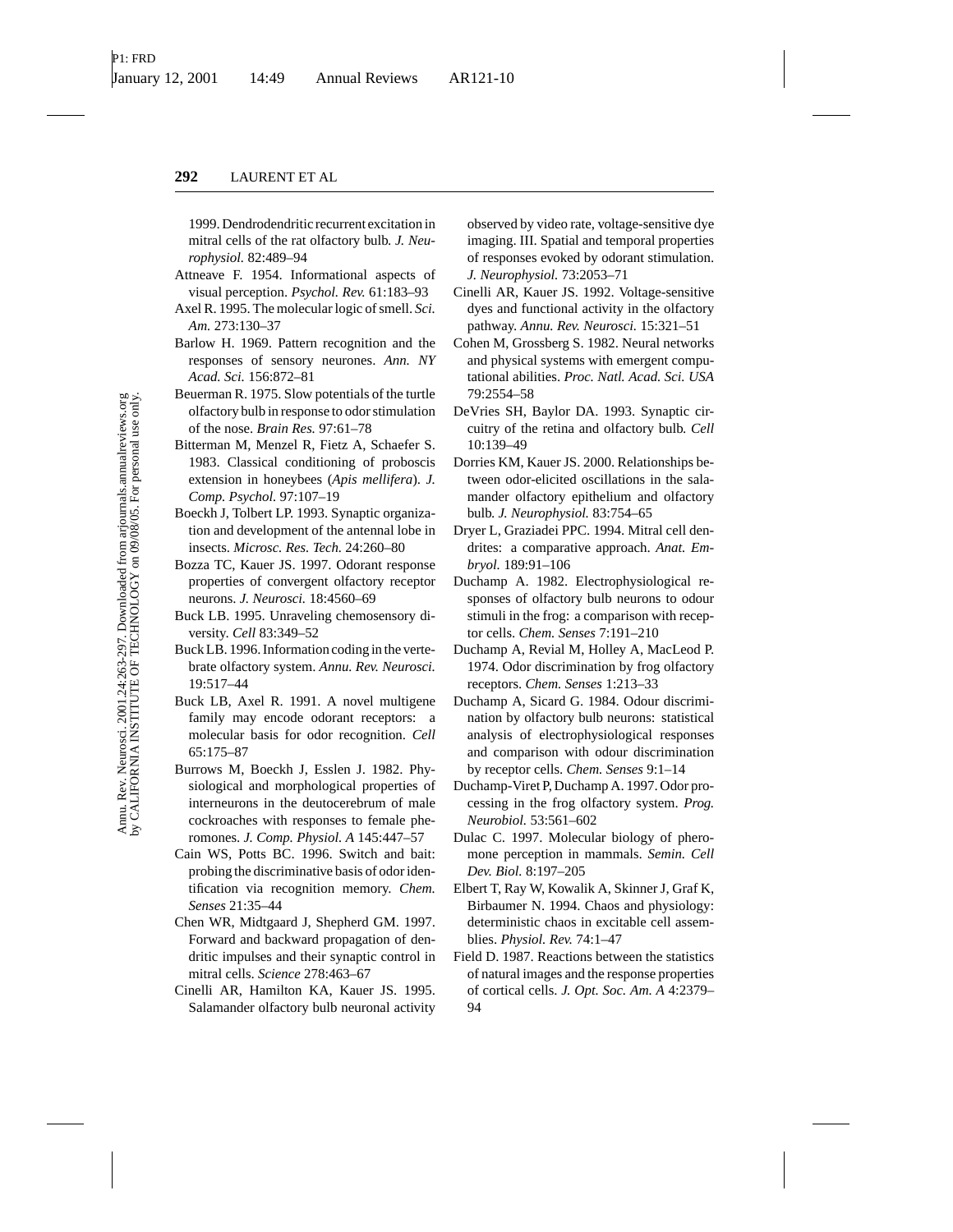1999. Dendrodendritic recurrent excitation in mitral cells of the rat olfactory bulb. *J. Neurophysiol.* 82:489–94

- Attneave F. 1954. Informational aspects of visual perception. *Psychol. Rev.* 61:183–93
- Axel R. 1995. The molecular logic of smell. *Sci. Am.* 273:130–37
- Barlow H. 1969. Pattern recognition and the responses of sensory neurones. *Ann. NY Acad. Sci.* 156:872–81
- Beuerman R. 1975. Slow potentials of the turtle olfactory bulb in response to odor stimulation of the nose. *Brain Res.* 97:61–78
- Bitterman M, Menzel R, Fietz A, Schaefer S. 1983. Classical conditioning of proboscis extension in honeybees (*Apis mellifera*). *J. Comp. Psychol.* 97:107–19
- Boeckh J, Tolbert LP. 1993. Synaptic organization and development of the antennal lobe in insects. *Microsc. Res. Tech.* 24:260–80
- Bozza TC, Kauer JS. 1997. Odorant response properties of convergent olfactory receptor neurons. *J. Neurosci.* 18:4560–69
- Buck LB. 1995. Unraveling chemosensory diversity. *Cell* 83:349–52
- Buck LB. 1996. Information coding in the vertebrate olfactory system. *Annu. Rev. Neurosci.* 19:517–44
- Buck LB, Axel R. 1991. A novel multigene family may encode odorant receptors: molecular basis for odor recognition. *Cell* 65:175–87
- Burrows M, Boeckh J, Esslen J. 1982. Physiological and morphological properties of interneurons in the deutocerebrum of male cockroaches with responses to female pheromones. *J. Comp. Physiol. A* 145:447–57
- Cain WS, Potts BC. 1996. Switch and bait: probing the discriminative basis of odor identification via recognition memory. *Chem. Senses* 21:35–44
- Chen WR, Midtgaard J, Shepherd GM. 1997. Forward and backward propagation of dendritic impulses and their synaptic control in mitral cells. *Science* 278:463–67
- Cinelli AR, Hamilton KA, Kauer JS. 1995. Salamander olfactory bulb neuronal activity

observed by video rate, voltage-sensitive dye imaging. III. Spatial and temporal properties of responses evoked by odorant stimulation. *J. Neurophysiol.* 73:2053–71

- Cinelli AR, Kauer JS. 1992. Voltage-sensitive dyes and functional activity in the olfactory pathway. *Annu. Rev. Neurosci.* 15:321–51
- Cohen M, Grossberg S. 1982. Neural networks and physical systems with emergent computational abilities. *Proc. Natl. Acad. Sci. USA* 79:2554–58
- DeVries SH, Baylor DA. 1993. Synaptic circuitry of the retina and olfactory bulb. *Cell* 10:139–49
- Dorries KM, Kauer JS. 2000. Relationships between odor-elicited oscillations in the salamander olfactory epithelium and olfactory bulb. *J. Neurophysiol.* 83:754–65
- Dryer L, Graziadei PPC. 1994. Mitral cell dendrites: a comparative approach. *Anat. Embryol.* 189:91–106
- Duchamp A. 1982. Electrophysiological responses of olfactory bulb neurons to odour stimuli in the frog: a comparison with receptor cells. *Chem. Senses* 7:191–210
- Duchamp A, Revial M, Holley A, MacLeod P. 1974. Odor discrimination by frog olfactory receptors. *Chem. Senses* 1:213–33
- Duchamp A, Sicard G. 1984. Odour discrimination by olfactory bulb neurons: statistical analysis of electrophysiological responses and comparison with odour discrimination by receptor cells. *Chem. Senses* 9:1–14
- Duchamp-Viret P, Duchamp A. 1997. Odor processing in the frog olfactory system. *Prog. Neurobiol.* 53:561–602
- Dulac C. 1997. Molecular biology of pheromone perception in mammals. *Semin. Cell Dev. Biol.* 8:197–205
- Elbert T, Ray W, Kowalik A, Skinner J, Graf K, Birbaumer N. 1994. Chaos and physiology: deterministic chaos in excitable cell assemblies. *Physiol. Rev.* 74:1–47
- Field D. 1987. Reactions between the statistics of natural images and the response properties of cortical cells. *J. Opt. Soc. Am. A* 4:2379– 94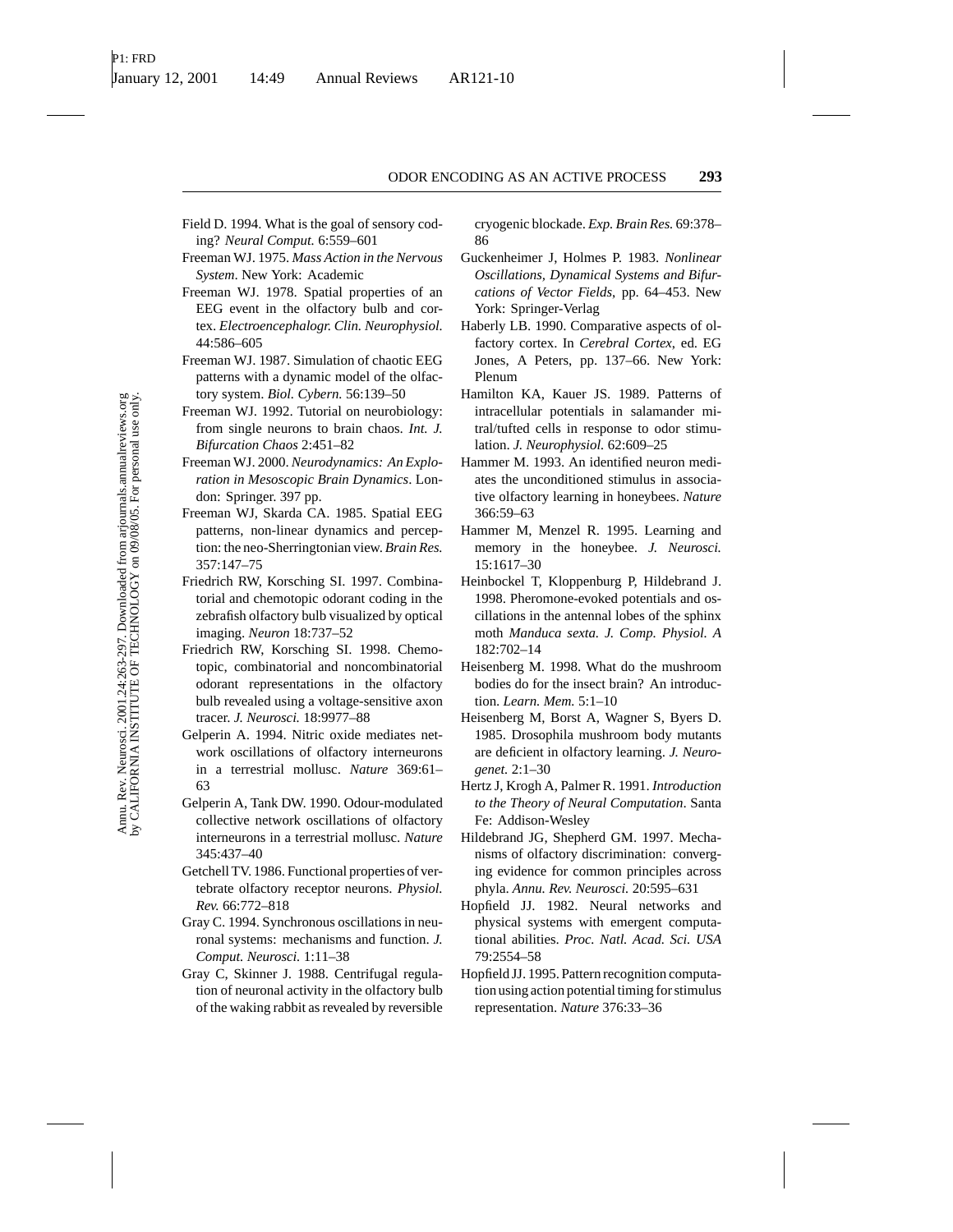- Field D. 1994. What is the goal of sensory coding? *Neural Comput.* 6:559–601
- Freeman WJ. 1975. *Mass Action in the Nervous System*. New York: Academic
- Freeman WJ. 1978. Spatial properties of an EEG event in the olfactory bulb and cortex. *Electroencephalogr. Clin. Neurophysiol.* 44:586–605
- Freeman WJ. 1987. Simulation of chaotic EEG patterns with a dynamic model of the olfactory system. *Biol. Cybern.* 56:139–50
- Freeman WJ. 1992. Tutorial on neurobiology: from single neurons to brain chaos. *Int. J. Bifurcation Chaos* 2:451–82
- Freeman WJ. 2000. *Neurodynamics: An Exploration in Mesoscopic Brain Dynamics*. London: Springer. 397 pp.
- Freeman WJ, Skarda CA. 1985. Spatial EEG patterns, non-linear dynamics and perception: the neo-Sherringtonian view. *Brain Res.* 357:147–75
- Friedrich RW, Korsching SI. 1997. Combinatorial and chemotopic odorant coding in the zebrafish olfactory bulb visualized by optical imaging. *Neuron* 18:737–52
- Friedrich RW, Korsching SI. 1998. Chemotopic, combinatorial and noncombinatorial odorant representations in the olfactory bulb revealed using a voltage-sensitive axon tracer. *J. Neurosci.* 18:9977–88
- Gelperin A. 1994. Nitric oxide mediates network oscillations of olfactory interneurons in a terrestrial mollusc. *Nature* 369:61– 63
- Gelperin A, Tank DW. 1990. Odour-modulated collective network oscillations of olfactory interneurons in a terrestrial mollusc. *Nature* 345:437–40
- Getchell TV. 1986. Functional properties of vertebrate olfactory receptor neurons. *Physiol. Rev.* 66:772–818
- Gray C. 1994. Synchronous oscillations in neuronal systems: mechanisms and function. *J. Comput. Neurosci.* 1:11–38
- Gray C, Skinner J. 1988. Centrifugal regulation of neuronal activity in the olfactory bulb of the waking rabbit as revealed by reversible

cryogenic blockade. *Exp. Brain Res.* 69:378– 86

- Guckenheimer J, Holmes P. 1983. *Nonlinear Oscillations, Dynamical Systems and Bifurcations of Vector Fields*, pp. 64–453. New York: Springer-Verlag
- Haberly LB. 1990. Comparative aspects of olfactory cortex. In *Cerebral Cortex*, ed. EG Jones, A Peters, pp. 137–66. New York: Plenum
- Hamilton KA, Kauer JS. 1989. Patterns of intracellular potentials in salamander mitral/tufted cells in response to odor stimulation. *J. Neurophysiol.* 62:609–25
- Hammer M. 1993. An identified neuron mediates the unconditioned stimulus in associative olfactory learning in honeybees. *Nature* 366:59–63
- Hammer M, Menzel R. 1995. Learning and memory in the honeybee. *J. Neurosci.* 15:1617–30
- Heinbockel T, Kloppenburg P, Hildebrand J. 1998. Pheromone-evoked potentials and oscillations in the antennal lobes of the sphinx moth *Manduca sexta. J. Comp. Physiol. A* 182:702–14
- Heisenberg M. 1998. What do the mushroom bodies do for the insect brain? An introduction. *Learn. Mem.* 5:1–10
- Heisenberg M, Borst A, Wagner S, Byers D. 1985. Drosophila mushroom body mutants are deficient in olfactory learning. *J. Neurogenet.* 2:1–30
- Hertz J, Krogh A, Palmer R. 1991. *Introduction to the Theory of Neural Computation*. Santa Fe: Addison-Wesley
- Hildebrand JG, Shepherd GM. 1997. Mechanisms of olfactory discrimination: converging evidence for common principles across phyla. *Annu. Rev. Neurosci.* 20:595–631
- Hopfield JJ. 1982. Neural networks and physical systems with emergent computational abilities. *Proc. Natl. Acad. Sci. USA* 79:2554–58
- Hopfield JJ. 1995. Pattern recognition computation using action potential timing for stimulus representation. *Nature* 376:33–36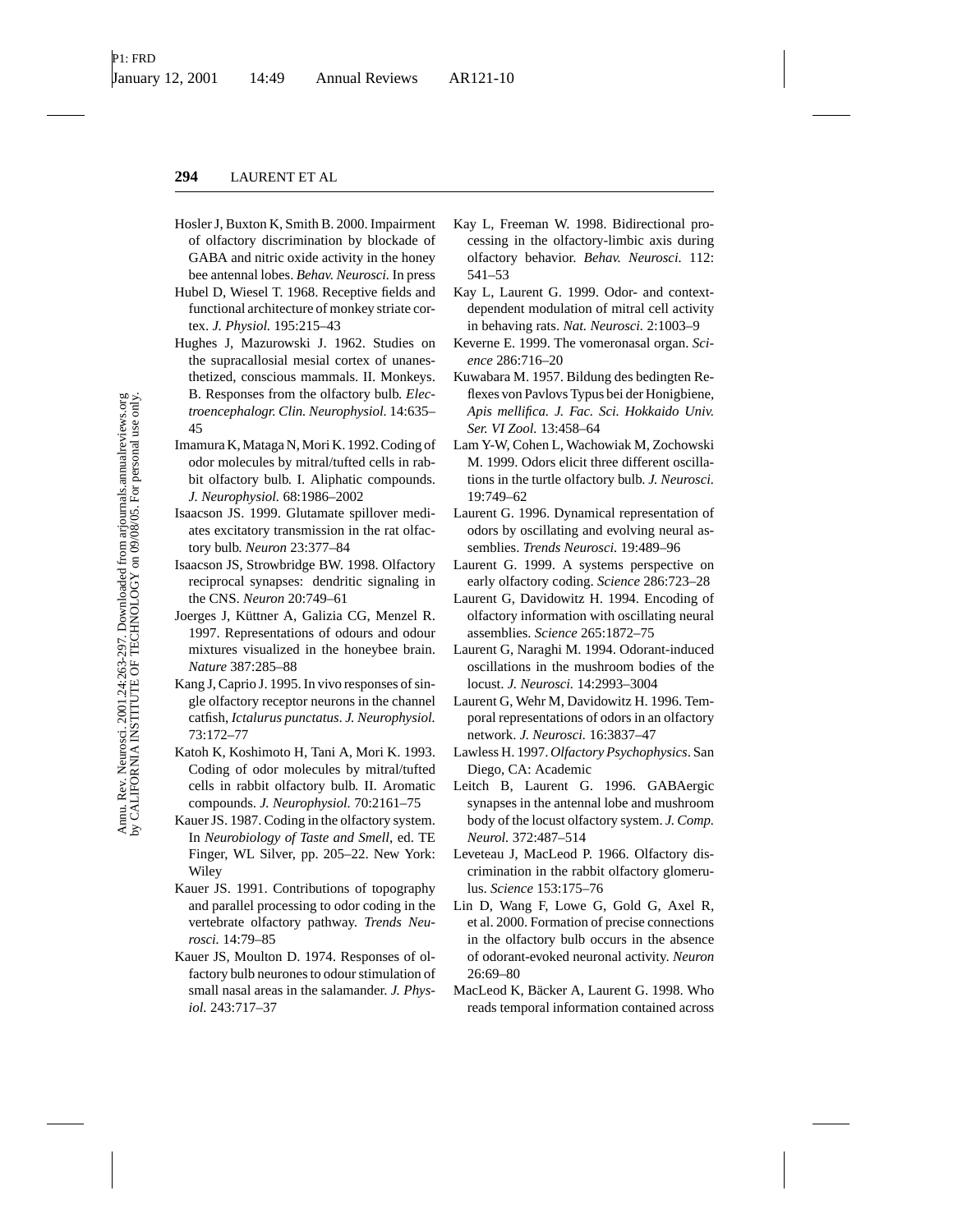- Hosler J, Buxton K, Smith B. 2000. Impairment of olfactory discrimination by blockade of GABA and nitric oxide activity in the honey bee antennal lobes. *Behav. Neurosci.* In press
- Hubel D, Wiesel T. 1968. Receptive fields and functional architecture of monkey striate cortex. *J. Physiol.* 195:215–43
- Hughes J, Mazurowski J. 1962. Studies on the supracallosial mesial cortex of unanesthetized, conscious mammals. II. Monkeys. B. Responses from the olfactory bulb. *Electroencephalogr. Clin. Neurophysiol.* 14:635– 45
- Imamura K, Mataga N, Mori K. 1992. Coding of odor molecules by mitral/tufted cells in rabbit olfactory bulb. I. Aliphatic compounds. *J. Neurophysiol.* 68:1986–2002
- Isaacson JS. 1999. Glutamate spillover mediates excitatory transmission in the rat olfactory bulb. *Neuron* 23:377–84
- Isaacson JS, Strowbridge BW. 1998. Olfactory reciprocal synapses: dendritic signaling in the CNS. *Neuron* 20:749–61
- Joerges J, Küttner A, Galizia CG, Menzel R. 1997. Representations of odours and odour mixtures visualized in the honeybee brain. *Nature* 387:285–88
- Kang J, Caprio J. 1995. In vivo responses of single olfactory receptor neurons in the channel catfish, *Ictalurus punctatus*. *J. Neurophysiol.* 73:172–77
- Katoh K, Koshimoto H, Tani A, Mori K. 1993. Coding of odor molecules by mitral/tufted cells in rabbit olfactory bulb. II. Aromatic compounds. *J. Neurophysiol.* 70:2161–75
- Kauer JS. 1987. Coding in the olfactory system. In *Neurobiology of Taste and Smell*, ed. TE Finger, WL Silver, pp. 205–22. New York: **Wiley**
- Kauer JS. 1991. Contributions of topography and parallel processing to odor coding in the vertebrate olfactory pathway. *Trends Neurosci.* 14:79–85
- Kauer JS, Moulton D. 1974. Responses of olfactory bulb neurones to odour stimulation of small nasal areas in the salamander. *J. Physiol.* 243:717–37
- Kay L, Freeman W. 1998. Bidirectional processing in the olfactory-limbic axis during olfactory behavior. *Behav. Neurosci.* 112: 541–53
- Kay L, Laurent G. 1999. Odor- and contextdependent modulation of mitral cell activity in behaving rats. *Nat. Neurosci.* 2:1003–9
- Keverne E. 1999. The vomeronasal organ. *Science* 286:716–20
- Kuwabara M. 1957. Bildung des bedingten Reflexes von Pavlovs Typus bei der Honigbiene, *Apis mellifica. J. Fac. Sci. Hokkaido Univ. Ser. VI Zool.* 13:458–64
- Lam Y-W, Cohen L, Wachowiak M, Zochowski M. 1999. Odors elicit three different oscillations in the turtle olfactory bulb. *J. Neurosci.* 19:749–62
- Laurent G. 1996. Dynamical representation of odors by oscillating and evolving neural assemblies. *Trends Neurosci.* 19:489–96
- Laurent G. 1999. A systems perspective on early olfactory coding. *Science* 286:723–28
- Laurent G, Davidowitz H. 1994. Encoding of olfactory information with oscillating neural assemblies. *Science* 265:1872–75
- Laurent G, Naraghi M. 1994. Odorant-induced oscillations in the mushroom bodies of the locust. *J. Neurosci.* 14:2993–3004
- Laurent G, Wehr M, Davidowitz H. 1996. Temporal representations of odors in an olfactory network. *J. Neurosci.* 16:3837–47
- Lawless H. 1997. *Olfactory Psychophysics*. San Diego, CA: Academic
- Leitch B, Laurent G. 1996. GABAergic synapses in the antennal lobe and mushroom body of the locust olfactory system. *J. Comp. Neurol.* 372:487–514
- Leveteau J, MacLeod P. 1966. Olfactory discrimination in the rabbit olfactory glomerulus. *Science* 153:175–76
- Lin D, Wang F, Lowe G, Gold G, Axel R, et al. 2000. Formation of precise connections in the olfactory bulb occurs in the absence of odorant-evoked neuronal activity. *Neuron* 26:69–80
- MacLeod K, Bäcker A, Laurent G, 1998. Who reads temporal information contained across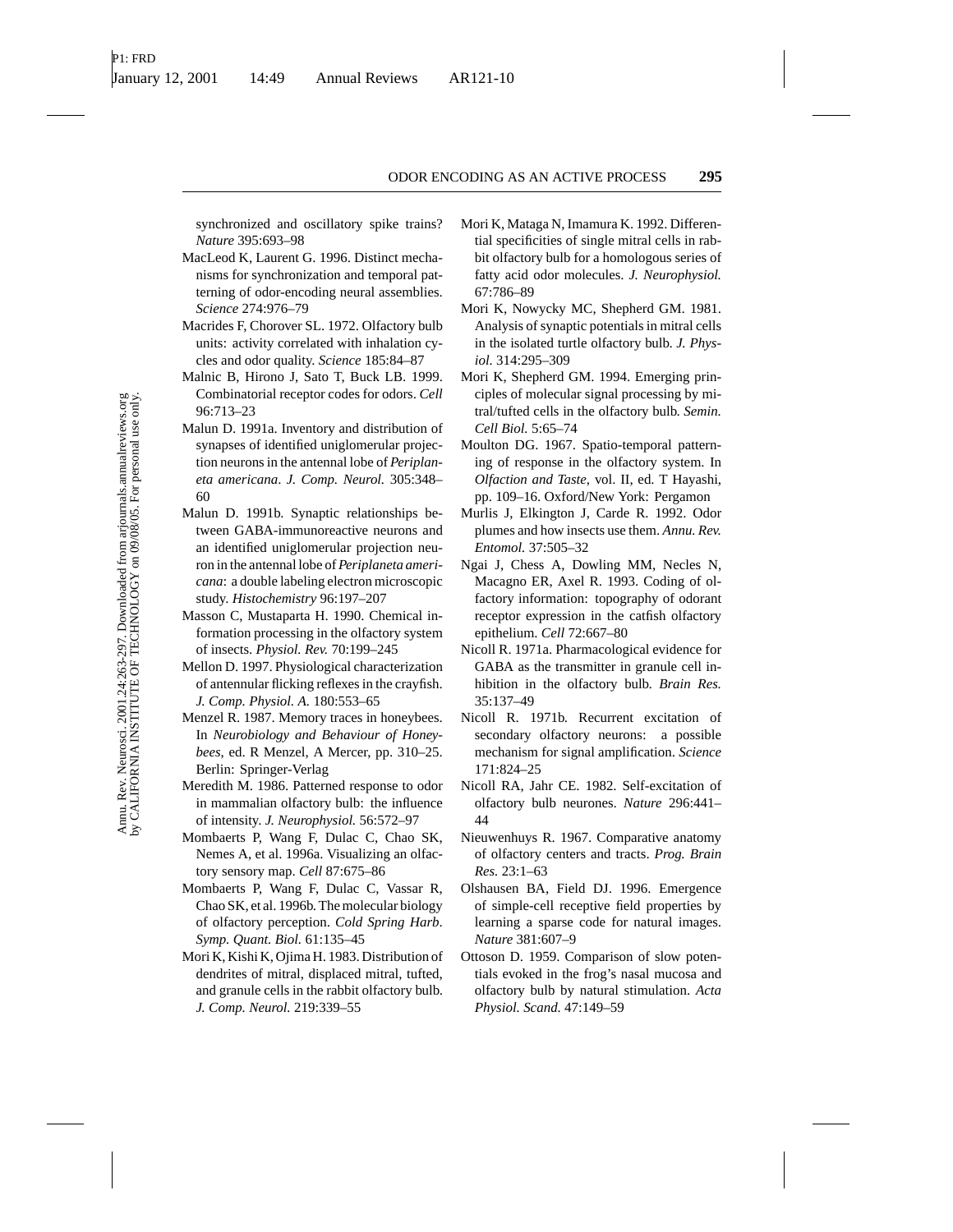synchronized and oscillatory spike trains? *Nature* 395:693–98

- MacLeod K, Laurent G. 1996. Distinct mechanisms for synchronization and temporal patterning of odor-encoding neural assemblies. *Science* 274:976–79
- Macrides F, Chorover SL. 1972. Olfactory bulb units: activity correlated with inhalation cycles and odor quality. *Science* 185:84–87
- Malnic B, Hirono J, Sato T, Buck LB. 1999. Combinatorial receptor codes for odors. *Cell* 96:713–23
- Malun D. 1991a. Inventory and distribution of synapses of identified uniglomerular projection neurons in the antennal lobe of *Periplaneta americana*. *J. Comp. Neurol.* 305:348– 60
- Malun D. 1991b. Synaptic relationships between GABA-immunoreactive neurons and an identified uniglomerular projection neuron in the antennal lobe of *Periplaneta americana*: a double labeling electron microscopic study. *Histochemistry* 96:197–207
- Masson C, Mustaparta H. 1990. Chemical information processing in the olfactory system of insects. *Physiol. Rev.* 70:199–245
- Mellon D. 1997. Physiological characterization of antennular flicking reflexes in the crayfish. *J. Comp. Physiol. A.* 180:553–65
- Menzel R. 1987. Memory traces in honeybees. In *Neurobiology and Behaviour of Honeybees*, ed. R Menzel, A Mercer, pp. 310–25. Berlin: Springer-Verlag
- Meredith M. 1986. Patterned response to odor in mammalian olfactory bulb: the influence of intensity. *J. Neurophysiol.* 56:572–97
- Mombaerts P, Wang F, Dulac C, Chao SK, Nemes A, et al. 1996a. Visualizing an olfactory sensory map. *Cell* 87:675–86
- Mombaerts P, Wang F, Dulac C, Vassar R, Chao SK, et al. 1996b. The molecular biology of olfactory perception. *Cold Spring Harb*. *Symp. Quant. Biol.* 61:135–45
- Mori K, Kishi K, Ojima H. 1983. Distribution of dendrites of mitral, displaced mitral, tufted, and granule cells in the rabbit olfactory bulb. *J. Comp. Neurol.* 219:339–55
- Mori K, Mataga N, Imamura K. 1992. Differential specificities of single mitral cells in rabbit olfactory bulb for a homologous series of fatty acid odor molecules. *J. Neurophysiol.* 67:786–89
- Mori K, Nowycky MC, Shepherd GM. 1981. Analysis of synaptic potentials in mitral cells in the isolated turtle olfactory bulb. *J. Physiol.* 314:295–309
- Mori K, Shepherd GM. 1994. Emerging principles of molecular signal processing by mitral/tufted cells in the olfactory bulb. *Semin. Cell Biol.* 5:65–74
- Moulton DG. 1967. Spatio-temporal patterning of response in the olfactory system. In *Olfaction and Taste*, vol. II, ed. T Hayashi, pp. 109–16. Oxford/New York: Pergamon
- Murlis J, Elkington J, Carde R. 1992. Odor plumes and how insects use them. *Annu. Rev. Entomol.* 37:505–32
- Ngai J, Chess A, Dowling MM, Necles N, Macagno ER, Axel R. 1993. Coding of olfactory information: topography of odorant receptor expression in the catfish olfactory epithelium. *Cell* 72:667–80
- Nicoll R. 1971a. Pharmacological evidence for GABA as the transmitter in granule cell inhibition in the olfactory bulb. *Brain Res.* 35:137–49
- Nicoll R. 1971b. Recurrent excitation of secondary olfactory neurons: a possible mechanism for signal amplification. *Science* 171:824–25
- Nicoll RA, Jahr CE. 1982. Self-excitation of olfactory bulb neurones. *Nature* 296:441– 44
- Nieuwenhuys R. 1967. Comparative anatomy of olfactory centers and tracts. *Prog. Brain Res.* 23:1–63
- Olshausen BA, Field DJ. 1996. Emergence of simple-cell receptive field properties by learning a sparse code for natural images. *Nature* 381:607–9
- Ottoson D. 1959. Comparison of slow potentials evoked in the frog's nasal mucosa and olfactory bulb by natural stimulation. *Acta Physiol. Scand.* 47:149–59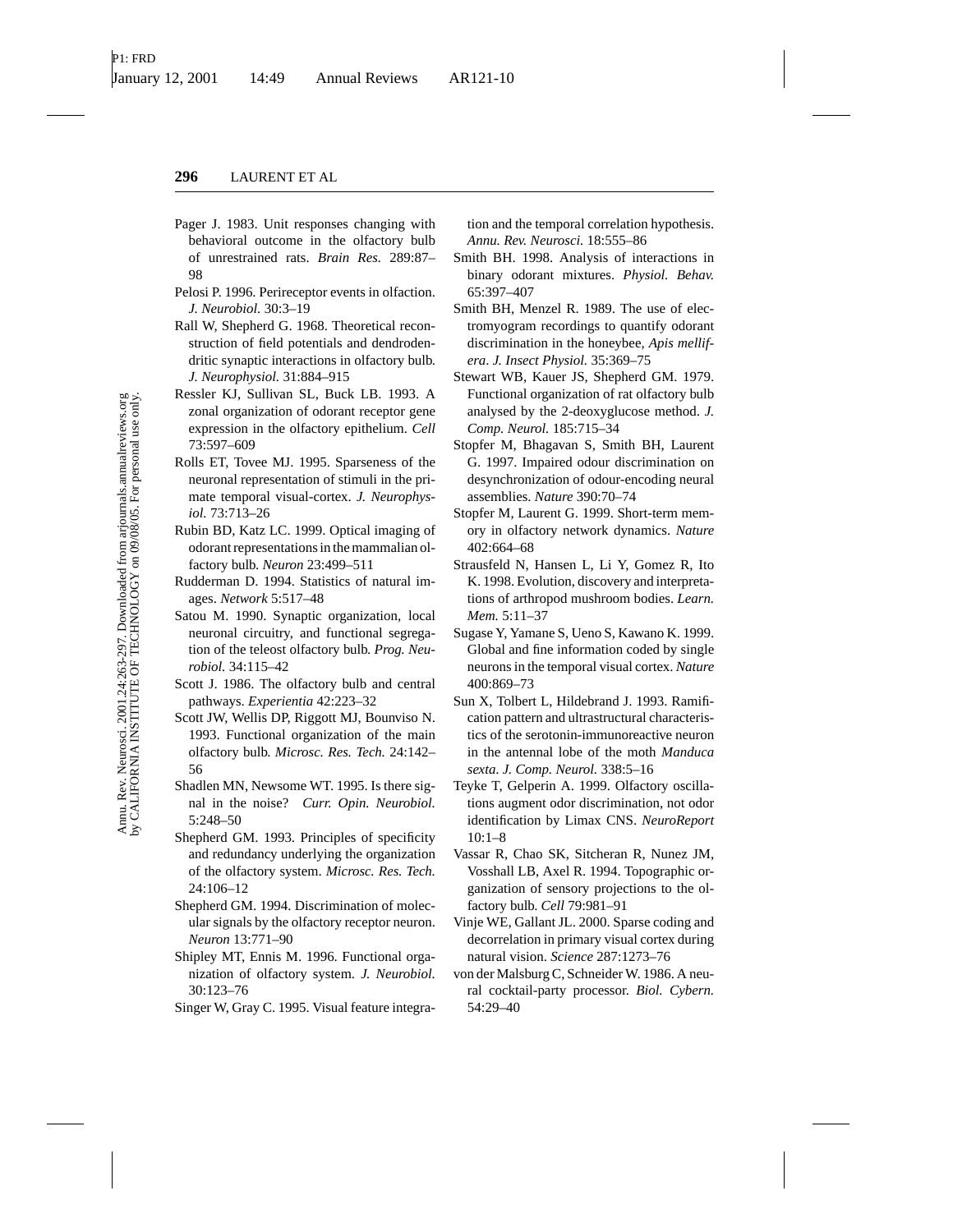- Pager J. 1983. Unit responses changing with behavioral outcome in the olfactory bulb of unrestrained rats. *Brain Res.* 289:87– 98
- Pelosi P. 1996. Perireceptor events in olfaction. *J. Neurobiol.* 30:3–19
- Rall W, Shepherd G. 1968. Theoretical reconstruction of field potentials and dendrodendritic synaptic interactions in olfactory bulb. *J. Neurophysiol.* 31:884–915
- Ressler KJ, Sullivan SL, Buck LB. 1993. A zonal organization of odorant receptor gene expression in the olfactory epithelium. *Cell* 73:597–609
- Rolls ET, Tovee MJ. 1995. Sparseness of the neuronal representation of stimuli in the primate temporal visual-cortex. *J. Neurophysiol.* 73:713–26
- Rubin BD, Katz LC. 1999. Optical imaging of odorant representations in the mammalian olfactory bulb. *Neuron* 23:499–511
- Rudderman D. 1994. Statistics of natural images. *Network* 5:517–48
- Satou M. 1990. Synaptic organization, local neuronal circuitry, and functional segregation of the teleost olfactory bulb. *Prog. Neurobiol.* 34:115–42
- Scott J. 1986. The olfactory bulb and central pathways. *Experientia* 42:223–32
- Scott JW, Wellis DP, Riggott MJ, Bounviso N. 1993. Functional organization of the main olfactory bulb. *Microsc. Res. Tech.* 24:142– 56
- Shadlen MN, Newsome WT. 1995. Is there signal in the noise? *Curr. Opin. Neurobiol.* 5:248–50
- Shepherd GM. 1993. Principles of specificity and redundancy underlying the organization of the olfactory system. *Microsc. Res. Tech.* 24:106–12
- Shepherd GM. 1994. Discrimination of molecular signals by the olfactory receptor neuron. *Neuron* 13:771–90
- Shipley MT, Ennis M. 1996. Functional organization of olfactory system. *J. Neurobiol.* 30:123–76
- Singer W, Gray C. 1995. Visual feature integra-

tion and the temporal correlation hypothesis. *Annu. Rev. Neurosci.* 18:555–86

- Smith BH. 1998. Analysis of interactions in binary odorant mixtures. *Physiol. Behav.* 65:397–407
- Smith BH, Menzel R. 1989. The use of electromyogram recordings to quantify odorant discrimination in the honeybee, *Apis mellifera*. *J. Insect Physiol.* 35:369–75
- Stewart WB, Kauer JS, Shepherd GM. 1979. Functional organization of rat olfactory bulb analysed by the 2-deoxyglucose method. *J. Comp. Neurol.* 185:715–34
- Stopfer M, Bhagavan S, Smith BH, Laurent G. 1997. Impaired odour discrimination on desynchronization of odour-encoding neural assemblies. *Nature* 390:70–74
- Stopfer M, Laurent G. 1999. Short-term memory in olfactory network dynamics. *Nature* 402:664–68
- Strausfeld N, Hansen L, Li Y, Gomez R, Ito K. 1998. Evolution, discovery and interpretations of arthropod mushroom bodies. *Learn. Mem.* 5:11–37
- Sugase Y, Yamane S, Ueno S, Kawano K. 1999. Global and fine information coded by single neurons in the temporal visual cortex. *Nature* 400:869–73
- Sun X, Tolbert L, Hildebrand J. 1993. Ramification pattern and ultrastructural characteristics of the serotonin-immunoreactive neuron in the antennal lobe of the moth *Manduca sexta*. *J. Comp. Neurol.* 338:5–16
- Teyke T, Gelperin A. 1999. Olfactory oscillations augment odor discrimination, not odor identification by Limax CNS. *NeuroReport* 10:1–8
- Vassar R, Chao SK, Sitcheran R, Nunez JM, Vosshall LB, Axel R. 1994. Topographic organization of sensory projections to the olfactory bulb. *Cell* 79:981–91
- Vinje WE, Gallant JL. 2000. Sparse coding and decorrelation in primary visual cortex during natural vision. *Science* 287:1273–76
- von der Malsburg C, Schneider W. 1986. A neural cocktail-party processor. *Biol. Cybern.* 54:29–40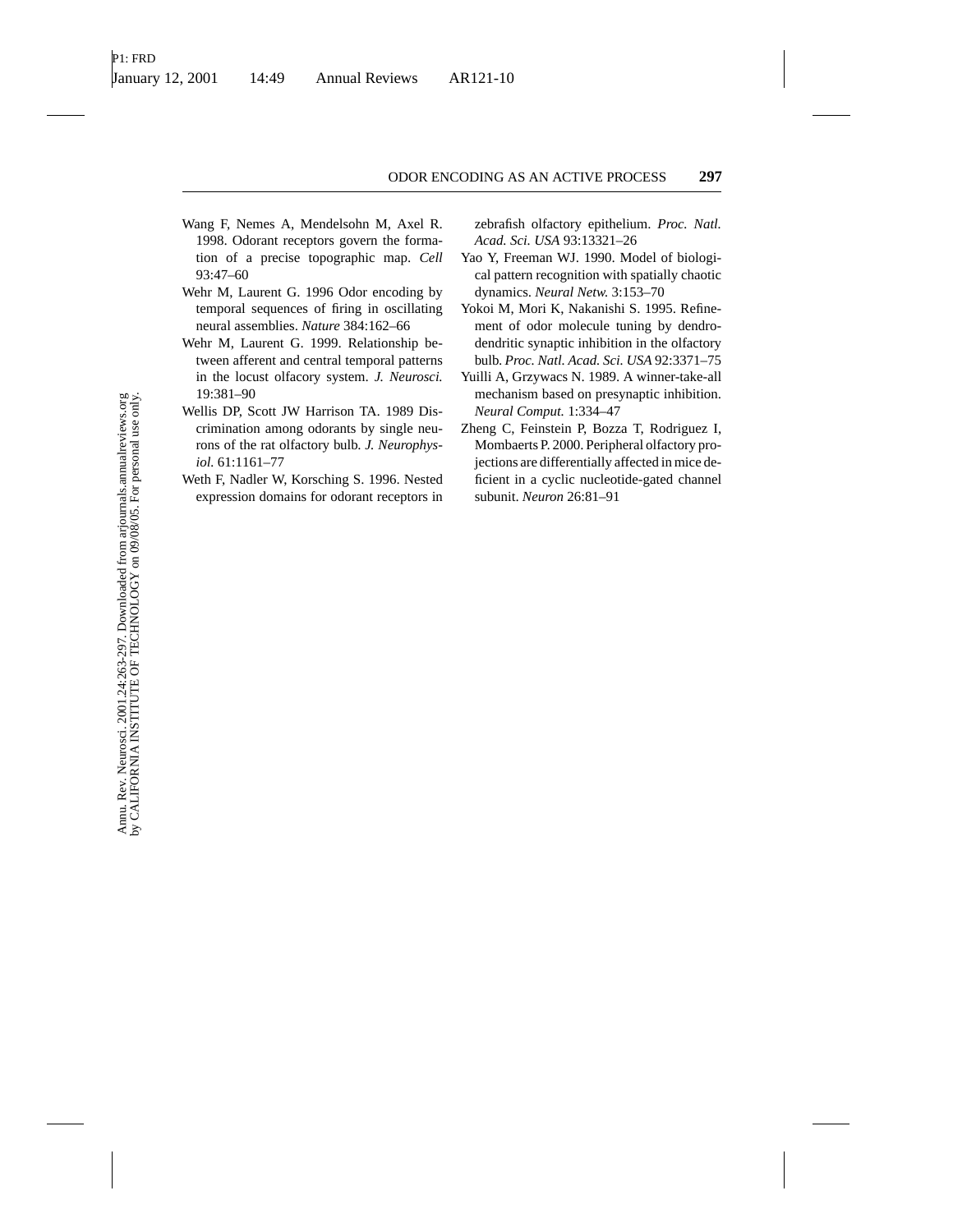- Wang F, Nemes A, Mendelsohn M, Axel R. 1998. Odorant receptors govern the formation of a precise topographic map. *Cell* 93:47–60
- Wehr M, Laurent G. 1996 Odor encoding by temporal sequences of firing in oscillating neural assemblies. *Nature* 384:162–66
- Wehr M, Laurent G. 1999. Relationship between afferent and central temporal patterns in the locust olfacory system. *J. Neurosci.* 19:381–90
- Wellis DP, Scott JW Harrison TA. 1989 Discrimination among odorants by single neurons of the rat olfactory bulb. *J. Neurophysiol.* 61:1161–77
- Weth F, Nadler W, Korsching S. 1996. Nested expression domains for odorant receptors in

zebrafish olfactory epithelium. *Proc. Natl. Acad. Sci. USA* 93:13321–26

- Yao Y, Freeman WJ. 1990. Model of biological pattern recognition with spatially chaotic dynamics. *Neural Netw.* 3:153–70
- Yokoi M, Mori K, Nakanishi S. 1995. Refinement of odor molecule tuning by dendrodendritic synaptic inhibition in the olfactory bulb. *Proc. Natl. Acad. Sci. USA* 92:3371–75
- Yuilli A, Grzywacs N. 1989. A winner-take-all mechanism based on presynaptic inhibition. *Neural Comput.* 1:334–47
- Zheng C, Feinstein P, Bozza T, Rodriguez I, Mombaerts P. 2000. Peripheral olfactory projections are differentially affected in mice deficient in a cyclic nucleotide-gated channel subunit. *Neuron* 26:81–91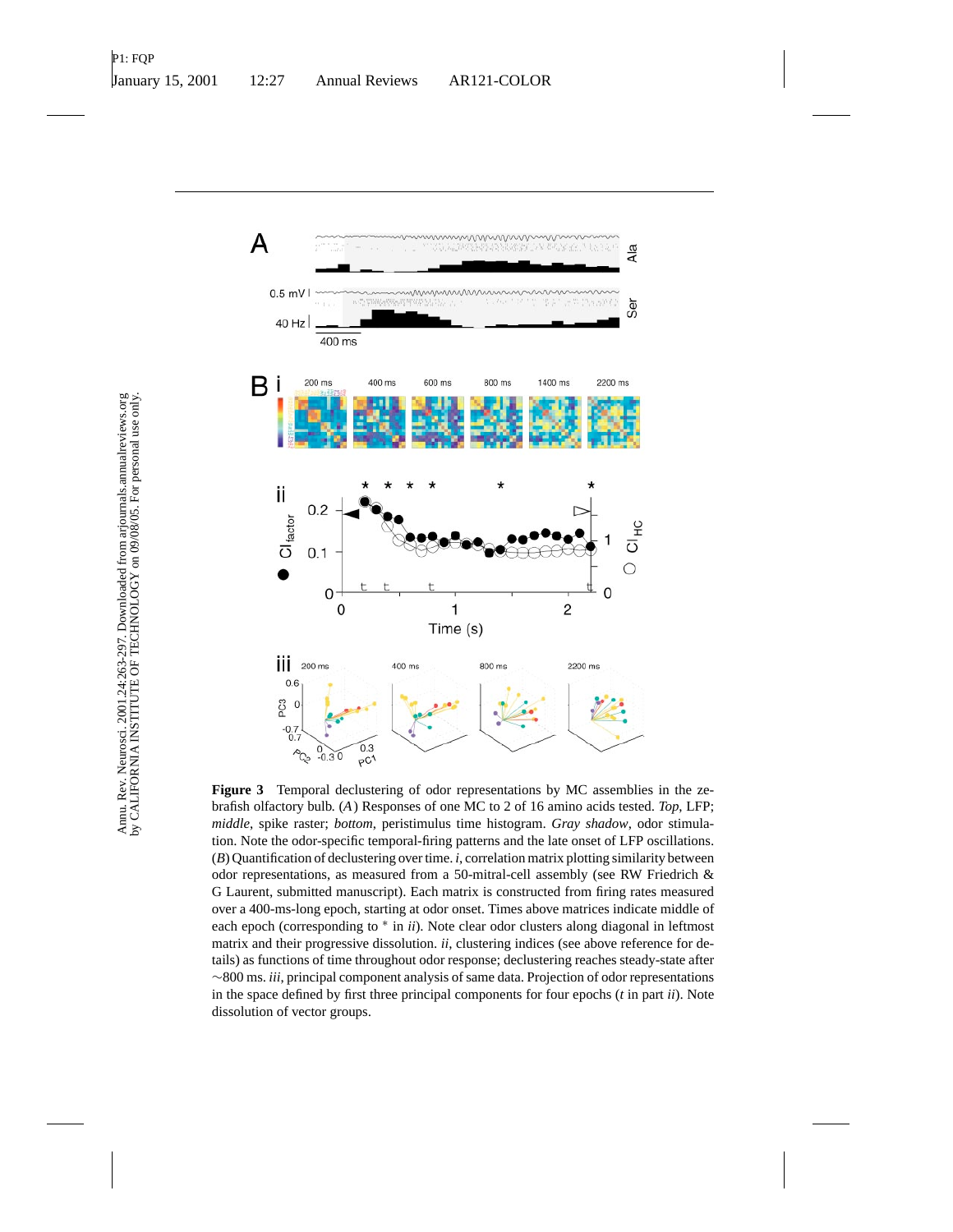

**Figure 3** Temporal declustering of odor representations by MC assemblies in the zebrafish olfactory bulb. (*A*) Responses of one MC to 2 of 16 amino acids tested. *Top*, LFP; *middle*, spike raster; *bottom*, peristimulus time histogram. *Gray shadow*, odor stimulation. Note the odor-specific temporal-firing patterns and the late onset of LFP oscillations. (*B*) Quantification of declustering over time. *i*, correlation matrix plotting similarity between odor representations, as measured from a 50-mitral-cell assembly (see RW Friedrich & G Laurent, submitted manuscript). Each matrix is constructed from firing rates measured over a 400-ms-long epoch, starting at odor onset. Times above matrices indicate middle of each epoch (corresponding to <sup>\*</sup> in *ii*). Note clear odor clusters along diagonal in leftmost matrix and their progressive dissolution. *ii*, clustering indices (see above reference for details) as functions of time throughout odor response; declustering reaches steady-state after ∼800 ms. *iii*, principal component analysis of same data. Projection of odor representations in the space defined by first three principal components for four epochs (*t* in part *ii*). Note dissolution of vector groups.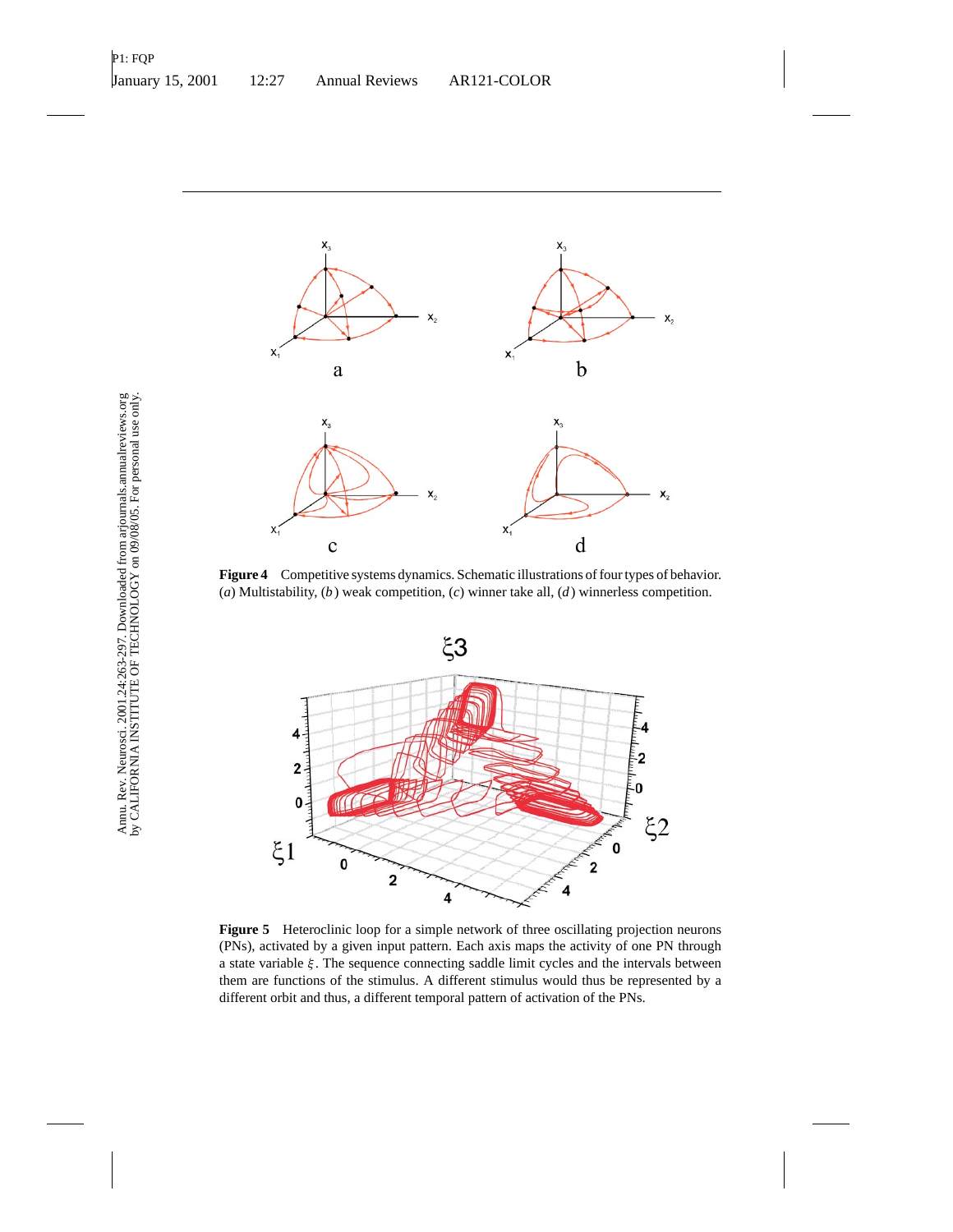

**Figure 4** Competitive systems dynamics. Schematic illustrations of four types of behavior. (*a*) Multistability, (*b*) weak competition, (*c*) winner take all, (*d*) winnerless competition.



**Figure 5** Heteroclinic loop for a simple network of three oscillating projection neurons (PNs), activated by a given input pattern. Each axis maps the activity of one PN through a state variable  $\xi$ . The sequence connecting saddle limit cycles and the intervals between them are functions of the stimulus. A different stimulus would thus be represented by a different orbit and thus, a different temporal pattern of activation of the PNs.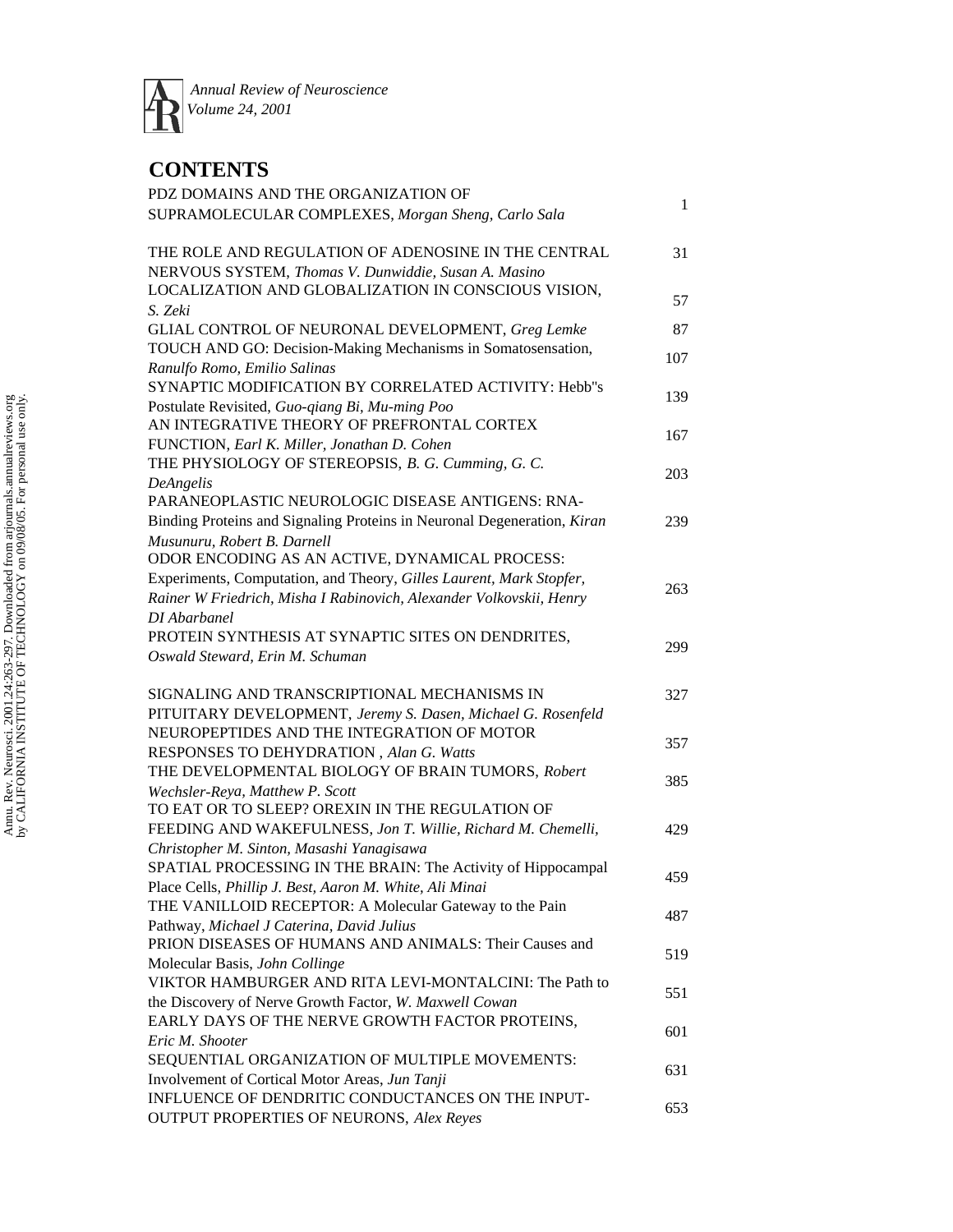

 *Annual Review of Neuroscience Volume 24, 2001*

## **CONTENTS**

| PDZ DOMAINS AND THE ORGANIZATION OF                                                                                   |     |
|-----------------------------------------------------------------------------------------------------------------------|-----|
| SUPRAMOLECULAR COMPLEXES, Morgan Sheng, Carlo Sala                                                                    | 1   |
| THE ROLE AND REGULATION OF ADENOSINE IN THE CENTRAL                                                                   | 31  |
| NERVOUS SYSTEM, Thomas V. Dunwiddie, Susan A. Masino                                                                  |     |
| LOCALIZATION AND GLOBALIZATION IN CONSCIOUS VISION,                                                                   | 57  |
| S. Zeki                                                                                                               |     |
| GLIAL CONTROL OF NEURONAL DEVELOPMENT, Greg Lemke<br>TOUCH AND GO: Decision-Making Mechanisms in Somatosensation,     | 87  |
| Ranulfo Romo, Emilio Salinas                                                                                          | 107 |
| SYNAPTIC MODIFICATION BY CORRELATED ACTIVITY: Hebb"s                                                                  |     |
| Postulate Revisited, Guo-qiang Bi, Mu-ming Poo                                                                        | 139 |
| AN INTEGRATIVE THEORY OF PREFRONTAL CORTEX                                                                            |     |
| FUNCTION, Earl K. Miller, Jonathan D. Cohen                                                                           | 167 |
| THE PHYSIOLOGY OF STEREOPSIS, B. G. Cumming, G. C.                                                                    |     |
| DeAngelis                                                                                                             | 203 |
| PARANEOPLASTIC NEUROLOGIC DISEASE ANTIGENS: RNA-                                                                      |     |
| Binding Proteins and Signaling Proteins in Neuronal Degeneration, Kiran                                               | 239 |
| Musunuru, Robert B. Darnell                                                                                           |     |
| ODOR ENCODING AS AN ACTIVE, DYNAMICAL PROCESS:<br>Experiments, Computation, and Theory, Gilles Laurent, Mark Stopfer, |     |
| Rainer W Friedrich, Misha I Rabinovich, Alexander Volkovskii, Henry                                                   | 263 |
| DI Abarbanel                                                                                                          |     |
| PROTEIN SYNTHESIS AT SYNAPTIC SITES ON DENDRITES,                                                                     |     |
| Oswald Steward, Erin M. Schuman                                                                                       | 299 |
|                                                                                                                       |     |
| SIGNALING AND TRANSCRIPTIONAL MECHANISMS IN                                                                           | 327 |
| PITUITARY DEVELOPMENT, Jeremy S. Dasen, Michael G. Rosenfeld                                                          |     |
| NEUROPEPTIDES AND THE INTEGRATION OF MOTOR                                                                            | 357 |
| RESPONSES TO DEHYDRATION, Alan G. Watts                                                                               |     |
| THE DEVELOPMENTAL BIOLOGY OF BRAIN TUMORS, Robert                                                                     | 385 |
| Wechsler-Reya, Matthew P. Scott                                                                                       |     |
| TO EAT OR TO SLEEP? OREXIN IN THE REGULATION OF<br>FEEDING AND WAKEFULNESS, Jon T. Willie, Richard M. Chemelli,       |     |
| Christopher M. Sinton, Masashi Yanagisawa                                                                             | 429 |
| SPATIAL PROCESSING IN THE BRAIN: The Activity of Hippocampal                                                          |     |
| Place Cells, Phillip J. Best, Aaron M. White, Ali Minai                                                               | 459 |
| THE VANILLOID RECEPTOR: A Molecular Gateway to the Pain                                                               |     |
| Pathway, Michael J Caterina, David Julius                                                                             | 487 |
| PRION DISEASES OF HUMANS AND ANIMALS: Their Causes and                                                                |     |
| Molecular Basis, John Collinge                                                                                        | 519 |
| VIKTOR HAMBURGER AND RITA LEVI-MONTALCINI: The Path to                                                                | 551 |
| the Discovery of Nerve Growth Factor, W. Maxwell Cowan                                                                |     |
| EARLY DAYS OF THE NERVE GROWTH FACTOR PROTEINS,                                                                       | 601 |
| Eric M. Shooter                                                                                                       |     |
| SEQUENTIAL ORGANIZATION OF MULTIPLE MOVEMENTS:                                                                        | 631 |
| Involvement of Cortical Motor Areas, Jun Tanji<br>INFLUENCE OF DENDRITIC CONDUCTANCES ON THE INPUT-                   |     |
| <b>OUTPUT PROPERTIES OF NEURONS, Alex Reyes</b>                                                                       | 653 |
|                                                                                                                       |     |